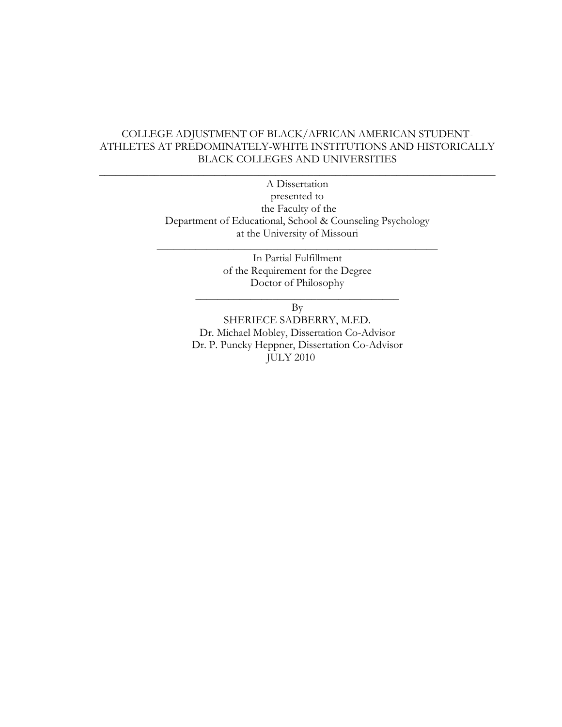## COLLEGE ADJUSTMENT OF BLACK/AFRICAN AMERICAN STUDENT-ATHLETES AT PREDOMINATELY-WHITE INSTITUTIONS AND HISTORICALLY BLACK COLLEGES AND UNIVERSITIES

 $\_$  , and the set of the set of the set of the set of the set of the set of the set of the set of the set of the set of the set of the set of the set of the set of the set of the set of the set of the set of the set of th

A Dissertation presented to the Faculty of the Department of Educational, School & Counseling Psychology at the University of Missouri

\_\_\_\_\_\_\_\_\_\_\_\_\_\_\_\_\_\_\_\_\_\_\_\_\_\_\_\_\_\_\_\_\_\_\_\_\_\_\_\_\_\_\_\_\_\_\_\_\_\_\_

In Partial Fulfillment of the Requirement for the Degree Doctor of Philosophy

\_\_\_\_\_\_\_\_\_\_\_\_\_\_\_\_\_\_\_\_\_\_\_\_\_\_\_\_\_\_\_\_\_\_\_\_\_ By

SHERIECE SADBERRY, M.ED. Dr. Michael Mobley, Dissertation Co-Advisor Dr. P. Puncky Heppner, Dissertation Co-Advisor JULY 2010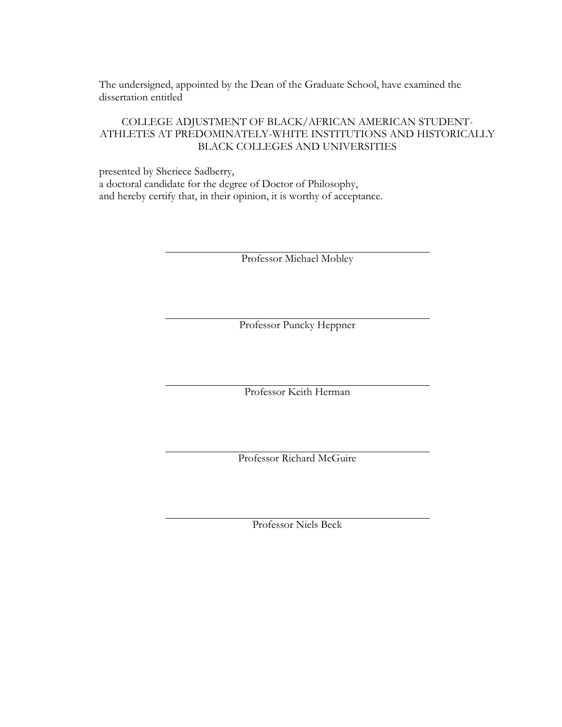The undersigned, appointed by the Dean of the Graduate School, have examined the dissertation entitled

## COLLEGE ADJUSTMENT OF BLACK/AFRICAN AMERICAN STUDENT-ATHLETES AT PREDOMINATELY-WHITE INSTITUTIONS AND HISTORICALLY BLACK COLLEGES AND UNIVERSITIES

presented by Sheriece Sadberry, a doctoral candidate for the degree of Doctor of Philosophy, and hereby certify that, in their opinion, it is worthy of acceptance.

Professor Michael Mobley

Professor Puncky Heppner

Professor Keith Herman

Professor Richard McGuire

Professor Niels Beck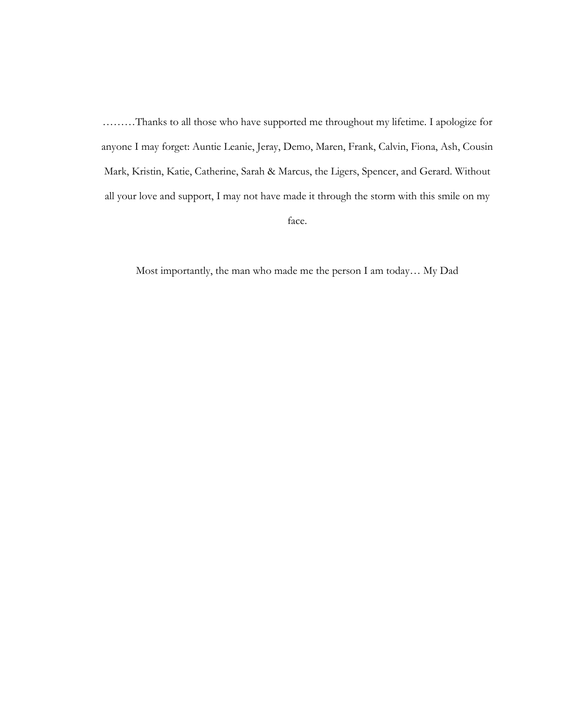………Thanks to all those who have supported me throughout my lifetime. I apologize for anyone I may forget: Auntie Leanie, Jeray, Demo, Maren, Frank, Calvin, Fiona, Ash, Cousin Mark, Kristin, Katie, Catherine, Sarah & Marcus, the Ligers, Spencer, and Gerard. Without all your love and support, I may not have made it through the storm with this smile on my

face.

Most importantly, the man who made me the person I am today… My Dad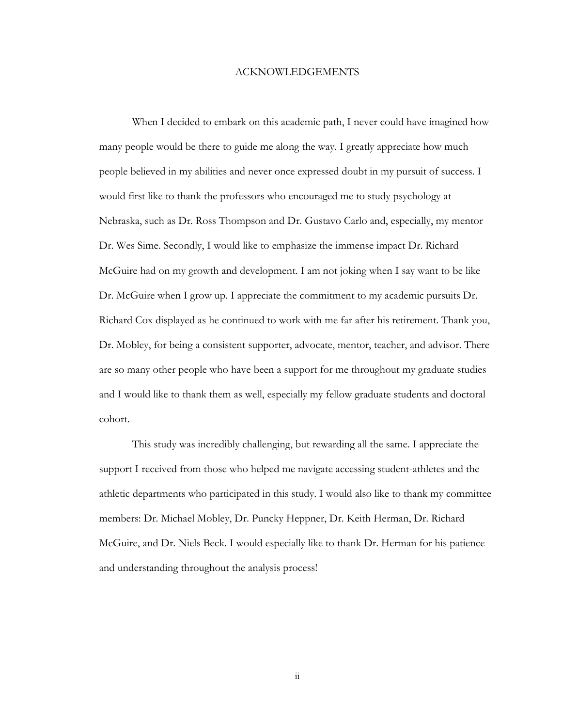#### ACKNOWLEDGEMENTS

When I decided to embark on this academic path, I never could have imagined how many people would be there to guide me along the way. I greatly appreciate how much people believed in my abilities and never once expressed doubt in my pursuit of success. I would first like to thank the professors who encouraged me to study psychology at Nebraska, such as Dr. Ross Thompson and Dr. Gustavo Carlo and, especially, my mentor Dr. Wes Sime. Secondly, I would like to emphasize the immense impact Dr. Richard McGuire had on my growth and development. I am not joking when I say want to be like Dr. McGuire when I grow up. I appreciate the commitment to my academic pursuits Dr. Richard Cox displayed as he continued to work with me far after his retirement. Thank you, Dr. Mobley, for being a consistent supporter, advocate, mentor, teacher, and advisor. There are so many other people who have been a support for me throughout my graduate studies and I would like to thank them as well, especially my fellow graduate students and doctoral cohort.

This study was incredibly challenging, but rewarding all the same. I appreciate the support I received from those who helped me navigate accessing student-athletes and the athletic departments who participated in this study. I would also like to thank my committee members: Dr. Michael Mobley, Dr. Puncky Heppner, Dr. Keith Herman, Dr. Richard McGuire, and Dr. Niels Beck. I would especially like to thank Dr. Herman for his patience and understanding throughout the analysis process!

ii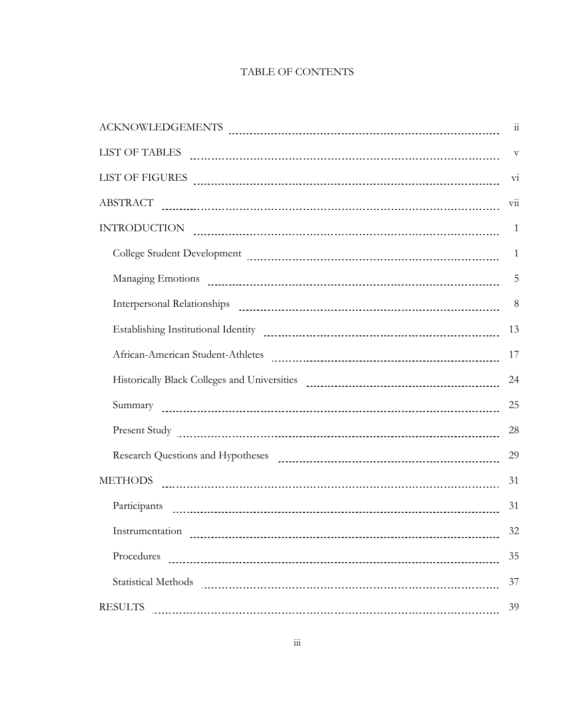## TABLE OF CONTENTS

| ${\bf ACKNOWLEDGEMENTS} \begin{tabular}{l} \includegraphics[width=0.5\textwidth]{Figures/11-1} \label{fig:1} \end{tabular}$                                                                                                                                                                                                                                                                 | 11                        |
|---------------------------------------------------------------------------------------------------------------------------------------------------------------------------------------------------------------------------------------------------------------------------------------------------------------------------------------------------------------------------------------------|---------------------------|
| $\text{LIST OF TABLES} \quad \rule{2.2cm}{0.1cm} \text{} \qquad \rule{2.2cm}{0.1cm} \text{} \qquad \rule{2.2cm}{0.1cm} \text{} \qquad \rule{2.2cm}{0.1cm} \text{} \qquad \rule{2.2cm}{0.1cm} \text{} \qquad \rule{2.2cm}{0.1cm} \text{} \qquad \rule{2.2cm}{0.1cm} \text{} \qquad \rule{2.2cm}{0.1cm} \text{} \qquad \rule{2.2cm}{0.1cm} \text{} \qquad \rule{2.2cm}{0.1cm} \text{} \qquad$ | $\rm{V}$                  |
| $\text{LIST OF FIGURES} \begin{tabular}{l} \textbf{LIST OF FIGURES} \end{tabular}$                                                                                                                                                                                                                                                                                                          | $\overline{\mathrm{vi}}$  |
| ABSTRACT PARALLEL AND ACCORDING ASSESSMENT PROPERTY AND ASSESSMENT PROPERTY AND ASSESSMENT PROPERTY AND ACCORDING ASSESSMENT PROPERTY AND ACCORDING ASSESSMENT PROPERTY AND ASSESSMENT PROPERTY AND ASSESSMENT PROPERTY AND AC                                                                                                                                                              | $\overline{\mathrm{vii}}$ |
| INTRODUCTION <b>Production Example 20</b> in the set of the set of the set of the set of the set of the set of the set of the set of the set of the set of the set of the set of the set of the set of the set of the set of the                                                                                                                                                            | $\mathbf{1}$              |
|                                                                                                                                                                                                                                                                                                                                                                                             | $\mathbf{1}$              |
|                                                                                                                                                                                                                                                                                                                                                                                             | 5                         |
|                                                                                                                                                                                                                                                                                                                                                                                             | 8                         |
| Establishing Institutional Identity [10001] [10001] [10001] [10001] [10001] [10001] [10001] [10001] [10001] [10001] [10001] [10001] [10001] [10001] [10001] [10001] [10001] [10001] [10001] [10001] [10001] [10001] [10001] [1                                                                                                                                                              | 13                        |
|                                                                                                                                                                                                                                                                                                                                                                                             | 17                        |
| Historically Black Colleges and Universities [11] March 1999 (12] March 1999 (13) March 1999 (13) March 1999 (13) March 1999 (13) March 1999 (13) March 1999 (13) March 1999 (13) March 1999 (13) March 1999 (13) March 1999 (                                                                                                                                                              | 24                        |
|                                                                                                                                                                                                                                                                                                                                                                                             | 25                        |
|                                                                                                                                                                                                                                                                                                                                                                                             | 28                        |
|                                                                                                                                                                                                                                                                                                                                                                                             | 29                        |
| <b>METHODS</b>                                                                                                                                                                                                                                                                                                                                                                              | 31                        |
|                                                                                                                                                                                                                                                                                                                                                                                             | 31                        |
| Instrumentation                                                                                                                                                                                                                                                                                                                                                                             | 32                        |
| Procedures                                                                                                                                                                                                                                                                                                                                                                                  | 35                        |
| <b>Statistical Methods</b>                                                                                                                                                                                                                                                                                                                                                                  | 37                        |
| <b>RESULTS</b>                                                                                                                                                                                                                                                                                                                                                                              | 39                        |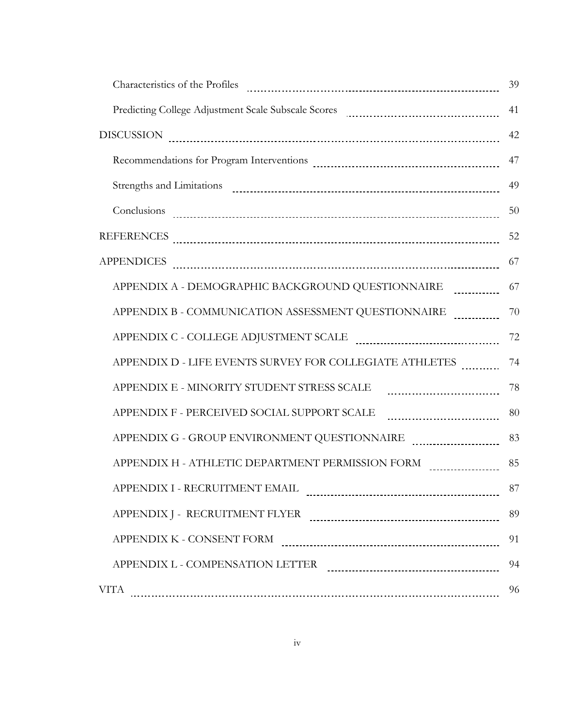|                                                                                                                                                                                                                                                                                                                                                                                                                                                                                                              | 39 |
|--------------------------------------------------------------------------------------------------------------------------------------------------------------------------------------------------------------------------------------------------------------------------------------------------------------------------------------------------------------------------------------------------------------------------------------------------------------------------------------------------------------|----|
| Predicting College Adjustment Scale Subscale Scores [11] [12] March 2016 2017 [13] March 2016 2017 [13] March 2017 [13] March 2017 [13] March 2017 [13] March 2017 [13] March 2017 [13] March 2017 [13] March 2017 [13] March                                                                                                                                                                                                                                                                                | 41 |
| $\text{DISCUSSION} \begin{tabular}{l} \textbf{\texttt{0}}\\ \textbf{\texttt{1}}\\ \textbf{\texttt{2}}\\ \textbf{\texttt{3}}\\ \textbf{\texttt{4}}\\ \textbf{\texttt{5}}\\ \textbf{\texttt{6}}\\ \textbf{\texttt{7}}\\ \textbf{\texttt{8}}\\ \textbf{\texttt{9}}\\ \textbf{\texttt{1}}\\ \textbf{\texttt{2}}\\ \textbf{\texttt{2}}\\ \textbf{\texttt{2}}\\ \textbf{\texttt{3}}\\ \textbf{\texttt{2}}\\ \textbf{\texttt{2}}\\ \textbf{\texttt{3}}\\ \textbf{\texttt{2}}\\ \textbf{\texttt{2}}\\ \textbf{\text$ | 42 |
|                                                                                                                                                                                                                                                                                                                                                                                                                                                                                                              | 47 |
|                                                                                                                                                                                                                                                                                                                                                                                                                                                                                                              | 49 |
|                                                                                                                                                                                                                                                                                                                                                                                                                                                                                                              | 50 |
|                                                                                                                                                                                                                                                                                                                                                                                                                                                                                                              | 52 |
| <b>APPENDICES</b>                                                                                                                                                                                                                                                                                                                                                                                                                                                                                            | 67 |
| APPENDIX A - DEMOGRAPHIC BACKGROUND QUESTIONNAIRE                                                                                                                                                                                                                                                                                                                                                                                                                                                            | 67 |
| APPENDIX B - COMMUNICATION ASSESSMENT QUESTIONNAIRE                                                                                                                                                                                                                                                                                                                                                                                                                                                          | 70 |
| APPENDIX C - COLLEGE ADJUSTMENT SCALE PARALLE AND COLLEGE ADJUSTMENT SCALE                                                                                                                                                                                                                                                                                                                                                                                                                                   | 72 |
| APPENDIX D - LIFE EVENTS SURVEY FOR COLLEGIATE ATHLETES                                                                                                                                                                                                                                                                                                                                                                                                                                                      | 74 |
| APPENDIX E - MINORITY STUDENT STRESS SCALE                                                                                                                                                                                                                                                                                                                                                                                                                                                                   | 78 |
| APPENDIX F - PERCEIVED SOCIAL SUPPORT SCALE                                                                                                                                                                                                                                                                                                                                                                                                                                                                  | 80 |
|                                                                                                                                                                                                                                                                                                                                                                                                                                                                                                              | 83 |
| APPENDIX H - ATHLETIC DEPARTMENT PERMISSION FORM PLACE CONSERVATION CONTRACT AT A CONSERVATION CONTR                                                                                                                                                                                                                                                                                                                                                                                                         | 85 |
| APPENDIX I - RECRUITMENT EMAIL                                                                                                                                                                                                                                                                                                                                                                                                                                                                               | 87 |
|                                                                                                                                                                                                                                                                                                                                                                                                                                                                                                              | 89 |
| APPENDIX K - CONSENT FORM                                                                                                                                                                                                                                                                                                                                                                                                                                                                                    | 91 |
| APPENDIX L - COMPENSATION LETTER PARALLET AND APPENDIX L - COMPENSATION LETTER                                                                                                                                                                                                                                                                                                                                                                                                                               | 94 |
| <b>VITA</b>                                                                                                                                                                                                                                                                                                                                                                                                                                                                                                  | 96 |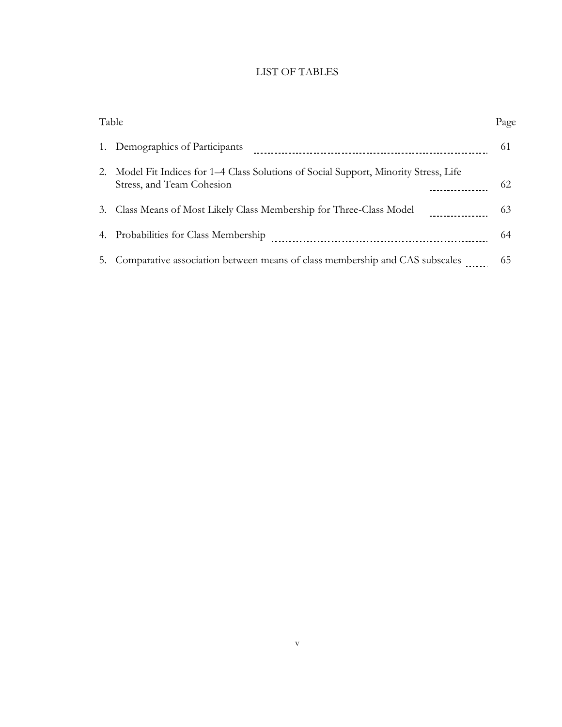# LIST OF TABLES

| Table |                                                                                                                 | Page |
|-------|-----------------------------------------------------------------------------------------------------------------|------|
|       | 1. Demographics of Participants                                                                                 | 61   |
| 2.    | Model Fit Indices for 1–4 Class Solutions of Social Support, Minority Stress, Life<br>Stress, and Team Cohesion | 62   |
|       | 3. Class Means of Most Likely Class Membership for Three-Class Model                                            | 63   |
|       | 4. Probabilities for Class Membership                                                                           | 64   |
|       | 5. Comparative association between means of class membership and CAS subscales                                  | 65   |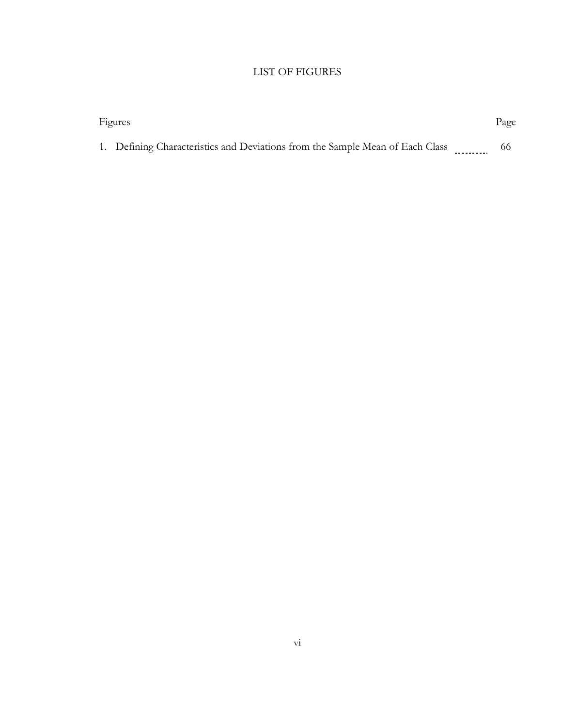# LIST OF FIGURES

| Figures |                                                                               |  | Page |
|---------|-------------------------------------------------------------------------------|--|------|
|         | 1. Defining Characteristics and Deviations from the Sample Mean of Each Class |  | 66   |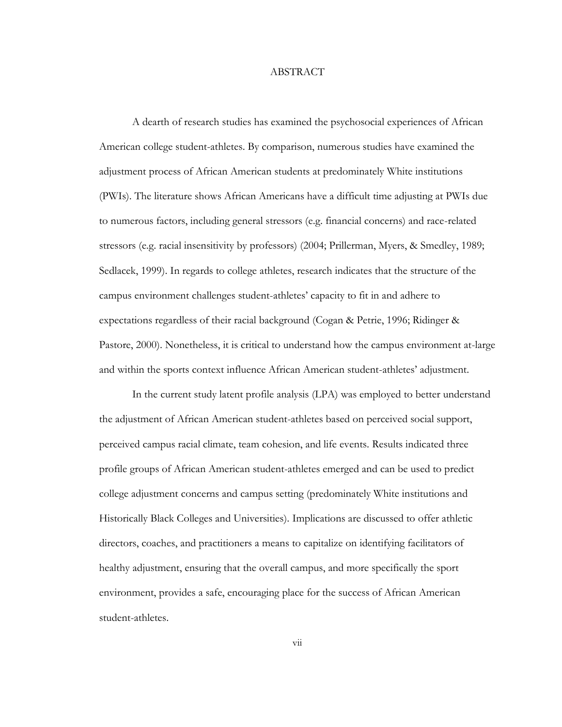#### ABSTRACT

A dearth of research studies has examined the psychosocial experiences of African American college student-athletes. By comparison, numerous studies have examined the adjustment process of African American students at predominately White institutions (PWIs). The literature shows African Americans have a difficult time adjusting at PWIs due to numerous factors, including general stressors (e.g. financial concerns) and race-related stressors (e.g. racial insensitivity by professors) (2004; Prillerman, Myers, & Smedley, 1989; Sedlacek, 1999). In regards to college athletes, research indicates that the structure of the campus environment challenges student-athletes' capacity to fit in and adhere to expectations regardless of their racial background (Cogan & Petrie, 1996; Ridinger & Pastore, 2000). Nonetheless, it is critical to understand how the campus environment at-large and within the sports context influence African American student-athletes' adjustment.

In the current study latent profile analysis (LPA) was employed to better understand the adjustment of African American student-athletes based on perceived social support, perceived campus racial climate, team cohesion, and life events. Results indicated three profile groups of African American student-athletes emerged and can be used to predict college adjustment concerns and campus setting (predominately White institutions and Historically Black Colleges and Universities). Implications are discussed to offer athletic directors, coaches, and practitioners a means to capitalize on identifying facilitators of healthy adjustment, ensuring that the overall campus, and more specifically the sport environment, provides a safe, encouraging place for the success of African American student-athletes.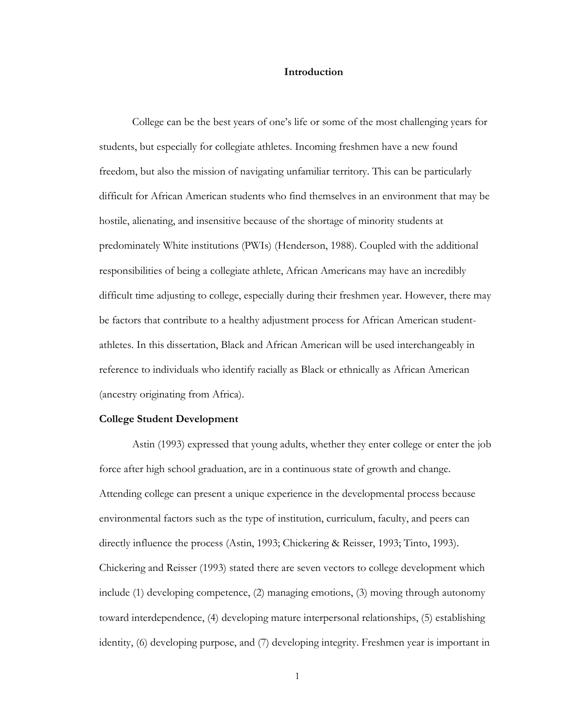#### **Introduction**

College can be the best years of one's life or some of the most challenging years for students, but especially for collegiate athletes. Incoming freshmen have a new found freedom, but also the mission of navigating unfamiliar territory. This can be particularly difficult for African American students who find themselves in an environment that may be hostile, alienating, and insensitive because of the shortage of minority students at predominately White institutions (PWIs) (Henderson, 1988). Coupled with the additional responsibilities of being a collegiate athlete, African Americans may have an incredibly difficult time adjusting to college, especially during their freshmen year. However, there may be factors that contribute to a healthy adjustment process for African American studentathletes. In this dissertation, Black and African American will be used interchangeably in reference to individuals who identify racially as Black or ethnically as African American (ancestry originating from Africa).

#### **College Student Development**

Astin (1993) expressed that young adults, whether they enter college or enter the job force after high school graduation, are in a continuous state of growth and change. Attending college can present a unique experience in the developmental process because environmental factors such as the type of institution, curriculum, faculty, and peers can directly influence the process (Astin, 1993; Chickering & Reisser, 1993; Tinto, 1993). Chickering and Reisser (1993) stated there are seven vectors to college development which include (1) developing competence, (2) managing emotions, (3) moving through autonomy toward interdependence, (4) developing mature interpersonal relationships, (5) establishing identity, (6) developing purpose, and (7) developing integrity. Freshmen year is important in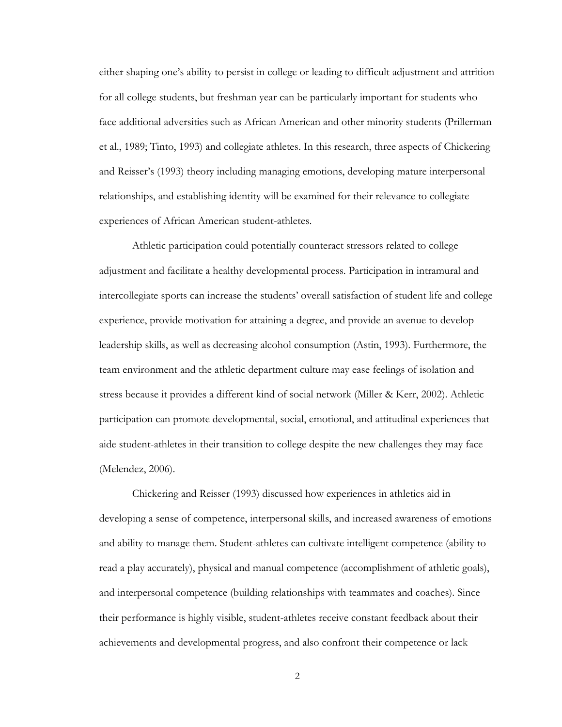either shaping one's ability to persist in college or leading to difficult adjustment and attrition for all college students, but freshman year can be particularly important for students who face additional adversities such as African American and other minority students (Prillerman et al., 1989; Tinto, 1993) and collegiate athletes. In this research, three aspects of Chickering and Reisser's (1993) theory including managing emotions, developing mature interpersonal relationships, and establishing identity will be examined for their relevance to collegiate experiences of African American student-athletes.

Athletic participation could potentially counteract stressors related to college adjustment and facilitate a healthy developmental process. Participation in intramural and intercollegiate sports can increase the students' overall satisfaction of student life and college experience, provide motivation for attaining a degree, and provide an avenue to develop leadership skills, as well as decreasing alcohol consumption (Astin, 1993). Furthermore, the team environment and the athletic department culture may ease feelings of isolation and stress because it provides a different kind of social network (Miller & Kerr, 2002). Athletic participation can promote developmental, social, emotional, and attitudinal experiences that aide student-athletes in their transition to college despite the new challenges they may face (Melendez, 2006).

Chickering and Reisser (1993) discussed how experiences in athletics aid in developing a sense of competence, interpersonal skills, and increased awareness of emotions and ability to manage them. Student-athletes can cultivate intelligent competence (ability to read a play accurately), physical and manual competence (accomplishment of athletic goals), and interpersonal competence (building relationships with teammates and coaches). Since their performance is highly visible, student-athletes receive constant feedback about their achievements and developmental progress, and also confront their competence or lack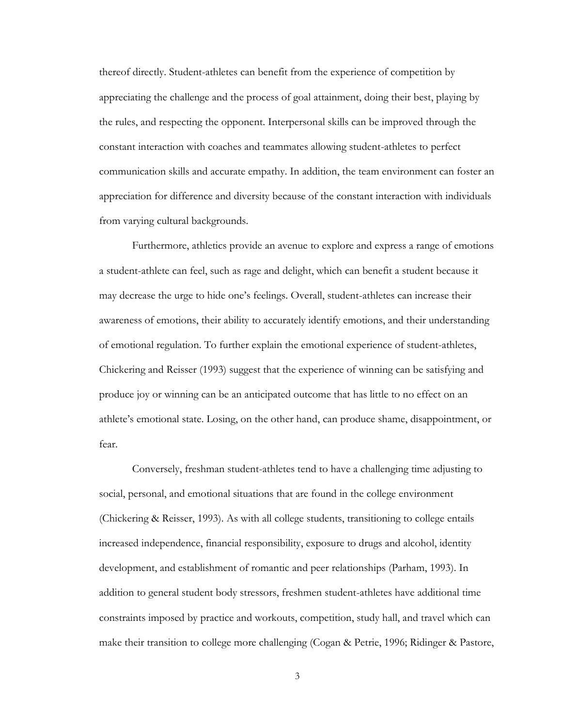thereof directly. Student-athletes can benefit from the experience of competition by appreciating the challenge and the process of goal attainment, doing their best, playing by the rules, and respecting the opponent. Interpersonal skills can be improved through the constant interaction with coaches and teammates allowing student-athletes to perfect communication skills and accurate empathy. In addition, the team environment can foster an appreciation for difference and diversity because of the constant interaction with individuals from varying cultural backgrounds.

Furthermore, athletics provide an avenue to explore and express a range of emotions a student-athlete can feel, such as rage and delight, which can benefit a student because it may decrease the urge to hide one's feelings. Overall, student-athletes can increase their awareness of emotions, their ability to accurately identify emotions, and their understanding of emotional regulation. To further explain the emotional experience of student-athletes, Chickering and Reisser (1993) suggest that the experience of winning can be satisfying and produce joy or winning can be an anticipated outcome that has little to no effect on an athlete's emotional state. Losing, on the other hand, can produce shame, disappointment, or fear.

Conversely, freshman student-athletes tend to have a challenging time adjusting to social, personal, and emotional situations that are found in the college environment (Chickering & Reisser, 1993). As with all college students, transitioning to college entails increased independence, financial responsibility, exposure to drugs and alcohol, identity development, and establishment of romantic and peer relationships (Parham, 1993). In addition to general student body stressors, freshmen student-athletes have additional time constraints imposed by practice and workouts, competition, study hall, and travel which can make their transition to college more challenging (Cogan & Petrie, 1996; Ridinger & Pastore,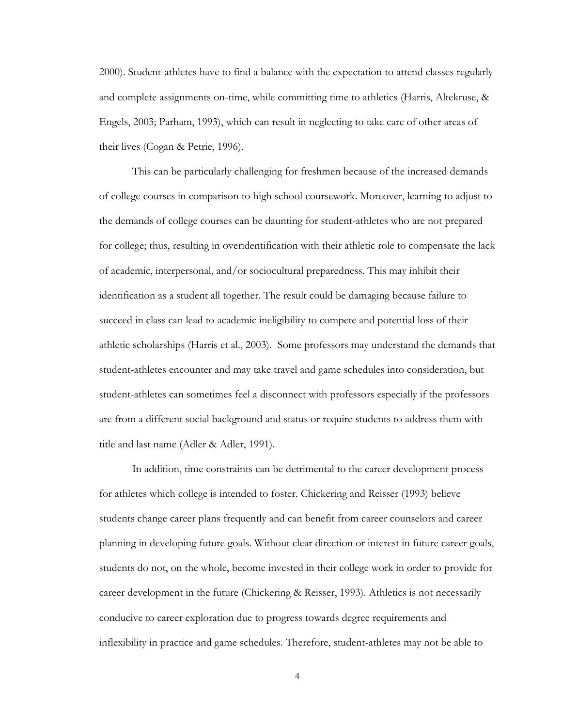2000). Student-athletes have to find a balance with the expectation to attend classes regularly and complete assignments on-time, while committing time to athletics (Harris, Altekruse, & Engels, 2003; Parham, 1993), which can result in neglecting to take care of other areas of their lives (Cogan & Petrie, 1996).

This can be particularly challenging for freshmen because of the increased demands of college courses in comparison to high school coursework. Moreover, learning to adjust to the demands of college courses can be daunting for student-athletes who are not prepared for college; thus, resulting in overidentification with their athletic role to compensate the lack of academic, interpersonal, and/or sociocultural preparedness. This may inhibit their identification as a student all together. The result could be damaging because failure to succeed in class can lead to academic ineligibility to compete and potential loss of their athletic scholarships (Harris et al., 2003). Some professors may understand the demands that student-athletes encounter and may take travel and game schedules into consideration, but student-athletes can sometimes feel a disconnect with professors especially if the professors are from a different social background and status or require students to address them with title and last name (Adler & Adler, 1991).

In addition, time constraints can be detrimental to the career development process for athletes which college is intended to foster. Chickering and Reisser (1993) believe students change career plans frequently and can benefit from career counselors and career planning in developing future goals. Without clear direction or interest in future career goals, students do not, on the whole, become invested in their college work in order to provide for career development in the future (Chickering & Reisser, 1993). Athletics is not necessarily conducive to career exploration due to progress towards degree requirements and inflexibility in practice and game schedules. Therefore, student-athletes may not be able to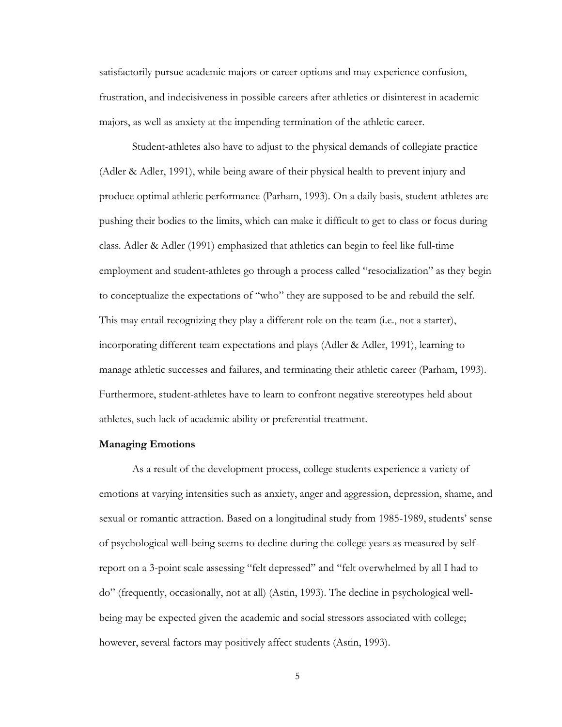satisfactorily pursue academic majors or career options and may experience confusion, frustration, and indecisiveness in possible careers after athletics or disinterest in academic majors, as well as anxiety at the impending termination of the athletic career.

Student-athletes also have to adjust to the physical demands of collegiate practice (Adler & Adler, 1991), while being aware of their physical health to prevent injury and produce optimal athletic performance (Parham, 1993). On a daily basis, student-athletes are pushing their bodies to the limits, which can make it difficult to get to class or focus during class. Adler & Adler (1991) emphasized that athletics can begin to feel like full-time employment and student-athletes go through a process called "resocialization" as they begin to conceptualize the expectations of "who" they are supposed to be and rebuild the self. This may entail recognizing they play a different role on the team (i.e., not a starter), incorporating different team expectations and plays (Adler & Adler, 1991), learning to manage athletic successes and failures, and terminating their athletic career (Parham, 1993). Furthermore, student-athletes have to learn to confront negative stereotypes held about athletes, such lack of academic ability or preferential treatment.

#### **Managing Emotions**

As a result of the development process, college students experience a variety of emotions at varying intensities such as anxiety, anger and aggression, depression, shame, and sexual or romantic attraction. Based on a longitudinal study from 1985-1989, students' sense of psychological well-being seems to decline during the college years as measured by selfreport on a 3-point scale assessing "felt depressed" and "felt overwhelmed by all I had to do" (frequently, occasionally, not at all) (Astin, 1993). The decline in psychological wellbeing may be expected given the academic and social stressors associated with college; however, several factors may positively affect students (Astin, 1993).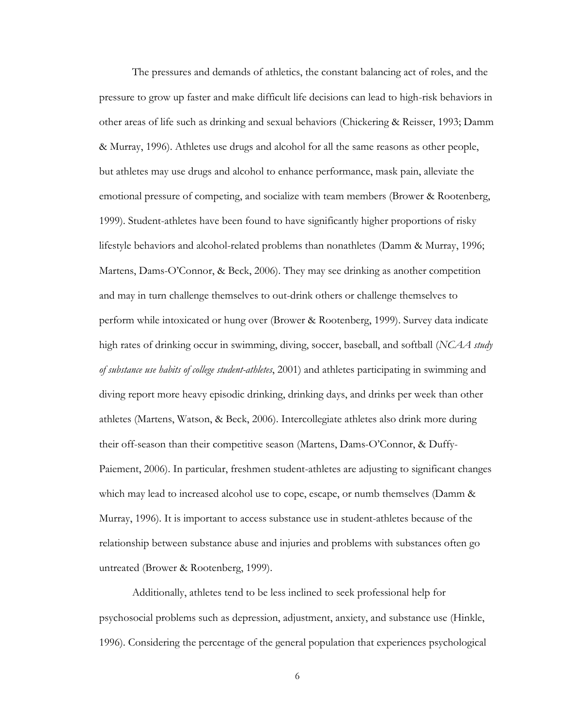The pressures and demands of athletics, the constant balancing act of roles, and the pressure to grow up faster and make difficult life decisions can lead to high-risk behaviors in other areas of life such as drinking and sexual behaviors (Chickering & Reisser, 1993; Damm & Murray, 1996). Athletes use drugs and alcohol for all the same reasons as other people, but athletes may use drugs and alcohol to enhance performance, mask pain, alleviate the emotional pressure of competing, and socialize with team members (Brower & Rootenberg, 1999). Student-athletes have been found to have significantly higher proportions of risky lifestyle behaviors and alcohol-related problems than nonathletes (Damm & Murray, 1996; Martens, Dams-O'Connor, & Beck, 2006). They may see drinking as another competition and may in turn challenge themselves to out-drink others or challenge themselves to perform while intoxicated or hung over (Brower & Rootenberg, 1999). Survey data indicate high rates of drinking occur in swimming, diving, soccer, baseball, and softball (*NCAA study of substance use habits of college student-athletes*, 2001) and athletes participating in swimming and diving report more heavy episodic drinking, drinking days, and drinks per week than other athletes (Martens, Watson, & Beck, 2006). Intercollegiate athletes also drink more during their off-season than their competitive season (Martens, Dams-O'Connor, & Duffy-Paiement, 2006). In particular, freshmen student-athletes are adjusting to significant changes which may lead to increased alcohol use to cope, escape, or numb themselves (Damm & Murray, 1996). It is important to access substance use in student-athletes because of the relationship between substance abuse and injuries and problems with substances often go untreated (Brower & Rootenberg, 1999).

Additionally, athletes tend to be less inclined to seek professional help for psychosocial problems such as depression, adjustment, anxiety, and substance use (Hinkle, 1996). Considering the percentage of the general population that experiences psychological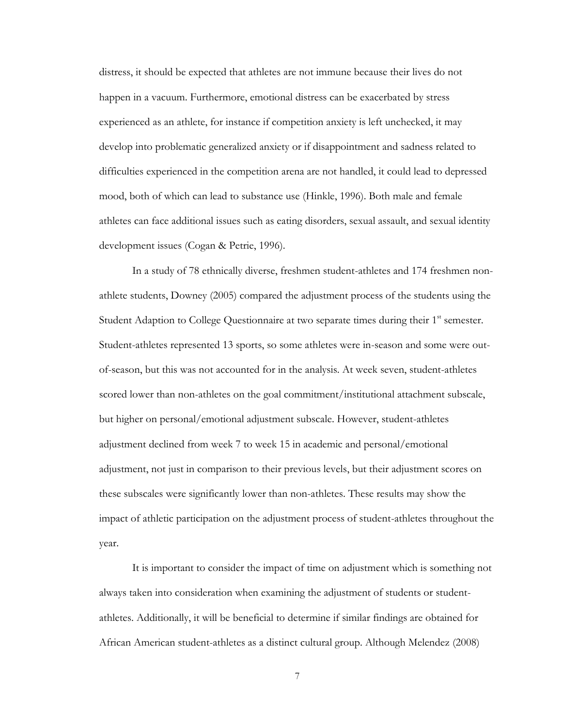distress, it should be expected that athletes are not immune because their lives do not happen in a vacuum. Furthermore, emotional distress can be exacerbated by stress experienced as an athlete, for instance if competition anxiety is left unchecked, it may develop into problematic generalized anxiety or if disappointment and sadness related to difficulties experienced in the competition arena are not handled, it could lead to depressed mood, both of which can lead to substance use (Hinkle, 1996). Both male and female athletes can face additional issues such as eating disorders, sexual assault, and sexual identity development issues (Cogan & Petrie, 1996).

In a study of 78 ethnically diverse, freshmen student-athletes and 174 freshmen nonathlete students, Downey (2005) compared the adjustment process of the students using the Student Adaption to College Questionnaire at two separate times during their  $1<sup>st</sup>$  semester. Student-athletes represented 13 sports, so some athletes were in-season and some were outof-season, but this was not accounted for in the analysis. At week seven, student-athletes scored lower than non-athletes on the goal commitment/institutional attachment subscale, but higher on personal/emotional adjustment subscale. However, student-athletes adjustment declined from week 7 to week 15 in academic and personal/emotional adjustment, not just in comparison to their previous levels, but their adjustment scores on these subscales were significantly lower than non-athletes. These results may show the impact of athletic participation on the adjustment process of student-athletes throughout the year.

It is important to consider the impact of time on adjustment which is something not always taken into consideration when examining the adjustment of students or studentathletes. Additionally, it will be beneficial to determine if similar findings are obtained for African American student-athletes as a distinct cultural group. Although Melendez (2008)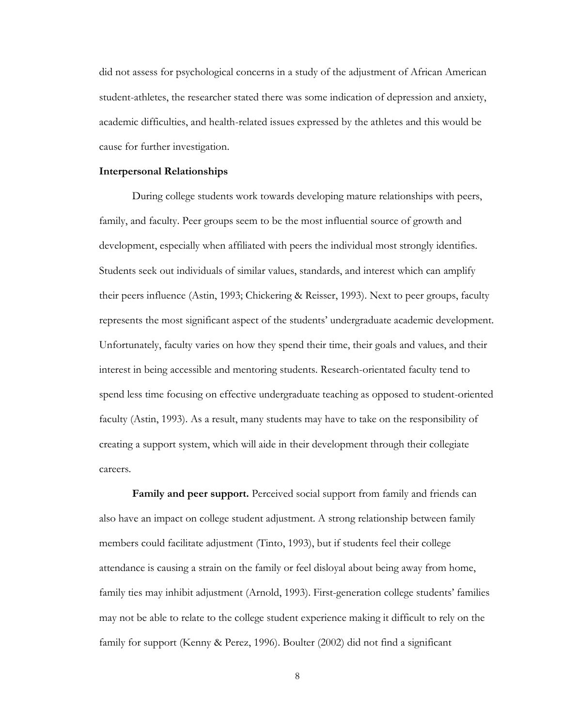did not assess for psychological concerns in a study of the adjustment of African American student-athletes, the researcher stated there was some indication of depression and anxiety, academic difficulties, and health-related issues expressed by the athletes and this would be cause for further investigation.

#### **Interpersonal Relationships**

During college students work towards developing mature relationships with peers, family, and faculty. Peer groups seem to be the most influential source of growth and development, especially when affiliated with peers the individual most strongly identifies. Students seek out individuals of similar values, standards, and interest which can amplify their peers influence (Astin, 1993; Chickering & Reisser, 1993). Next to peer groups, faculty represents the most significant aspect of the students' undergraduate academic development. Unfortunately, faculty varies on how they spend their time, their goals and values, and their interest in being accessible and mentoring students. Research-orientated faculty tend to spend less time focusing on effective undergraduate teaching as opposed to student-oriented faculty (Astin, 1993). As a result, many students may have to take on the responsibility of creating a support system, which will aide in their development through their collegiate careers.

**Family and peer support.** Perceived social support from family and friends can also have an impact on college student adjustment. A strong relationship between family members could facilitate adjustment (Tinto, 1993), but if students feel their college attendance is causing a strain on the family or feel disloyal about being away from home, family ties may inhibit adjustment (Arnold, 1993). First-generation college students' families may not be able to relate to the college student experience making it difficult to rely on the family for support (Kenny & Perez, 1996). Boulter (2002) did not find a significant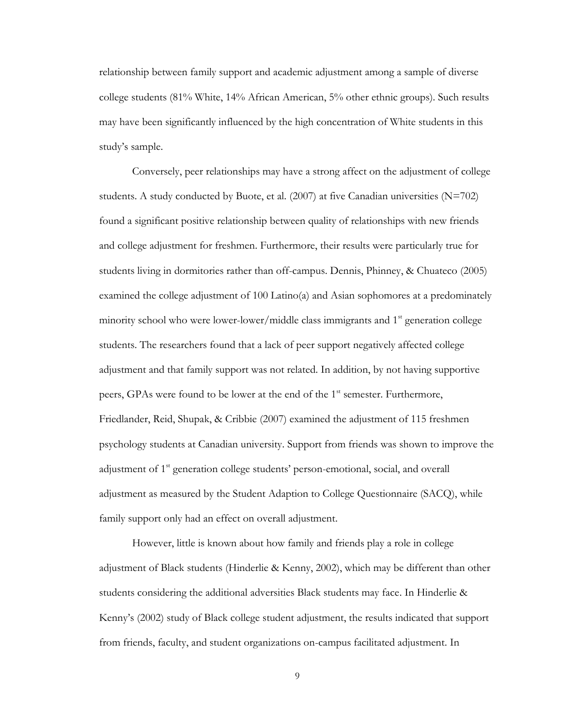relationship between family support and academic adjustment among a sample of diverse college students (81% White, 14% African American, 5% other ethnic groups). Such results may have been significantly influenced by the high concentration of White students in this study's sample.

Conversely, peer relationships may have a strong affect on the adjustment of college students. A study conducted by Buote, et al.  $(2007)$  at five Canadian universities  $(N=702)$ found a significant positive relationship between quality of relationships with new friends and college adjustment for freshmen. Furthermore, their results were particularly true for students living in dormitories rather than off-campus. Dennis, Phinney, & Chuateco (2005) examined the college adjustment of 100 Latino(a) and Asian sophomores at a predominately minority school who were lower-lower/middle class immigrants and  $1<sup>st</sup>$  generation college students. The researchers found that a lack of peer support negatively affected college adjustment and that family support was not related. In addition, by not having supportive peers, GPAs were found to be lower at the end of the  $1<sup>st</sup>$  semester. Furthermore, Friedlander, Reid, Shupak, & Cribbie (2007) examined the adjustment of 115 freshmen psychology students at Canadian university. Support from friends was shown to improve the adjustment of 1<sup>st</sup> generation college students' person-emotional, social, and overall adjustment as measured by the Student Adaption to College Questionnaire (SACQ), while family support only had an effect on overall adjustment.

However, little is known about how family and friends play a role in college adjustment of Black students (Hinderlie & Kenny, 2002), which may be different than other students considering the additional adversities Black students may face. In Hinderlie & Kenny's (2002) study of Black college student adjustment, the results indicated that support from friends, faculty, and student organizations on-campus facilitated adjustment. In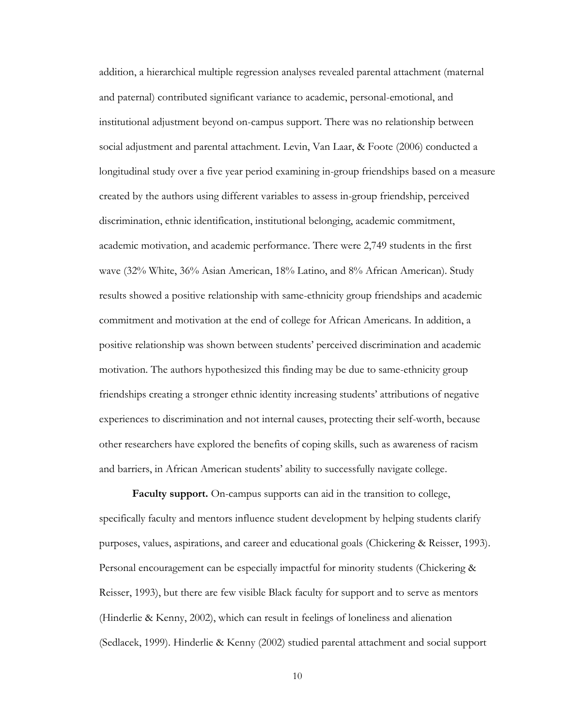addition, a hierarchical multiple regression analyses revealed parental attachment (maternal and paternal) contributed significant variance to academic, personal-emotional, and institutional adjustment beyond on-campus support. There was no relationship between social adjustment and parental attachment. Levin, Van Laar, & Foote (2006) conducted a longitudinal study over a five year period examining in-group friendships based on a measure created by the authors using different variables to assess in-group friendship, perceived discrimination, ethnic identification, institutional belonging, academic commitment, academic motivation, and academic performance. There were 2,749 students in the first wave (32% White, 36% Asian American, 18% Latino, and 8% African American). Study results showed a positive relationship with same-ethnicity group friendships and academic commitment and motivation at the end of college for African Americans. In addition, a positive relationship was shown between students' perceived discrimination and academic motivation. The authors hypothesized this finding may be due to same-ethnicity group friendships creating a stronger ethnic identity increasing students' attributions of negative experiences to discrimination and not internal causes, protecting their self-worth, because other researchers have explored the benefits of coping skills, such as awareness of racism and barriers, in African American students' ability to successfully navigate college.

**Faculty support.** On-campus supports can aid in the transition to college, specifically faculty and mentors influence student development by helping students clarify purposes, values, aspirations, and career and educational goals (Chickering & Reisser, 1993). Personal encouragement can be especially impactful for minority students (Chickering & Reisser, 1993), but there are few visible Black faculty for support and to serve as mentors (Hinderlie & Kenny, 2002), which can result in feelings of loneliness and alienation (Sedlacek, 1999). Hinderlie & Kenny (2002) studied parental attachment and social support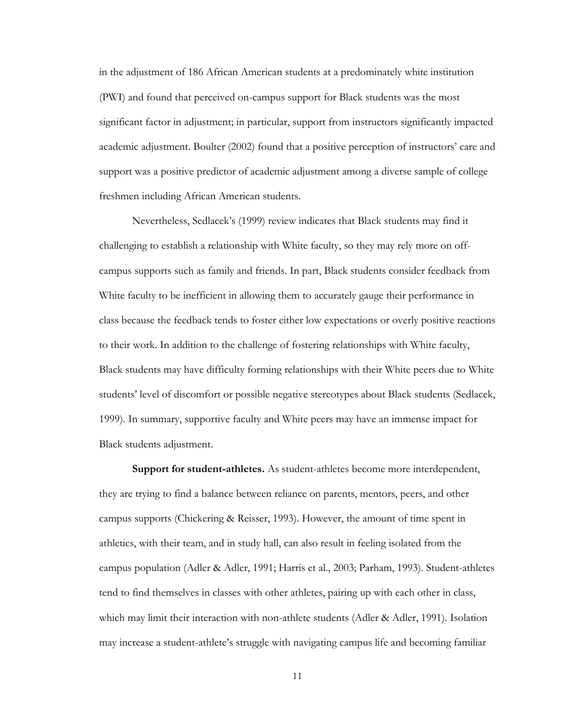in the adjustment of 186 African American students at a predominately white institution (PWI) and found that perceived on-campus support for Black students was the most significant factor in adjustment; in particular, support from instructors significantly impacted academic adjustment. Boulter (2002) found that a positive perception of instructors' care and support was a positive predictor of academic adjustment among a diverse sample of college freshmen including African American students.

Nevertheless, Sedlacek's (1999) review indicates that Black students may find it challenging to establish a relationship with White faculty, so they may rely more on offcampus supports such as family and friends. In part, Black students consider feedback from White faculty to be inefficient in allowing them to accurately gauge their performance in class because the feedback tends to foster either low expectations or overly positive reactions to their work. In addition to the challenge of fostering relationships with White faculty, Black students may have difficulty forming relationships with their White peers due to White students' level of discomfort or possible negative stereotypes about Black students (Sedlacek, 1999). In summary, supportive faculty and White peers may have an immense impact for Black students adjustment.

**Support for student-athletes.** As student-athletes become more interdependent, they are trying to find a balance between reliance on parents, mentors, peers, and other campus supports (Chickering & Reisser, 1993). However, the amount of time spent in athletics, with their team, and in study hall, can also result in feeling isolated from the campus population (Adler & Adler, 1991; Harris et al., 2003; Parham, 1993). Student-athletes tend to find themselves in classes with other athletes, pairing up with each other in class, which may limit their interaction with non-athlete students (Adler & Adler, 1991). Isolation may increase a student-athlete's struggle with navigating campus life and becoming familiar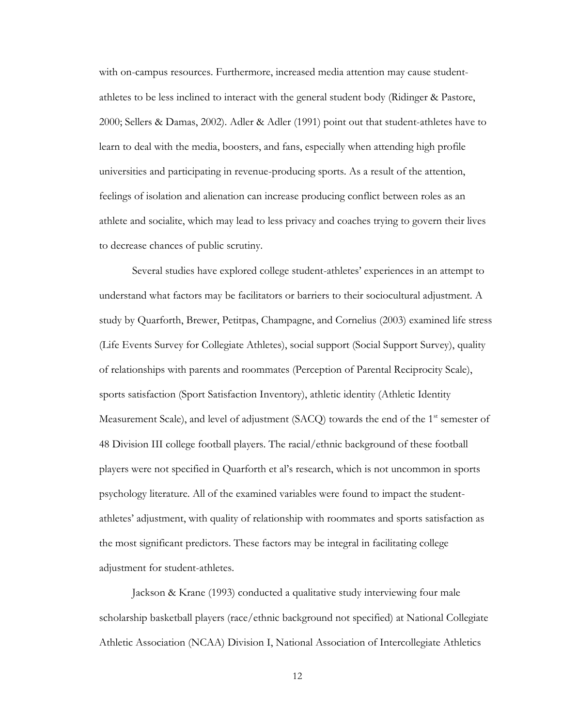with on-campus resources. Furthermore, increased media attention may cause studentathletes to be less inclined to interact with the general student body (Ridinger & Pastore, 2000; Sellers & Damas, 2002). Adler & Adler (1991) point out that student-athletes have to learn to deal with the media, boosters, and fans, especially when attending high profile universities and participating in revenue-producing sports. As a result of the attention, feelings of isolation and alienation can increase producing conflict between roles as an athlete and socialite, which may lead to less privacy and coaches trying to govern their lives to decrease chances of public scrutiny.

Several studies have explored college student-athletes' experiences in an attempt to understand what factors may be facilitators or barriers to their sociocultural adjustment. A study by Quarforth, Brewer, Petitpas, Champagne, and Cornelius (2003) examined life stress (Life Events Survey for Collegiate Athletes), social support (Social Support Survey), quality of relationships with parents and roommates (Perception of Parental Reciprocity Scale), sports satisfaction (Sport Satisfaction Inventory), athletic identity (Athletic Identity Measurement Scale), and level of adjustment (SACQ) towards the end of the 1<sup>st</sup> semester of 48 Division III college football players. The racial/ethnic background of these football players were not specified in Quarforth et al's research, which is not uncommon in sports psychology literature. All of the examined variables were found to impact the studentathletes' adjustment, with quality of relationship with roommates and sports satisfaction as the most significant predictors. These factors may be integral in facilitating college adjustment for student-athletes.

Jackson & Krane (1993) conducted a qualitative study interviewing four male scholarship basketball players (race/ethnic background not specified) at National Collegiate Athletic Association (NCAA) Division I, National Association of Intercollegiate Athletics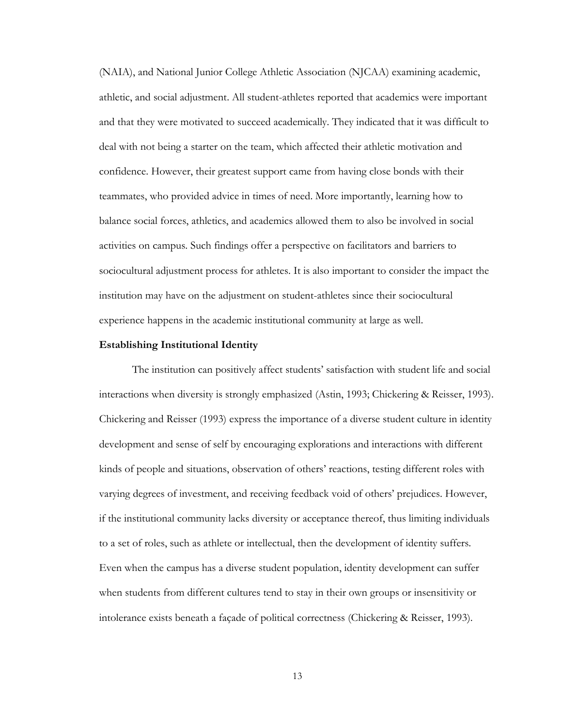(NAIA), and National Junior College Athletic Association (NJCAA) examining academic, athletic, and social adjustment. All student-athletes reported that academics were important and that they were motivated to succeed academically. They indicated that it was difficult to deal with not being a starter on the team, which affected their athletic motivation and confidence. However, their greatest support came from having close bonds with their teammates, who provided advice in times of need. More importantly, learning how to balance social forces, athletics, and academics allowed them to also be involved in social activities on campus. Such findings offer a perspective on facilitators and barriers to sociocultural adjustment process for athletes. It is also important to consider the impact the institution may have on the adjustment on student-athletes since their sociocultural experience happens in the academic institutional community at large as well.

#### **Establishing Institutional Identity**

The institution can positively affect students' satisfaction with student life and social interactions when diversity is strongly emphasized (Astin, 1993; Chickering & Reisser, 1993). Chickering and Reisser (1993) express the importance of a diverse student culture in identity development and sense of self by encouraging explorations and interactions with different kinds of people and situations, observation of others' reactions, testing different roles with varying degrees of investment, and receiving feedback void of others' prejudices. However, if the institutional community lacks diversity or acceptance thereof, thus limiting individuals to a set of roles, such as athlete or intellectual, then the development of identity suffers. Even when the campus has a diverse student population, identity development can suffer when students from different cultures tend to stay in their own groups or insensitivity or intolerance exists beneath a façade of political correctness (Chickering & Reisser, 1993).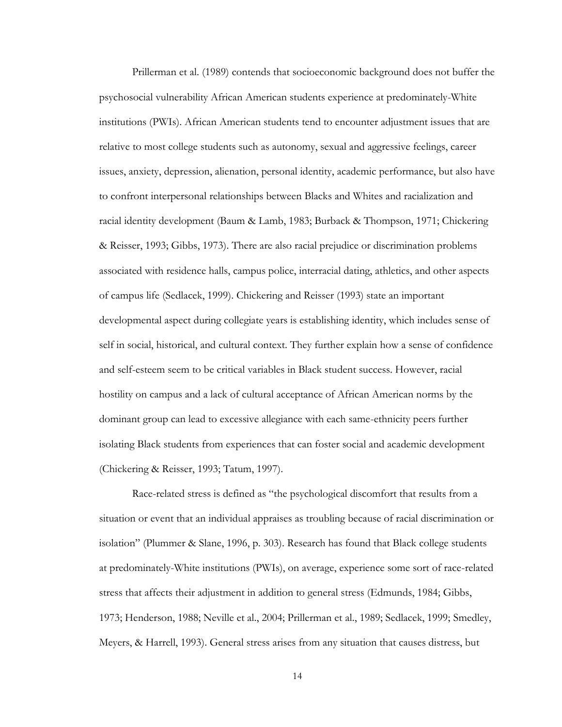Prillerman et al. (1989) contends that socioeconomic background does not buffer the psychosocial vulnerability African American students experience at predominately-White institutions (PWIs). African American students tend to encounter adjustment issues that are relative to most college students such as autonomy, sexual and aggressive feelings, career issues, anxiety, depression, alienation, personal identity, academic performance, but also have to confront interpersonal relationships between Blacks and Whites and racialization and racial identity development (Baum & Lamb, 1983; Burback & Thompson, 1971; Chickering & Reisser, 1993; Gibbs, 1973). There are also racial prejudice or discrimination problems associated with residence halls, campus police, interracial dating, athletics, and other aspects of campus life (Sedlacek, 1999). Chickering and Reisser (1993) state an important developmental aspect during collegiate years is establishing identity, which includes sense of self in social, historical, and cultural context. They further explain how a sense of confidence and self-esteem seem to be critical variables in Black student success. However, racial hostility on campus and a lack of cultural acceptance of African American norms by the dominant group can lead to excessive allegiance with each same-ethnicity peers further isolating Black students from experiences that can foster social and academic development (Chickering & Reisser, 1993; Tatum, 1997).

Race-related stress is defined as "the psychological discomfort that results from a situation or event that an individual appraises as troubling because of racial discrimination or isolation" (Plummer & Slane, 1996, p. 303). Research has found that Black college students at predominately-White institutions (PWIs), on average, experience some sort of race-related stress that affects their adjustment in addition to general stress (Edmunds, 1984; Gibbs, 1973; Henderson, 1988; Neville et al., 2004; Prillerman et al., 1989; Sedlacek, 1999; Smedley, Meyers, & Harrell, 1993). General stress arises from any situation that causes distress, but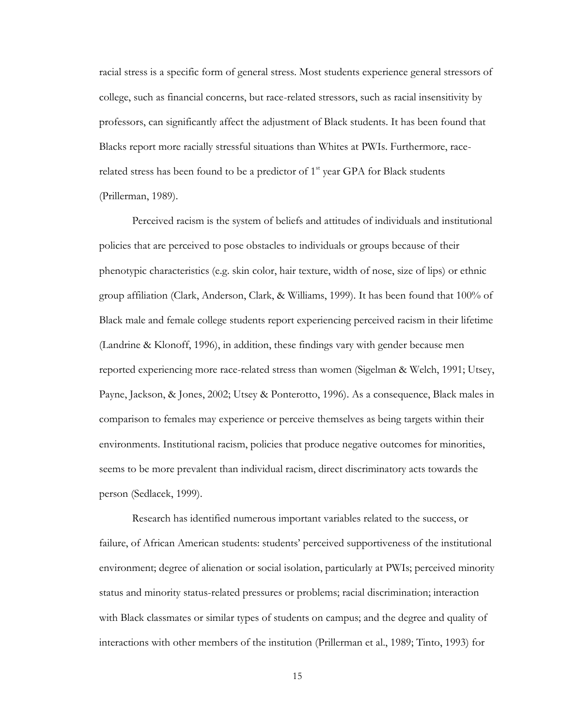racial stress is a specific form of general stress. Most students experience general stressors of college, such as financial concerns, but race-related stressors, such as racial insensitivity by professors, can significantly affect the adjustment of Black students. It has been found that Blacks report more racially stressful situations than Whites at PWIs. Furthermore, racerelated stress has been found to be a predictor of  $1<sup>st</sup>$  year GPA for Black students (Prillerman, 1989).

Perceived racism is the system of beliefs and attitudes of individuals and institutional policies that are perceived to pose obstacles to individuals or groups because of their phenotypic characteristics (e.g. skin color, hair texture, width of nose, size of lips) or ethnic group affiliation (Clark, Anderson, Clark, & Williams, 1999). It has been found that 100% of Black male and female college students report experiencing perceived racism in their lifetime (Landrine & Klonoff, 1996), in addition, these findings vary with gender because men reported experiencing more race-related stress than women (Sigelman & Welch, 1991; Utsey, Payne, Jackson, & Jones, 2002; Utsey & Ponterotto, 1996). As a consequence, Black males in comparison to females may experience or perceive themselves as being targets within their environments. Institutional racism, policies that produce negative outcomes for minorities, seems to be more prevalent than individual racism, direct discriminatory acts towards the person (Sedlacek, 1999).

Research has identified numerous important variables related to the success, or failure, of African American students: students' perceived supportiveness of the institutional environment; degree of alienation or social isolation, particularly at PWIs; perceived minority status and minority status-related pressures or problems; racial discrimination; interaction with Black classmates or similar types of students on campus; and the degree and quality of interactions with other members of the institution (Prillerman et al., 1989; Tinto, 1993) for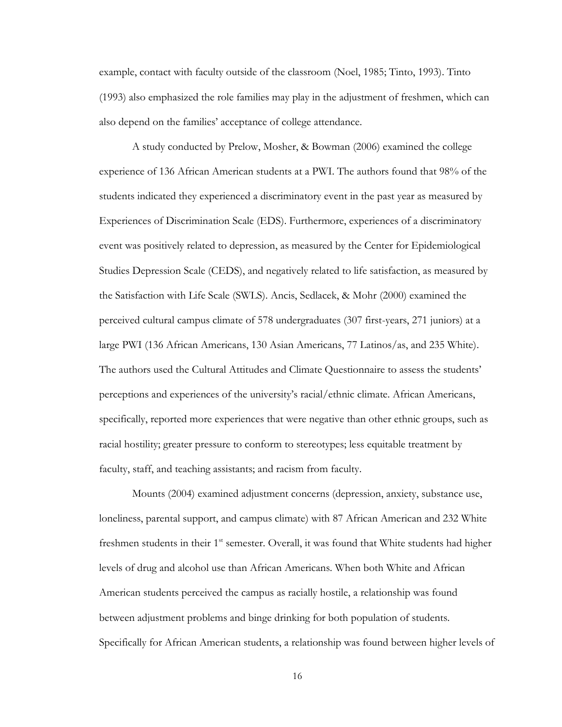example, contact with faculty outside of the classroom (Noel, 1985; Tinto, 1993). Tinto (1993) also emphasized the role families may play in the adjustment of freshmen, which can also depend on the families' acceptance of college attendance.

A study conducted by Prelow, Mosher, & Bowman (2006) examined the college experience of 136 African American students at a PWI. The authors found that 98% of the students indicated they experienced a discriminatory event in the past year as measured by Experiences of Discrimination Scale (EDS). Furthermore, experiences of a discriminatory event was positively related to depression, as measured by the Center for Epidemiological Studies Depression Scale (CEDS), and negatively related to life satisfaction, as measured by the Satisfaction with Life Scale (SWLS). Ancis, Sedlacek, & Mohr (2000) examined the perceived cultural campus climate of 578 undergraduates (307 first-years, 271 juniors) at a large PWI (136 African Americans, 130 Asian Americans, 77 Latinos/as, and 235 White). The authors used the Cultural Attitudes and Climate Questionnaire to assess the students' perceptions and experiences of the university's racial/ethnic climate. African Americans, specifically, reported more experiences that were negative than other ethnic groups, such as racial hostility; greater pressure to conform to stereotypes; less equitable treatment by faculty, staff, and teaching assistants; and racism from faculty.

Mounts (2004) examined adjustment concerns (depression, anxiety, substance use, loneliness, parental support, and campus climate) with 87 African American and 232 White freshmen students in their  $1<sup>st</sup>$  semester. Overall, it was found that White students had higher levels of drug and alcohol use than African Americans. When both White and African American students perceived the campus as racially hostile, a relationship was found between adjustment problems and binge drinking for both population of students. Specifically for African American students, a relationship was found between higher levels of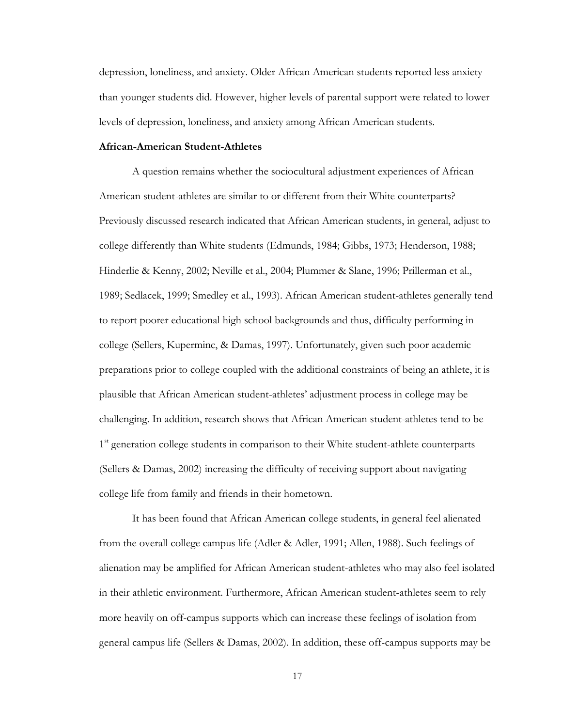depression, loneliness, and anxiety. Older African American students reported less anxiety than younger students did. However, higher levels of parental support were related to lower levels of depression, loneliness, and anxiety among African American students.

### **African-American Student-Athletes**

A question remains whether the sociocultural adjustment experiences of African American student-athletes are similar to or different from their White counterparts? Previously discussed research indicated that African American students, in general, adjust to college differently than White students (Edmunds, 1984; Gibbs, 1973; Henderson, 1988; Hinderlie & Kenny, 2002; Neville et al., 2004; Plummer & Slane, 1996; Prillerman et al., 1989; Sedlacek, 1999; Smedley et al., 1993). African American student-athletes generally tend to report poorer educational high school backgrounds and thus, difficulty performing in college (Sellers, Kuperminc, & Damas, 1997). Unfortunately, given such poor academic preparations prior to college coupled with the additional constraints of being an athlete, it is plausible that African American student-athletes' adjustment process in college may be challenging. In addition, research shows that African American student-athletes tend to be 1<sup>st</sup> generation college students in comparison to their White student-athlete counterparts (Sellers & Damas, 2002) increasing the difficulty of receiving support about navigating college life from family and friends in their hometown.

It has been found that African American college students, in general feel alienated from the overall college campus life (Adler & Adler, 1991; Allen, 1988). Such feelings of alienation may be amplified for African American student-athletes who may also feel isolated in their athletic environment. Furthermore, African American student-athletes seem to rely more heavily on off-campus supports which can increase these feelings of isolation from general campus life (Sellers & Damas, 2002). In addition, these off-campus supports may be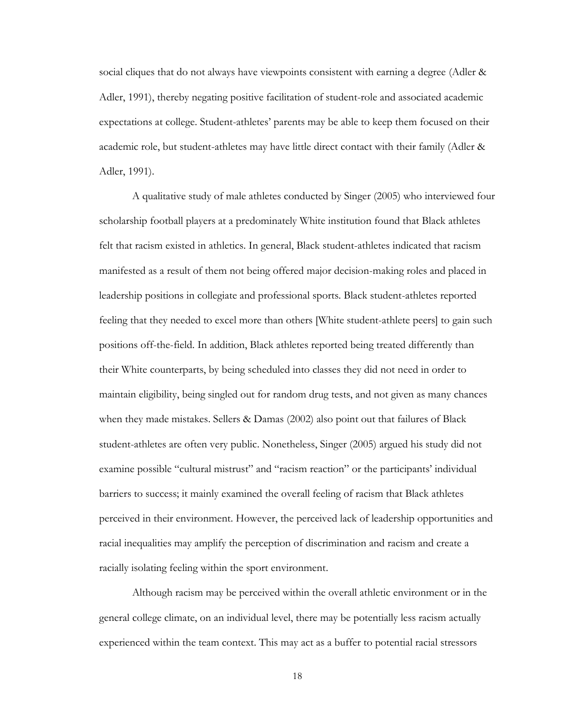social cliques that do not always have viewpoints consistent with earning a degree (Adler & Adler, 1991), thereby negating positive facilitation of student-role and associated academic expectations at college. Student-athletes' parents may be able to keep them focused on their academic role, but student-athletes may have little direct contact with their family (Adler & Adler, 1991).

A qualitative study of male athletes conducted by Singer (2005) who interviewed four scholarship football players at a predominately White institution found that Black athletes felt that racism existed in athletics. In general, Black student-athletes indicated that racism manifested as a result of them not being offered major decision-making roles and placed in leadership positions in collegiate and professional sports. Black student-athletes reported feeling that they needed to excel more than others [White student-athlete peers] to gain such positions off-the-field. In addition, Black athletes reported being treated differently than their White counterparts, by being scheduled into classes they did not need in order to maintain eligibility, being singled out for random drug tests, and not given as many chances when they made mistakes. Sellers & Damas (2002) also point out that failures of Black student-athletes are often very public. Nonetheless, Singer (2005) argued his study did not examine possible "cultural mistrust" and "racism reaction" or the participants' individual barriers to success; it mainly examined the overall feeling of racism that Black athletes perceived in their environment. However, the perceived lack of leadership opportunities and racial inequalities may amplify the perception of discrimination and racism and create a racially isolating feeling within the sport environment.

Although racism may be perceived within the overall athletic environment or in the general college climate, on an individual level, there may be potentially less racism actually experienced within the team context. This may act as a buffer to potential racial stressors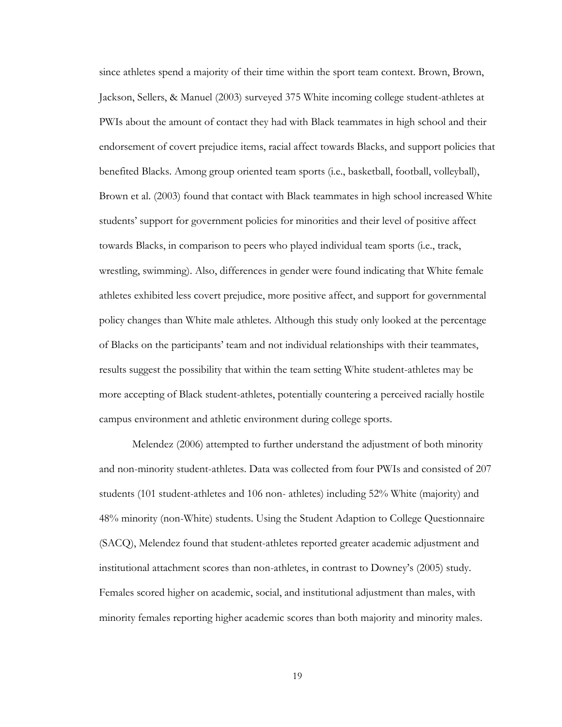since athletes spend a majority of their time within the sport team context. Brown, Brown, Jackson, Sellers, & Manuel (2003) surveyed 375 White incoming college student-athletes at PWIs about the amount of contact they had with Black teammates in high school and their endorsement of covert prejudice items, racial affect towards Blacks, and support policies that benefited Blacks. Among group oriented team sports (i.e., basketball, football, volleyball), Brown et al. (2003) found that contact with Black teammates in high school increased White students' support for government policies for minorities and their level of positive affect towards Blacks, in comparison to peers who played individual team sports (i.e., track, wrestling, swimming). Also, differences in gender were found indicating that White female athletes exhibited less covert prejudice, more positive affect, and support for governmental policy changes than White male athletes. Although this study only looked at the percentage of Blacks on the participants' team and not individual relationships with their teammates, results suggest the possibility that within the team setting White student-athletes may be more accepting of Black student-athletes, potentially countering a perceived racially hostile campus environment and athletic environment during college sports.

Melendez (2006) attempted to further understand the adjustment of both minority and non-minority student-athletes. Data was collected from four PWIs and consisted of 207 students (101 student-athletes and 106 non- athletes) including 52% White (majority) and 48% minority (non-White) students. Using the Student Adaption to College Questionnaire (SACQ), Melendez found that student-athletes reported greater academic adjustment and institutional attachment scores than non-athletes, in contrast to Downey's (2005) study. Females scored higher on academic, social, and institutional adjustment than males, with minority females reporting higher academic scores than both majority and minority males.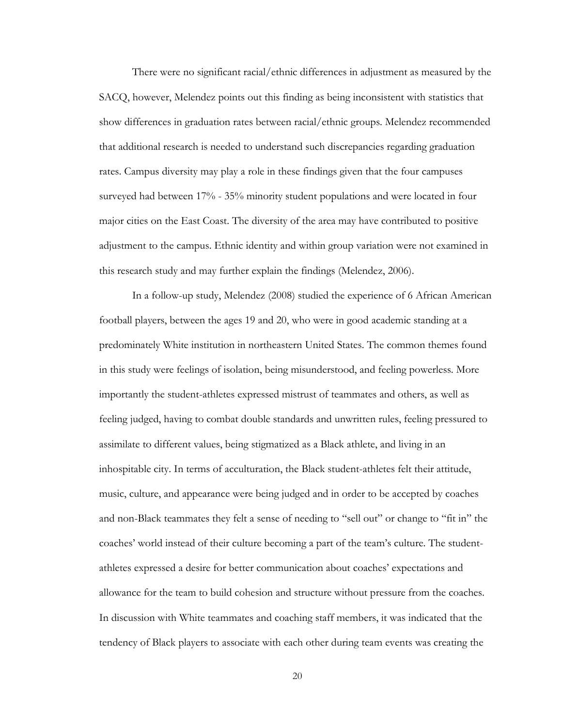There were no significant racial/ethnic differences in adjustment as measured by the SACQ, however, Melendez points out this finding as being inconsistent with statistics that show differences in graduation rates between racial/ethnic groups. Melendez recommended that additional research is needed to understand such discrepancies regarding graduation rates. Campus diversity may play a role in these findings given that the four campuses surveyed had between 17% - 35% minority student populations and were located in four major cities on the East Coast. The diversity of the area may have contributed to positive adjustment to the campus. Ethnic identity and within group variation were not examined in this research study and may further explain the findings (Melendez, 2006).

In a follow-up study, Melendez (2008) studied the experience of 6 African American football players, between the ages 19 and 20, who were in good academic standing at a predominately White institution in northeastern United States. The common themes found in this study were feelings of isolation, being misunderstood, and feeling powerless. More importantly the student-athletes expressed mistrust of teammates and others, as well as feeling judged, having to combat double standards and unwritten rules, feeling pressured to assimilate to different values, being stigmatized as a Black athlete, and living in an inhospitable city. In terms of acculturation, the Black student-athletes felt their attitude, music, culture, and appearance were being judged and in order to be accepted by coaches and non-Black teammates they felt a sense of needing to "sell out" or change to "fit in" the coaches' world instead of their culture becoming a part of the team's culture. The studentathletes expressed a desire for better communication about coaches' expectations and allowance for the team to build cohesion and structure without pressure from the coaches. In discussion with White teammates and coaching staff members, it was indicated that the tendency of Black players to associate with each other during team events was creating the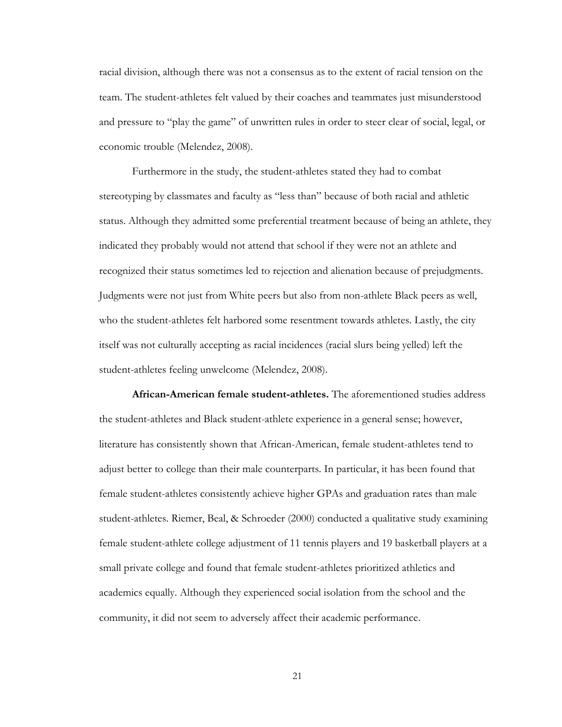racial division, although there was not a consensus as to the extent of racial tension on the team. The student-athletes felt valued by their coaches and teammates just misunderstood and pressure to "play the game" of unwritten rules in order to steer clear of social, legal, or economic trouble (Melendez, 2008).

Furthermore in the study, the student-athletes stated they had to combat stereotyping by classmates and faculty as "less than" because of both racial and athletic status. Although they admitted some preferential treatment because of being an athlete, they indicated they probably would not attend that school if they were not an athlete and recognized their status sometimes led to rejection and alienation because of prejudgments. Judgments were not just from White peers but also from non-athlete Black peers as well, who the student-athletes felt harbored some resentment towards athletes. Lastly, the city itself was not culturally accepting as racial incidences (racial slurs being yelled) left the student-athletes feeling unwelcome (Melendez, 2008).

**African-American female student-athletes.** The aforementioned studies address the student-athletes and Black student-athlete experience in a general sense; however, literature has consistently shown that African-American, female student-athletes tend to adjust better to college than their male counterparts. In particular, it has been found that female student-athletes consistently achieve higher GPAs and graduation rates than male student-athletes. Riemer, Beal, & Schroeder (2000) conducted a qualitative study examining female student-athlete college adjustment of 11 tennis players and 19 basketball players at a small private college and found that female student-athletes prioritized athletics and academics equally. Although they experienced social isolation from the school and the community, it did not seem to adversely affect their academic performance.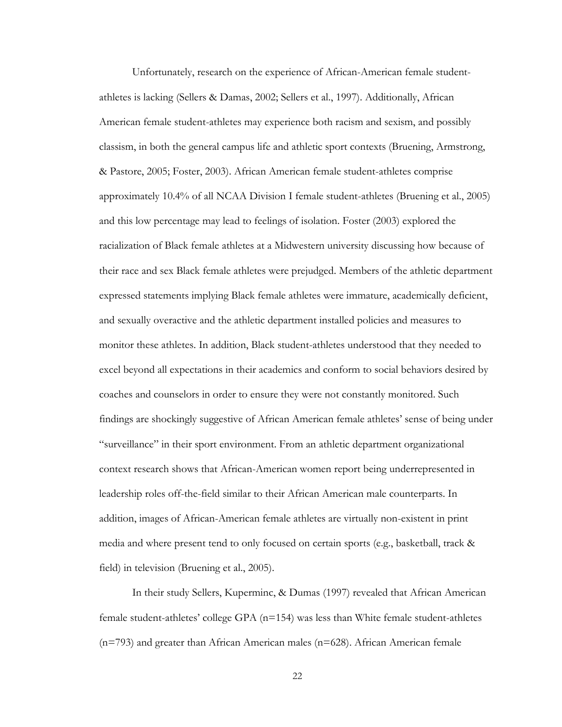Unfortunately, research on the experience of African-American female studentathletes is lacking (Sellers & Damas, 2002; Sellers et al., 1997). Additionally, African American female student-athletes may experience both racism and sexism, and possibly classism, in both the general campus life and athletic sport contexts (Bruening, Armstrong, & Pastore, 2005; Foster, 2003). African American female student-athletes comprise approximately 10.4% of all NCAA Division I female student-athletes (Bruening et al., 2005) and this low percentage may lead to feelings of isolation. Foster (2003) explored the racialization of Black female athletes at a Midwestern university discussing how because of their race and sex Black female athletes were prejudged. Members of the athletic department expressed statements implying Black female athletes were immature, academically deficient, and sexually overactive and the athletic department installed policies and measures to monitor these athletes. In addition, Black student-athletes understood that they needed to excel beyond all expectations in their academics and conform to social behaviors desired by coaches and counselors in order to ensure they were not constantly monitored. Such findings are shockingly suggestive of African American female athletes' sense of being under "surveillance" in their sport environment. From an athletic department organizational context research shows that African-American women report being underrepresented in leadership roles off-the-field similar to their African American male counterparts. In addition, images of African-American female athletes are virtually non-existent in print media and where present tend to only focused on certain sports (e.g., basketball, track & field) in television (Bruening et al., 2005).

In their study Sellers, Kuperminc, & Dumas (1997) revealed that African American female student-athletes' college GPA  $(n=154)$  was less than White female student-athletes (n=793) and greater than African American males (n=628). African American female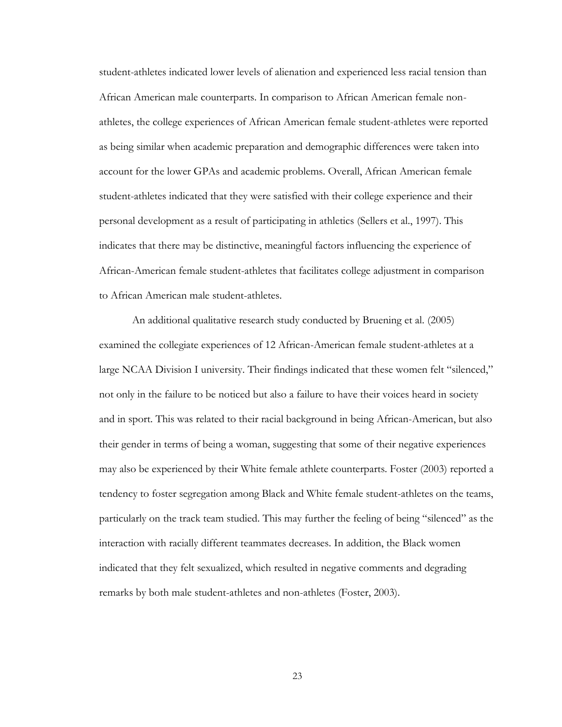student-athletes indicated lower levels of alienation and experienced less racial tension than African American male counterparts. In comparison to African American female nonathletes, the college experiences of African American female student-athletes were reported as being similar when academic preparation and demographic differences were taken into account for the lower GPAs and academic problems. Overall, African American female student-athletes indicated that they were satisfied with their college experience and their personal development as a result of participating in athletics (Sellers et al., 1997). This indicates that there may be distinctive, meaningful factors influencing the experience of African-American female student-athletes that facilitates college adjustment in comparison to African American male student-athletes.

An additional qualitative research study conducted by Bruening et al. (2005) examined the collegiate experiences of 12 African-American female student-athletes at a large NCAA Division I university. Their findings indicated that these women felt "silenced," not only in the failure to be noticed but also a failure to have their voices heard in society and in sport. This was related to their racial background in being African-American, but also their gender in terms of being a woman, suggesting that some of their negative experiences may also be experienced by their White female athlete counterparts. Foster (2003) reported a tendency to foster segregation among Black and White female student-athletes on the teams, particularly on the track team studied. This may further the feeling of being "silenced" as the interaction with racially different teammates decreases. In addition, the Black women indicated that they felt sexualized, which resulted in negative comments and degrading remarks by both male student-athletes and non-athletes (Foster, 2003).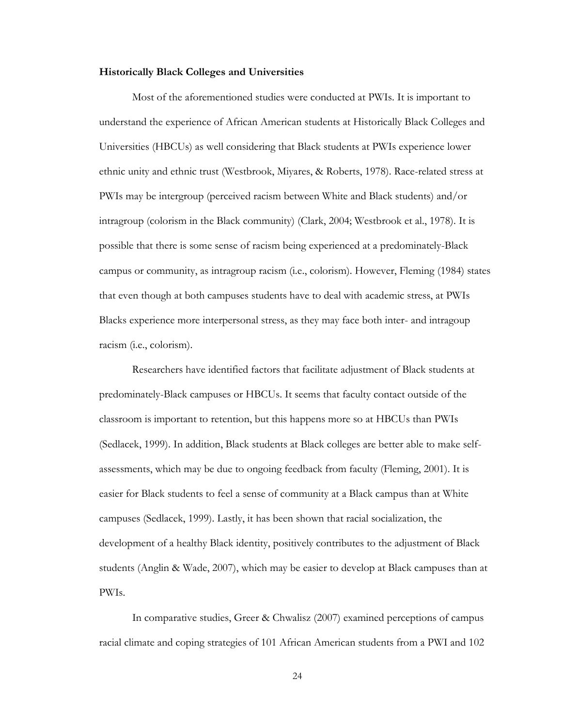#### **Historically Black Colleges and Universities**

Most of the aforementioned studies were conducted at PWIs. It is important to understand the experience of African American students at Historically Black Colleges and Universities (HBCUs) as well considering that Black students at PWIs experience lower ethnic unity and ethnic trust (Westbrook, Miyares, & Roberts, 1978). Race-related stress at PWIs may be intergroup (perceived racism between White and Black students) and/or intragroup (colorism in the Black community) (Clark, 2004; Westbrook et al., 1978). It is possible that there is some sense of racism being experienced at a predominately-Black campus or community, as intragroup racism (i.e., colorism). However, Fleming (1984) states that even though at both campuses students have to deal with academic stress, at PWIs Blacks experience more interpersonal stress, as they may face both inter- and intragoup racism (i.e., colorism).

Researchers have identified factors that facilitate adjustment of Black students at predominately-Black campuses or HBCUs. It seems that faculty contact outside of the classroom is important to retention, but this happens more so at HBCUs than PWIs (Sedlacek, 1999). In addition, Black students at Black colleges are better able to make selfassessments, which may be due to ongoing feedback from faculty (Fleming, 2001). It is easier for Black students to feel a sense of community at a Black campus than at White campuses (Sedlacek, 1999). Lastly, it has been shown that racial socialization, the development of a healthy Black identity, positively contributes to the adjustment of Black students (Anglin & Wade, 2007), which may be easier to develop at Black campuses than at PWIs.

In comparative studies, Greer & Chwalisz (2007) examined perceptions of campus racial climate and coping strategies of 101 African American students from a PWI and 102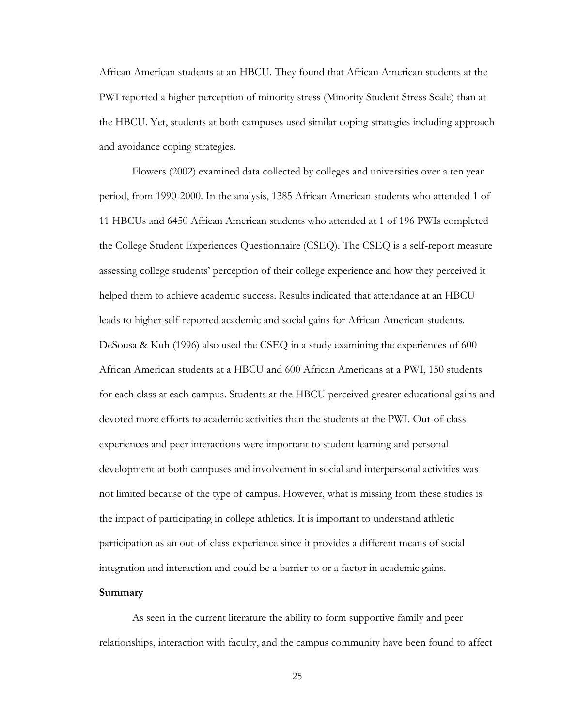African American students at an HBCU. They found that African American students at the PWI reported a higher perception of minority stress (Minority Student Stress Scale) than at the HBCU. Yet, students at both campuses used similar coping strategies including approach and avoidance coping strategies.

Flowers (2002) examined data collected by colleges and universities over a ten year period, from 1990-2000. In the analysis, 1385 African American students who attended 1 of 11 HBCUs and 6450 African American students who attended at 1 of 196 PWIs completed the College Student Experiences Questionnaire (CSEQ). The CSEQ is a self-report measure assessing college students' perception of their college experience and how they perceived it helped them to achieve academic success. Results indicated that attendance at an HBCU leads to higher self-reported academic and social gains for African American students. DeSousa & Kuh (1996) also used the CSEQ in a study examining the experiences of 600 African American students at a HBCU and 600 African Americans at a PWI, 150 students for each class at each campus. Students at the HBCU perceived greater educational gains and devoted more efforts to academic activities than the students at the PWI. Out-of-class experiences and peer interactions were important to student learning and personal development at both campuses and involvement in social and interpersonal activities was not limited because of the type of campus. However, what is missing from these studies is the impact of participating in college athletics. It is important to understand athletic participation as an out-of-class experience since it provides a different means of social integration and interaction and could be a barrier to or a factor in academic gains.

### **Summary**

As seen in the current literature the ability to form supportive family and peer relationships, interaction with faculty, and the campus community have been found to affect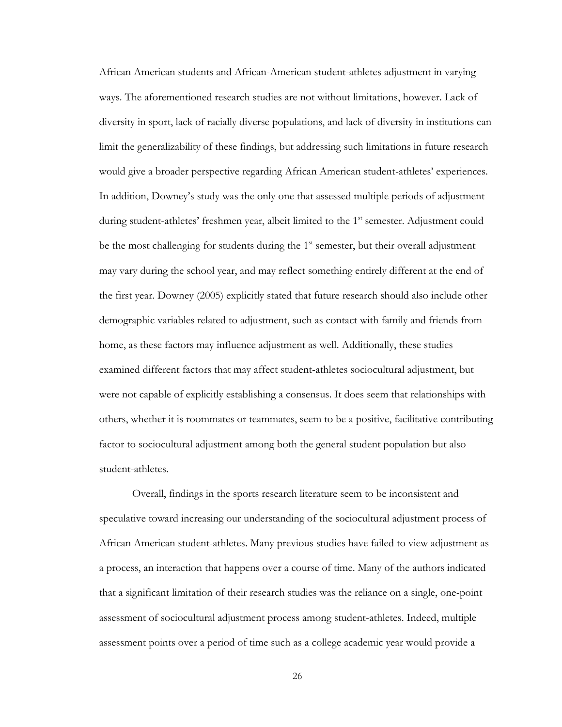African American students and African-American student-athletes adjustment in varying ways. The aforementioned research studies are not without limitations, however. Lack of diversity in sport, lack of racially diverse populations, and lack of diversity in institutions can limit the generalizability of these findings, but addressing such limitations in future research would give a broader perspective regarding African American student-athletes' experiences. In addition, Downey's study was the only one that assessed multiple periods of adjustment during student-athletes' freshmen year, albeit limited to the 1<sup>st</sup> semester. Adjustment could be the most challenging for students during the  $1<sup>st</sup>$  semester, but their overall adjustment may vary during the school year, and may reflect something entirely different at the end of the first year. Downey (2005) explicitly stated that future research should also include other demographic variables related to adjustment, such as contact with family and friends from home, as these factors may influence adjustment as well. Additionally, these studies examined different factors that may affect student-athletes sociocultural adjustment, but were not capable of explicitly establishing a consensus. It does seem that relationships with others, whether it is roommates or teammates, seem to be a positive, facilitative contributing factor to sociocultural adjustment among both the general student population but also student-athletes.

Overall, findings in the sports research literature seem to be inconsistent and speculative toward increasing our understanding of the sociocultural adjustment process of African American student-athletes. Many previous studies have failed to view adjustment as a process, an interaction that happens over a course of time. Many of the authors indicated that a significant limitation of their research studies was the reliance on a single, one-point assessment of sociocultural adjustment process among student-athletes. Indeed, multiple assessment points over a period of time such as a college academic year would provide a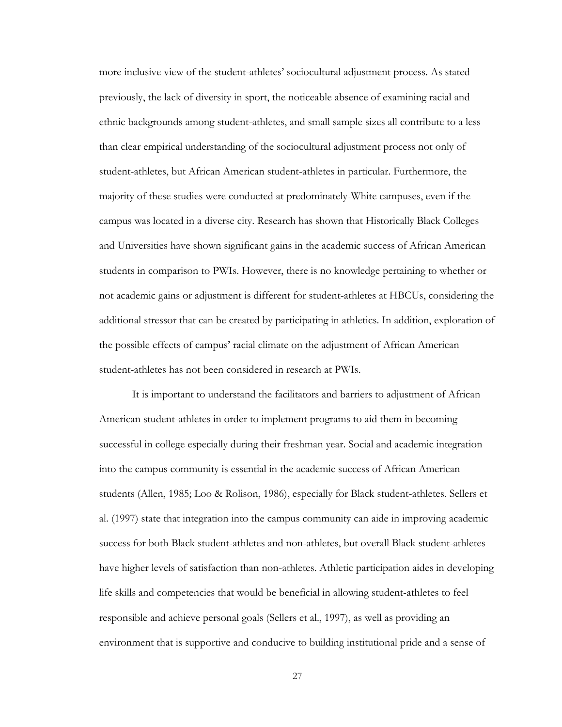more inclusive view of the student-athletes' sociocultural adjustment process. As stated previously, the lack of diversity in sport, the noticeable absence of examining racial and ethnic backgrounds among student-athletes, and small sample sizes all contribute to a less than clear empirical understanding of the sociocultural adjustment process not only of student-athletes, but African American student-athletes in particular. Furthermore, the majority of these studies were conducted at predominately-White campuses, even if the campus was located in a diverse city. Research has shown that Historically Black Colleges and Universities have shown significant gains in the academic success of African American students in comparison to PWIs. However, there is no knowledge pertaining to whether or not academic gains or adjustment is different for student-athletes at HBCUs, considering the additional stressor that can be created by participating in athletics. In addition, exploration of the possible effects of campus' racial climate on the adjustment of African American student-athletes has not been considered in research at PWIs.

It is important to understand the facilitators and barriers to adjustment of African American student-athletes in order to implement programs to aid them in becoming successful in college especially during their freshman year. Social and academic integration into the campus community is essential in the academic success of African American students (Allen, 1985; Loo & Rolison, 1986), especially for Black student-athletes. Sellers et al. (1997) state that integration into the campus community can aide in improving academic success for both Black student-athletes and non-athletes, but overall Black student-athletes have higher levels of satisfaction than non-athletes. Athletic participation aides in developing life skills and competencies that would be beneficial in allowing student-athletes to feel responsible and achieve personal goals (Sellers et al., 1997), as well as providing an environment that is supportive and conducive to building institutional pride and a sense of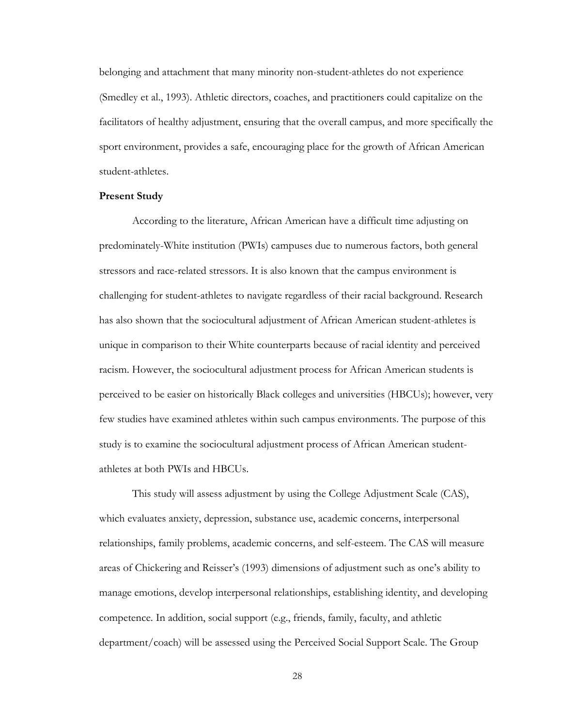belonging and attachment that many minority non-student-athletes do not experience (Smedley et al., 1993). Athletic directors, coaches, and practitioners could capitalize on the facilitators of healthy adjustment, ensuring that the overall campus, and more specifically the sport environment, provides a safe, encouraging place for the growth of African American student-athletes.

#### **Present Study**

According to the literature, African American have a difficult time adjusting on predominately-White institution (PWIs) campuses due to numerous factors, both general stressors and race-related stressors. It is also known that the campus environment is challenging for student-athletes to navigate regardless of their racial background. Research has also shown that the sociocultural adjustment of African American student-athletes is unique in comparison to their White counterparts because of racial identity and perceived racism. However, the sociocultural adjustment process for African American students is perceived to be easier on historically Black colleges and universities (HBCUs); however, very few studies have examined athletes within such campus environments. The purpose of this study is to examine the sociocultural adjustment process of African American studentathletes at both PWIs and HBCUs.

This study will assess adjustment by using the College Adjustment Scale (CAS), which evaluates anxiety, depression, substance use, academic concerns, interpersonal relationships, family problems, academic concerns, and self-esteem. The CAS will measure areas of Chickering and Reisser's (1993) dimensions of adjustment such as one's ability to manage emotions, develop interpersonal relationships, establishing identity, and developing competence. In addition, social support (e.g., friends, family, faculty, and athletic department/coach) will be assessed using the Perceived Social Support Scale. The Group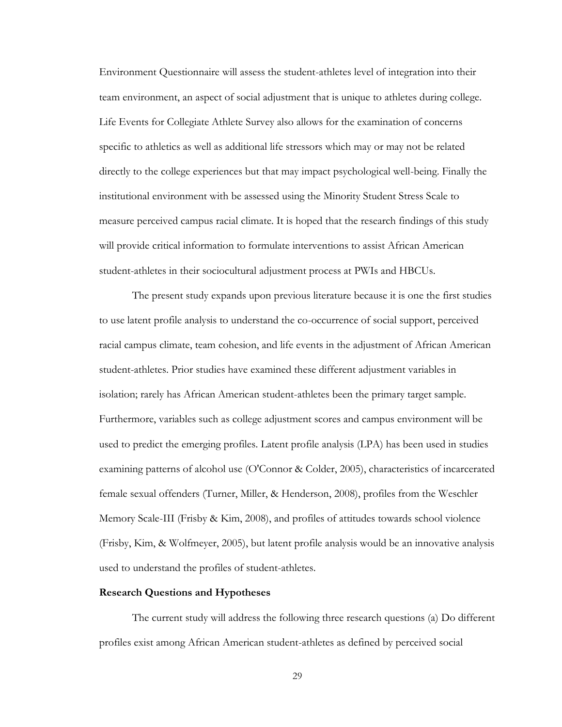Environment Questionnaire will assess the student-athletes level of integration into their team environment, an aspect of social adjustment that is unique to athletes during college. Life Events for Collegiate Athlete Survey also allows for the examination of concerns specific to athletics as well as additional life stressors which may or may not be related directly to the college experiences but that may impact psychological well-being. Finally the institutional environment with be assessed using the Minority Student Stress Scale to measure perceived campus racial climate. It is hoped that the research findings of this study will provide critical information to formulate interventions to assist African American student-athletes in their sociocultural adjustment process at PWIs and HBCUs.

The present study expands upon previous literature because it is one the first studies to use latent profile analysis to understand the co-occurrence of social support, perceived racial campus climate, team cohesion, and life events in the adjustment of African American student-athletes. Prior studies have examined these different adjustment variables in isolation; rarely has African American student-athletes been the primary target sample. Furthermore, variables such as college adjustment scores and campus environment will be used to predict the emerging profiles. Latent profile analysis (LPA) has been used in studies examining patterns of alcohol use (O'Connor & Colder, 2005), characteristics of incarcerated female sexual offenders (Turner, Miller, & Henderson, 2008), profiles from the Weschler Memory Scale-III (Frisby & Kim, 2008), and profiles of attitudes towards school violence (Frisby, Kim, & Wolfmeyer, 2005), but latent profile analysis would be an innovative analysis used to understand the profiles of student-athletes.

## **Research Questions and Hypotheses**

The current study will address the following three research questions (a) Do different profiles exist among African American student-athletes as defined by perceived social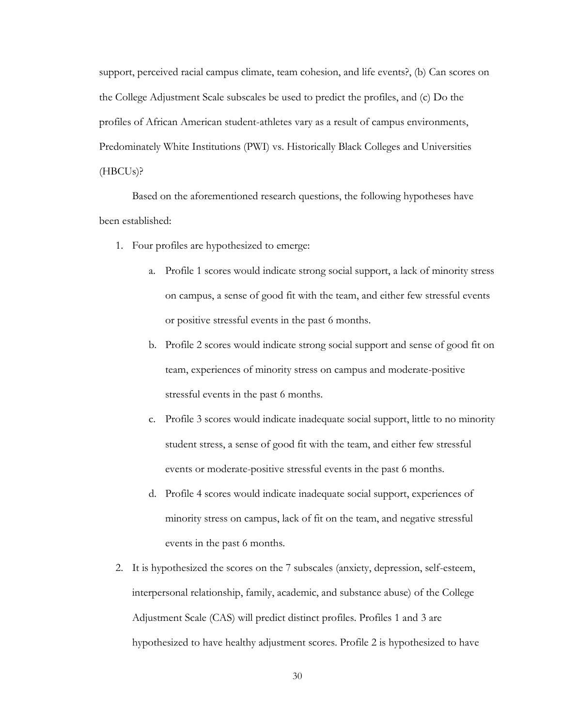support, perceived racial campus climate, team cohesion, and life events?, (b) Can scores on the College Adjustment Scale subscales be used to predict the profiles, and (c) Do the profiles of African American student-athletes vary as a result of campus environments, Predominately White Institutions (PWI) vs. Historically Black Colleges and Universities (HBCUs)?

Based on the aforementioned research questions, the following hypotheses have been established:

- 1. Four profiles are hypothesized to emerge:
	- a. Profile 1 scores would indicate strong social support, a lack of minority stress on campus, a sense of good fit with the team, and either few stressful events or positive stressful events in the past 6 months.
	- b. Profile 2 scores would indicate strong social support and sense of good fit on team, experiences of minority stress on campus and moderate-positive stressful events in the past 6 months.
	- c. Profile 3 scores would indicate inadequate social support, little to no minority student stress, a sense of good fit with the team, and either few stressful events or moderate-positive stressful events in the past 6 months.
	- d. Profile 4 scores would indicate inadequate social support, experiences of minority stress on campus, lack of fit on the team, and negative stressful events in the past 6 months.
- 2. It is hypothesized the scores on the 7 subscales (anxiety, depression, self-esteem, interpersonal relationship, family, academic, and substance abuse) of the College Adjustment Scale (CAS) will predict distinct profiles. Profiles 1 and 3 are hypothesized to have healthy adjustment scores. Profile 2 is hypothesized to have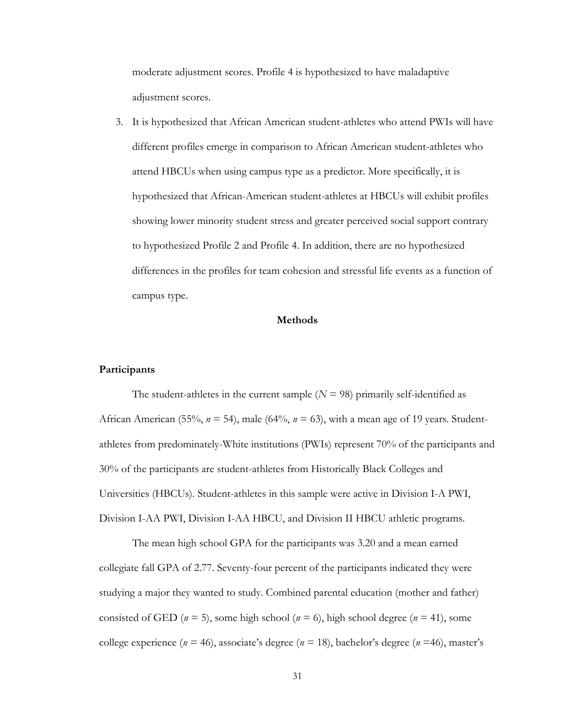moderate adjustment scores. Profile 4 is hypothesized to have maladaptive adjustment scores.

3. It is hypothesized that African American student-athletes who attend PWIs will have different profiles emerge in comparison to African American student-athletes who attend HBCUs when using campus type as a predictor. More specifically, it is hypothesized that African-American student-athletes at HBCUs will exhibit profiles showing lower minority student stress and greater perceived social support contrary to hypothesized Profile 2 and Profile 4. In addition, there are no hypothesized differences in the profiles for team cohesion and stressful life events as a function of campus type.

### **Methods**

## **Participants**

The student-athletes in the current sample  $(N = 98)$  primarily self-identified as African American (55%,  $n = 54$ ), male (64%,  $n = 63$ ), with a mean age of 19 years. Studentathletes from predominately-White institutions (PWIs) represent 70% of the participants and 30% of the participants are student-athletes from Historically Black Colleges and Universities (HBCUs). Student-athletes in this sample were active in Division I-A PWI, Division I-AA PWI, Division I-AA HBCU, and Division II HBCU athletic programs.

The mean high school GPA for the participants was 3.20 and a mean earned collegiate fall GPA of 2.77. Seventy-four percent of the participants indicated they were studying a major they wanted to study. Combined parental education (mother and father) consisted of GED ( $n = 5$ ), some high school ( $n = 6$ ), high school degree ( $n = 41$ ), some college experience ( $n = 46$ ), associate's degree ( $n = 18$ ), bachelor's degree ( $n = 46$ ), master's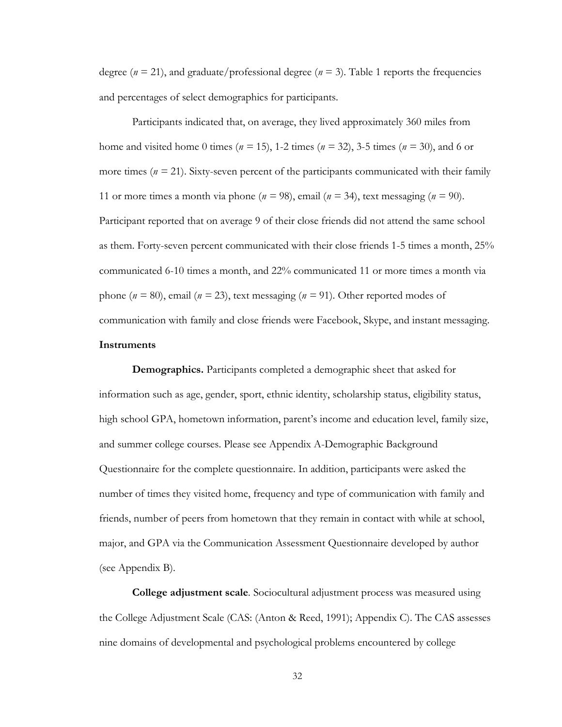degree ( $n = 21$ ), and graduate/professional degree ( $n = 3$ ). Table 1 reports the frequencies and percentages of select demographics for participants.

Participants indicated that, on average, they lived approximately 360 miles from home and visited home 0 times (*n =* 15), 1-2 times (*n =* 32), 3-5 times (*n =* 30), and 6 or more times  $(n = 21)$ . Sixty-seven percent of the participants communicated with their family 11 or more times a month via phone ( $n = 98$ ), email ( $n = 34$ ), text messaging ( $n = 90$ ). Participant reported that on average 9 of their close friends did not attend the same school as them. Forty-seven percent communicated with their close friends 1-5 times a month, 25% communicated 6-10 times a month, and 22% communicated 11 or more times a month via phone (*n =* 80), email (*n =* 23), text messaging (*n =* 91). Other reported modes of communication with family and close friends were Facebook, Skype, and instant messaging. **Instruments**

**Demographics.** Participants completed a demographic sheet that asked for information such as age, gender, sport, ethnic identity, scholarship status, eligibility status, high school GPA, hometown information, parent's income and education level, family size, and summer college courses. Please see Appendix A-Demographic Background Questionnaire for the complete questionnaire. In addition, participants were asked the number of times they visited home, frequency and type of communication with family and friends, number of peers from hometown that they remain in contact with while at school, major, and GPA via the Communication Assessment Questionnaire developed by author (see Appendix B).

**College adjustment scale***.* Sociocultural adjustment process was measured using the College Adjustment Scale (CAS: (Anton & Reed, 1991); Appendix C). The CAS assesses nine domains of developmental and psychological problems encountered by college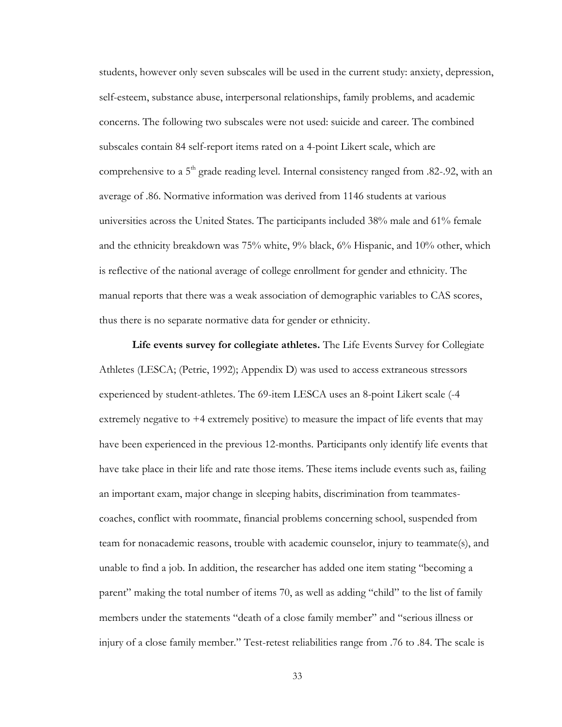students, however only seven subscales will be used in the current study: anxiety, depression, self-esteem, substance abuse, interpersonal relationships, family problems, and academic concerns. The following two subscales were not used: suicide and career. The combined subscales contain 84 self-report items rated on a 4-point Likert scale, which are comprehensive to a 5<sup>th</sup> grade reading level. Internal consistency ranged from .82-.92, with an average of .86. Normative information was derived from 1146 students at various universities across the United States. The participants included 38% male and 61% female and the ethnicity breakdown was 75% white, 9% black, 6% Hispanic, and 10% other, which is reflective of the national average of college enrollment for gender and ethnicity. The manual reports that there was a weak association of demographic variables to CAS scores, thus there is no separate normative data for gender or ethnicity.

**Life events survey for collegiate athletes.** The Life Events Survey for Collegiate Athletes (LESCA; (Petrie, 1992); Appendix D) was used to access extraneous stressors experienced by student-athletes. The 69-item LESCA uses an 8-point Likert scale (-4 extremely negative to +4 extremely positive) to measure the impact of life events that may have been experienced in the previous 12-months. Participants only identify life events that have take place in their life and rate those items. These items include events such as, failing an important exam, major change in sleeping habits, discrimination from teammatescoaches, conflict with roommate, financial problems concerning school, suspended from team for nonacademic reasons, trouble with academic counselor, injury to teammate(s), and unable to find a job. In addition, the researcher has added one item stating "becoming a parent" making the total number of items 70, as well as adding "child" to the list of family members under the statements "death of a close family member" and "serious illness or injury of a close family member." Test-retest reliabilities range from .76 to .84. The scale is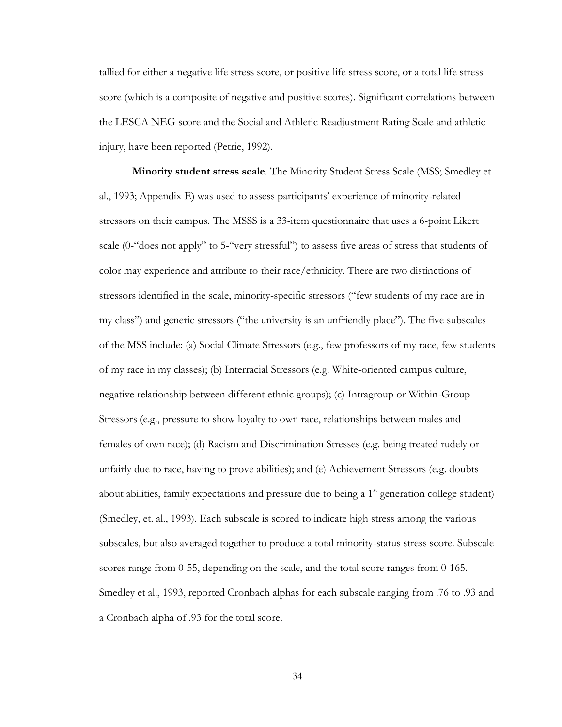tallied for either a negative life stress score, or positive life stress score, or a total life stress score (which is a composite of negative and positive scores). Significant correlations between the LESCA NEG score and the Social and Athletic Readjustment Rating Scale and athletic injury, have been reported (Petrie, 1992).

**Minority student stress scale***.* The Minority Student Stress Scale (MSS; Smedley et al., 1993; Appendix E) was used to assess participants' experience of minority-related stressors on their campus. The MSSS is a 33-item questionnaire that uses a 6-point Likert scale (0-"does not apply" to 5-"very stressful") to assess five areas of stress that students of color may experience and attribute to their race/ethnicity. There are two distinctions of stressors identified in the scale, minority-specific stressors ("few students of my race are in my class") and generic stressors ("the university is an unfriendly place"). The five subscales of the MSS include: (a) Social Climate Stressors (e.g., few professors of my race, few students of my race in my classes); (b) Interracial Stressors (e.g. White-oriented campus culture, negative relationship between different ethnic groups); (c) Intragroup or Within-Group Stressors (e.g., pressure to show loyalty to own race, relationships between males and females of own race); (d) Racism and Discrimination Stresses (e.g. being treated rudely or unfairly due to race, having to prove abilities); and (e) Achievement Stressors (e.g. doubts about abilities, family expectations and pressure due to being a  $1<sup>st</sup>$  generation college student) (Smedley, et. al., 1993). Each subscale is scored to indicate high stress among the various subscales, but also averaged together to produce a total minority-status stress score. Subscale scores range from 0-55, depending on the scale, and the total score ranges from 0-165. Smedley et al., 1993, reported Cronbach alphas for each subscale ranging from .76 to .93 and a Cronbach alpha of .93 for the total score.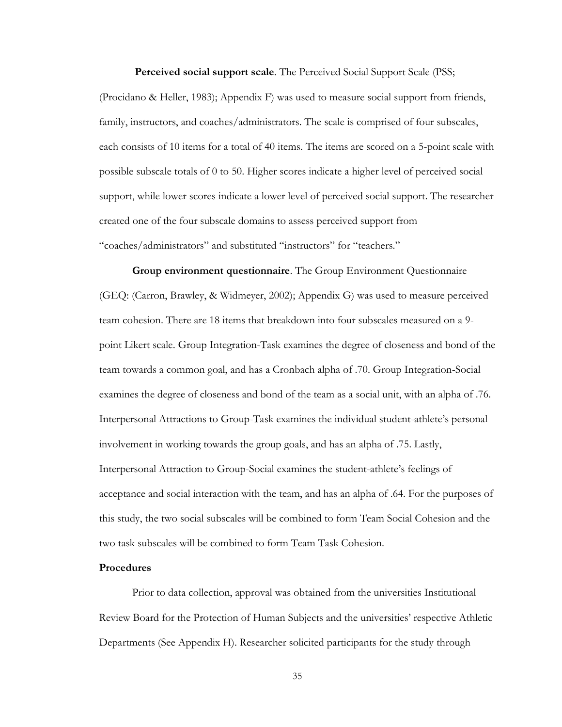**Perceived social support scale***.* The Perceived Social Support Scale (PSS;

(Procidano & Heller, 1983); Appendix F) was used to measure social support from friends, family, instructors, and coaches/administrators. The scale is comprised of four subscales, each consists of 10 items for a total of 40 items. The items are scored on a 5-point scale with possible subscale totals of 0 to 50. Higher scores indicate a higher level of perceived social support, while lower scores indicate a lower level of perceived social support. The researcher created one of the four subscale domains to assess perceived support from "coaches/administrators" and substituted "instructors" for "teachers."

**Group environment questionnaire**. The Group Environment Questionnaire (GEQ: (Carron, Brawley, & Widmeyer, 2002); Appendix G) was used to measure perceived team cohesion. There are 18 items that breakdown into four subscales measured on a 9 point Likert scale. Group Integration-Task examines the degree of closeness and bond of the team towards a common goal, and has a Cronbach alpha of .70. Group Integration-Social examines the degree of closeness and bond of the team as a social unit, with an alpha of .76. Interpersonal Attractions to Group-Task examines the individual student-athlete's personal involvement in working towards the group goals, and has an alpha of .75. Lastly, Interpersonal Attraction to Group-Social examines the student-athlete's feelings of acceptance and social interaction with the team, and has an alpha of .64. For the purposes of this study, the two social subscales will be combined to form Team Social Cohesion and the two task subscales will be combined to form Team Task Cohesion.

# **Procedures**

Prior to data collection, approval was obtained from the universities Institutional Review Board for the Protection of Human Subjects and the universities' respective Athletic Departments (See Appendix H). Researcher solicited participants for the study through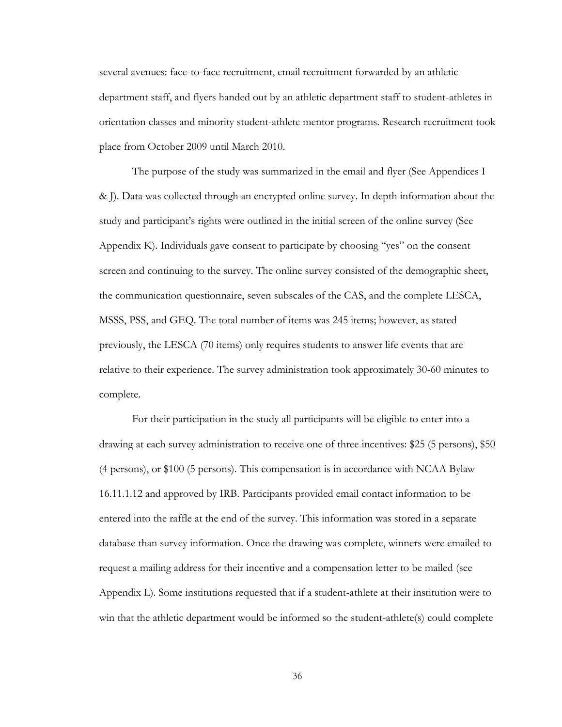several avenues: face-to-face recruitment, email recruitment forwarded by an athletic department staff, and flyers handed out by an athletic department staff to student-athletes in orientation classes and minority student-athlete mentor programs. Research recruitment took place from October 2009 until March 2010.

The purpose of the study was summarized in the email and flyer (See Appendices I & J). Data was collected through an encrypted online survey. In depth information about the study and participant's rights were outlined in the initial screen of the online survey (See Appendix K). Individuals gave consent to participate by choosing "yes" on the consent screen and continuing to the survey. The online survey consisted of the demographic sheet, the communication questionnaire, seven subscales of the CAS, and the complete LESCA, MSSS, PSS, and GEQ. The total number of items was 245 items; however, as stated previously, the LESCA (70 items) only requires students to answer life events that are relative to their experience. The survey administration took approximately 30-60 minutes to complete.

For their participation in the study all participants will be eligible to enter into a drawing at each survey administration to receive one of three incentives: \$25 (5 persons), \$50 (4 persons), or \$100 (5 persons). This compensation is in accordance with NCAA Bylaw 16.11.1.12 and approved by IRB. Participants provided email contact information to be entered into the raffle at the end of the survey. This information was stored in a separate database than survey information. Once the drawing was complete, winners were emailed to request a mailing address for their incentive and a compensation letter to be mailed (see Appendix L). Some institutions requested that if a student-athlete at their institution were to win that the athletic department would be informed so the student-athlete(s) could complete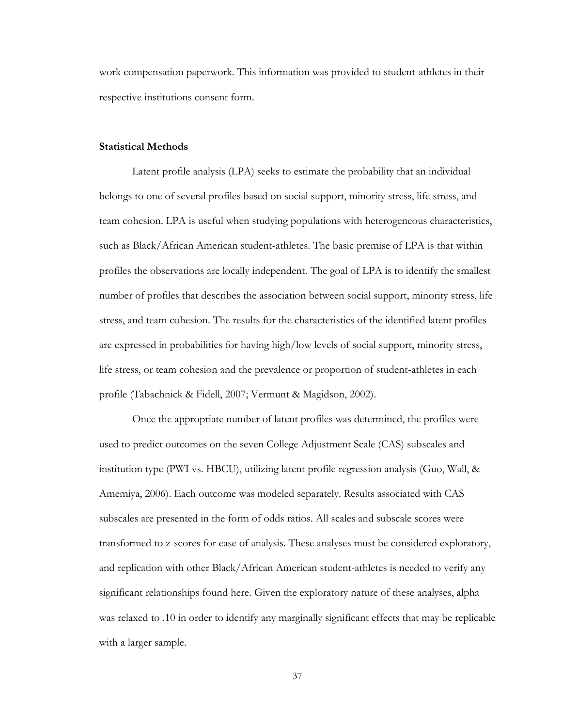work compensation paperwork. This information was provided to student-athletes in their respective institutions consent form.

## **Statistical Methods**

Latent profile analysis (LPA) seeks to estimate the probability that an individual belongs to one of several profiles based on social support, minority stress, life stress, and team cohesion. LPA is useful when studying populations with heterogeneous characteristics, such as Black/African American student-athletes. The basic premise of LPA is that within profiles the observations are locally independent. The goal of LPA is to identify the smallest number of profiles that describes the association between social support, minority stress, life stress, and team cohesion. The results for the characteristics of the identified latent profiles are expressed in probabilities for having high/low levels of social support, minority stress, life stress, or team cohesion and the prevalence or proportion of student-athletes in each profile (Tabachnick & Fidell, 2007; Vermunt & Magidson, 2002).

Once the appropriate number of latent profiles was determined, the profiles were used to predict outcomes on the seven College Adjustment Scale (CAS) subscales and institution type (PWI vs. HBCU), utilizing latent profile regression analysis (Guo, Wall, & Amemiya, 2006). Each outcome was modeled separately. Results associated with CAS subscales are presented in the form of odds ratios. All scales and subscale scores were transformed to z-scores for ease of analysis. These analyses must be considered exploratory, and replication with other Black/African American student-athletes is needed to verify any significant relationships found here. Given the exploratory nature of these analyses, alpha was relaxed to .10 in order to identify any marginally significant effects that may be replicable with a larger sample.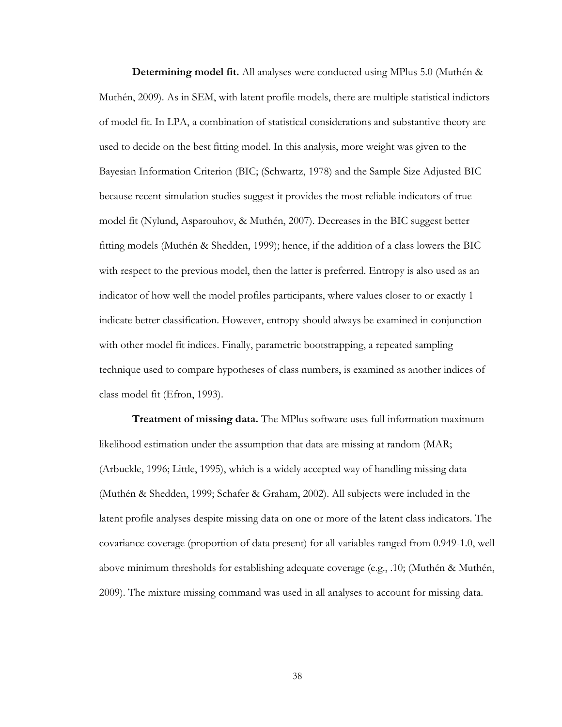**Determining model fit.** All analyses were conducted using MPlus 5.0 (Muthén & Muthén, 2009). As in SEM, with latent profile models, there are multiple statistical indictors of model fit. In LPA, a combination of statistical considerations and substantive theory are used to decide on the best fitting model. In this analysis, more weight was given to the Bayesian Information Criterion (BIC; (Schwartz, 1978) and the Sample Size Adjusted BIC because recent simulation studies suggest it provides the most reliable indicators of true model fit (Nylund, Asparouhov, & Muthén, 2007). Decreases in the BIC suggest better fitting models (Muthén & Shedden, 1999); hence, if the addition of a class lowers the BIC with respect to the previous model, then the latter is preferred. Entropy is also used as an indicator of how well the model profiles participants, where values closer to or exactly 1 indicate better classification. However, entropy should always be examined in conjunction with other model fit indices. Finally, parametric bootstrapping, a repeated sampling technique used to compare hypotheses of class numbers, is examined as another indices of class model fit (Efron, 1993).

**Treatment of missing data.** The MPlus software uses full information maximum likelihood estimation under the assumption that data are missing at random (MAR; (Arbuckle, 1996; Little, 1995), which is a widely accepted way of handling missing data (Muthén & Shedden, 1999; Schafer & Graham, 2002). All subjects were included in the latent profile analyses despite missing data on one or more of the latent class indicators. The covariance coverage (proportion of data present) for all variables ranged from 0.949-1.0, well above minimum thresholds for establishing adequate coverage (e.g.,  $.10$ ; (Muthén & Muthén, 2009). The mixture missing command was used in all analyses to account for missing data.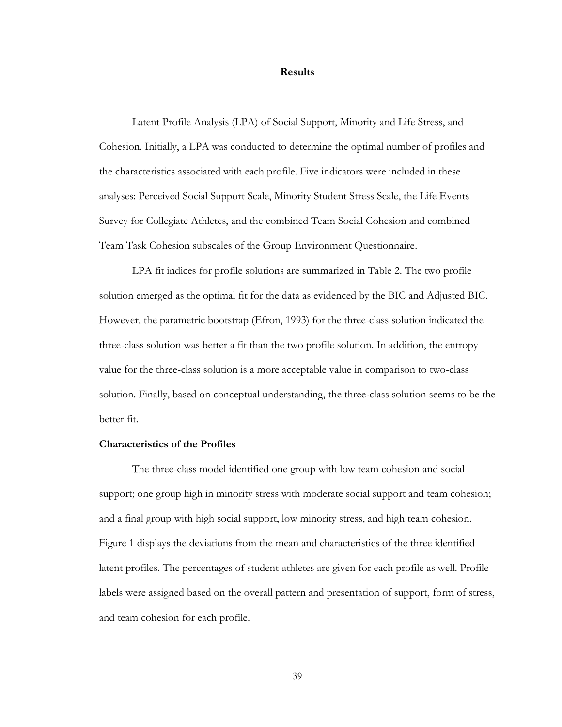#### **Results**

Latent Profile Analysis (LPA) of Social Support, Minority and Life Stress, and Cohesion. Initially, a LPA was conducted to determine the optimal number of profiles and the characteristics associated with each profile. Five indicators were included in these analyses: Perceived Social Support Scale, Minority Student Stress Scale, the Life Events Survey for Collegiate Athletes, and the combined Team Social Cohesion and combined Team Task Cohesion subscales of the Group Environment Questionnaire.

LPA fit indices for profile solutions are summarized in Table 2. The two profile solution emerged as the optimal fit for the data as evidenced by the BIC and Adjusted BIC. However, the parametric bootstrap (Efron, 1993) for the three-class solution indicated the three-class solution was better a fit than the two profile solution. In addition, the entropy value for the three-class solution is a more acceptable value in comparison to two-class solution. Finally, based on conceptual understanding, the three-class solution seems to be the better fit.

### **Characteristics of the Profiles**

The three-class model identified one group with low team cohesion and social support; one group high in minority stress with moderate social support and team cohesion; and a final group with high social support, low minority stress, and high team cohesion. Figure 1 displays the deviations from the mean and characteristics of the three identified latent profiles. The percentages of student-athletes are given for each profile as well. Profile labels were assigned based on the overall pattern and presentation of support, form of stress, and team cohesion for each profile.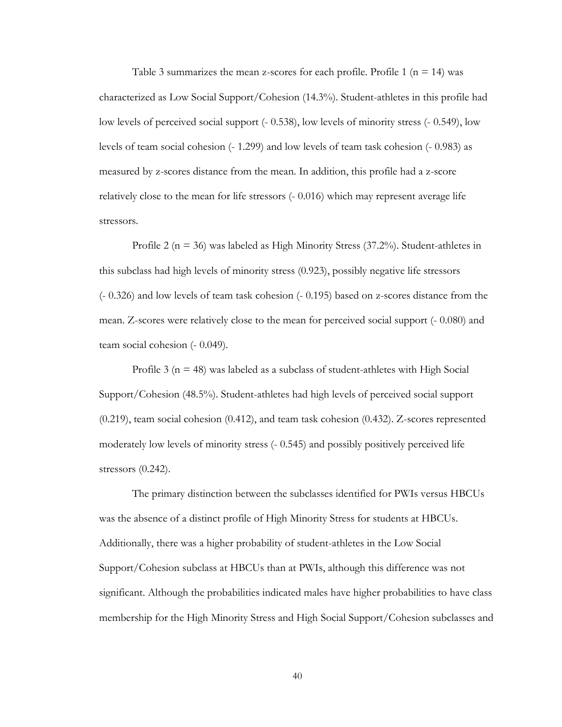Table 3 summarizes the mean z-scores for each profile. Profile 1 ( $n = 14$ ) was characterized as Low Social Support/Cohesion (14.3%). Student-athletes in this profile had low levels of perceived social support (- 0.538), low levels of minority stress (- 0.549), low levels of team social cohesion (- 1.299) and low levels of team task cohesion (- 0.983) as measured by z-scores distance from the mean. In addition, this profile had a z-score relatively close to the mean for life stressors (- 0.016) which may represent average life stressors.

Profile 2 ( $n = 36$ ) was labeled as High Minority Stress (37.2%). Student-athletes in this subclass had high levels of minority stress (0.923), possibly negative life stressors (- 0.326) and low levels of team task cohesion (- 0.195) based on z-scores distance from the mean. Z-scores were relatively close to the mean for perceived social support (- 0.080) and team social cohesion (- 0.049).

Profile 3 ( $n = 48$ ) was labeled as a subclass of student-athletes with High Social Support/Cohesion (48.5%). Student-athletes had high levels of perceived social support (0.219), team social cohesion (0.412), and team task cohesion (0.432). Z-scores represented moderately low levels of minority stress (- 0.545) and possibly positively perceived life stressors (0.242).

The primary distinction between the subclasses identified for PWIs versus HBCUs was the absence of a distinct profile of High Minority Stress for students at HBCUs. Additionally, there was a higher probability of student-athletes in the Low Social Support/Cohesion subclass at HBCUs than at PWIs, although this difference was not significant. Although the probabilities indicated males have higher probabilities to have class membership for the High Minority Stress and High Social Support/Cohesion subclasses and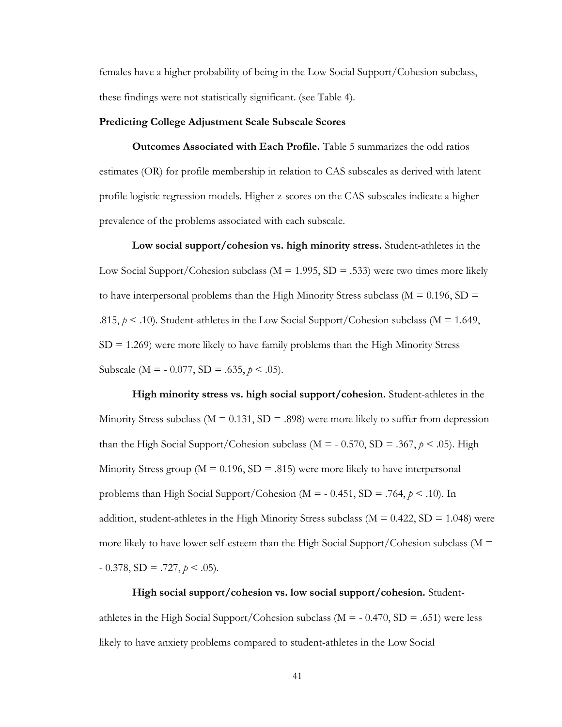females have a higher probability of being in the Low Social Support/Cohesion subclass, these findings were not statistically significant. (see Table 4).

#### **Predicting College Adjustment Scale Subscale Scores**

**Outcomes Associated with Each Profile.** Table 5 summarizes the odd ratios estimates (OR) for profile membership in relation to CAS subscales as derived with latent profile logistic regression models. Higher z-scores on the CAS subscales indicate a higher prevalence of the problems associated with each subscale.

**Low social support/cohesion vs. high minority stress.** Student-athletes in the Low Social Support/Cohesion subclass ( $M = 1.995$ , SD = .533) were two times more likely to have interpersonal problems than the High Minority Stress subclass ( $M = 0.196$ ,  $SD =$ .815,  $p < 0.10$ ). Student-athletes in the Low Social Support/Cohesion subclass (M = 1.649,  $SD = 1.269$ ) were more likely to have family problems than the High Minority Stress Subscale ( $M = -0.077$ ,  $SD = .635$ ,  $p < .05$ ).

**High minority stress vs. high social support/cohesion.** Student-athletes in the Minority Stress subclass ( $M = 0.131$ ,  $SD = .898$ ) were more likely to suffer from depression than the High Social Support/Cohesion subclass ( $M = -0.570$ ,  $SD = .367$ ,  $p < .05$ ). High Minority Stress group ( $M = 0.196$ ,  $SD = .815$ ) were more likely to have interpersonal problems than High Social Support/Cohesion ( $M = -0.451$ ,  $SD = .764$ ,  $p < .10$ ). In addition, student-athletes in the High Minority Stress subclass ( $M = 0.422$ ,  $SD = 1.048$ ) were more likely to have lower self-esteem than the High Social Support/Cohesion subclass ( $M =$  $-0.378$ , SD = .727,  $p < .05$ ).

**High social support/cohesion vs. low social support/cohesion.** Studentathletes in the High Social Support/Cohesion subclass ( $M = -0.470$ , SD = .651) were less likely to have anxiety problems compared to student-athletes in the Low Social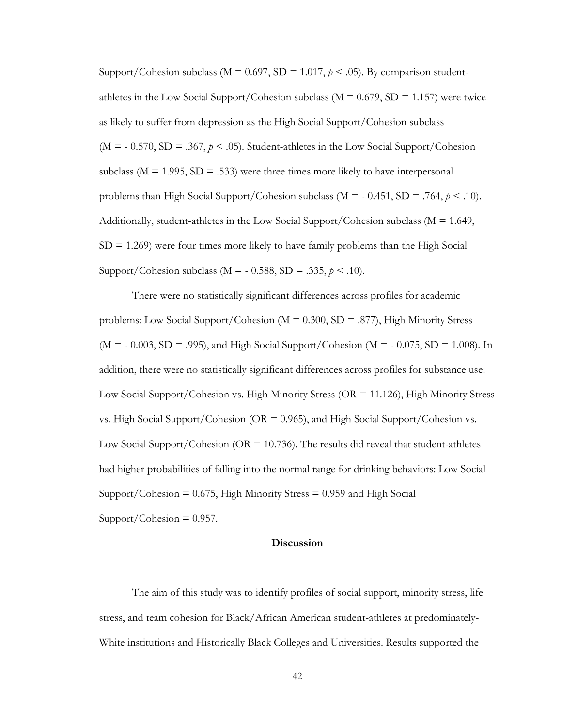Support/Cohesion subclass ( $M = 0.697$ ,  $SD = 1.017$ ,  $p < .05$ ). By comparison studentathletes in the Low Social Support/Cohesion subclass ( $M = 0.679$ , SD = 1.157) were twice as likely to suffer from depression as the High Social Support/Cohesion subclass  $(M = -0.570, SD = .367, p < .05)$ . Student-athletes in the Low Social Support/Cohesion subclass ( $M = 1.995$ ,  $SD = .533$ ) were three times more likely to have interpersonal problems than High Social Support/Cohesion subclass ( $M = -0.451$ ,  $SD = .764$ ,  $p < .10$ ). Additionally, student-athletes in the Low Social Support/Cohesion subclass ( $M = 1.649$ ,  $SD = 1.269$ ) were four times more likely to have family problems than the High Social Support/Cohesion subclass (M = - 0.588, SD = .335, *p* < .10).

There were no statistically significant differences across profiles for academic problems: Low Social Support/Cohesion ( $M = 0.300$ , SD = .877), High Minority Stress  $(M = -0.003, SD = .995)$ , and High Social Support/Cohesion (M =  $-0.075, SD = 1.008$ ). In addition, there were no statistically significant differences across profiles for substance use: Low Social Support/Cohesion vs. High Minority Stress (OR = 11.126), High Minority Stress vs. High Social Support/Cohesion ( $OR = 0.965$ ), and High Social Support/Cohesion vs. Low Social Support/Cohesion ( $OR = 10.736$ ). The results did reveal that student-athletes had higher probabilities of falling into the normal range for drinking behaviors: Low Social Support/Cohesion  $= 0.675$ , High Minority Stress  $= 0.959$  and High Social  $Support/Cohesion = 0.957$ .

#### **Discussion**

The aim of this study was to identify profiles of social support, minority stress, life stress, and team cohesion for Black/African American student-athletes at predominately-White institutions and Historically Black Colleges and Universities. Results supported the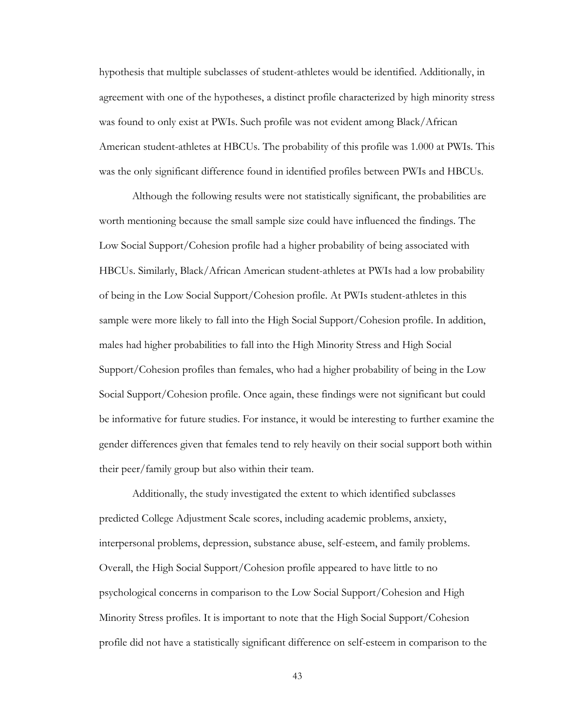hypothesis that multiple subclasses of student-athletes would be identified. Additionally, in agreement with one of the hypotheses, a distinct profile characterized by high minority stress was found to only exist at PWIs. Such profile was not evident among Black/African American student-athletes at HBCUs. The probability of this profile was 1.000 at PWIs. This was the only significant difference found in identified profiles between PWIs and HBCUs.

Although the following results were not statistically significant, the probabilities are worth mentioning because the small sample size could have influenced the findings. The Low Social Support/Cohesion profile had a higher probability of being associated with HBCUs. Similarly, Black/African American student-athletes at PWIs had a low probability of being in the Low Social Support/Cohesion profile. At PWIs student-athletes in this sample were more likely to fall into the High Social Support/Cohesion profile. In addition, males had higher probabilities to fall into the High Minority Stress and High Social Support/Cohesion profiles than females, who had a higher probability of being in the Low Social Support/Cohesion profile. Once again, these findings were not significant but could be informative for future studies. For instance, it would be interesting to further examine the gender differences given that females tend to rely heavily on their social support both within their peer/family group but also within their team.

Additionally, the study investigated the extent to which identified subclasses predicted College Adjustment Scale scores, including academic problems, anxiety, interpersonal problems, depression, substance abuse, self-esteem, and family problems. Overall, the High Social Support/Cohesion profile appeared to have little to no psychological concerns in comparison to the Low Social Support/Cohesion and High Minority Stress profiles. It is important to note that the High Social Support/Cohesion profile did not have a statistically significant difference on self-esteem in comparison to the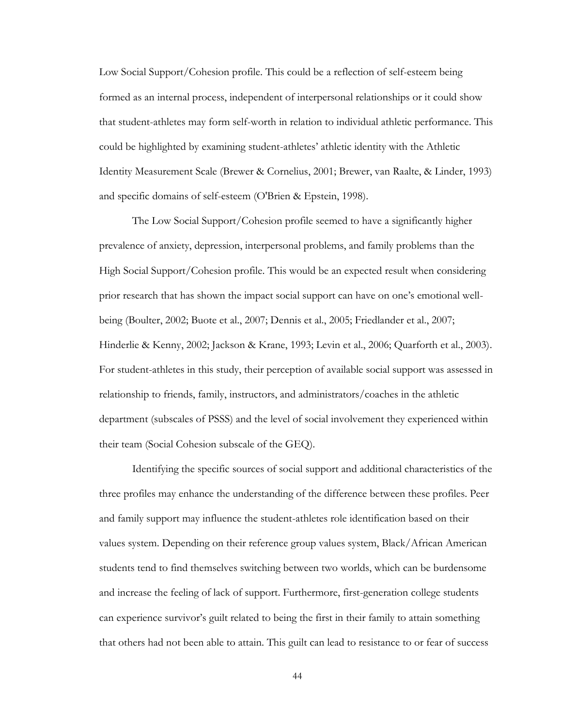Low Social Support/Cohesion profile. This could be a reflection of self-esteem being formed as an internal process, independent of interpersonal relationships or it could show that student-athletes may form self-worth in relation to individual athletic performance. This could be highlighted by examining student-athletes' athletic identity with the Athletic Identity Measurement Scale (Brewer & Cornelius, 2001; Brewer, van Raalte, & Linder, 1993) and specific domains of self-esteem (O'Brien & Epstein, 1998).

The Low Social Support/Cohesion profile seemed to have a significantly higher prevalence of anxiety, depression, interpersonal problems, and family problems than the High Social Support/Cohesion profile. This would be an expected result when considering prior research that has shown the impact social support can have on one's emotional wellbeing (Boulter, 2002; Buote et al., 2007; Dennis et al., 2005; Friedlander et al., 2007; Hinderlie & Kenny, 2002; Jackson & Krane, 1993; Levin et al., 2006; Quarforth et al., 2003). For student-athletes in this study, their perception of available social support was assessed in relationship to friends, family, instructors, and administrators/coaches in the athletic department (subscales of PSSS) and the level of social involvement they experienced within their team (Social Cohesion subscale of the GEQ).

Identifying the specific sources of social support and additional characteristics of the three profiles may enhance the understanding of the difference between these profiles. Peer and family support may influence the student-athletes role identification based on their values system. Depending on their reference group values system, Black/African American students tend to find themselves switching between two worlds, which can be burdensome and increase the feeling of lack of support. Furthermore, first-generation college students can experience survivor's guilt related to being the first in their family to attain something that others had not been able to attain. This guilt can lead to resistance to or fear of success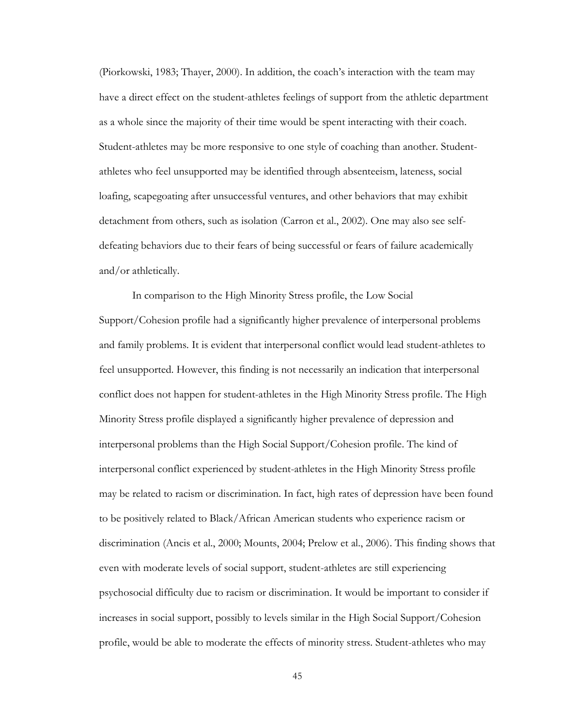(Piorkowski, 1983; Thayer, 2000). In addition, the coach's interaction with the team may have a direct effect on the student-athletes feelings of support from the athletic department as a whole since the majority of their time would be spent interacting with their coach. Student-athletes may be more responsive to one style of coaching than another. Studentathletes who feel unsupported may be identified through absenteeism, lateness, social loafing, scapegoating after unsuccessful ventures, and other behaviors that may exhibit detachment from others, such as isolation (Carron et al., 2002). One may also see selfdefeating behaviors due to their fears of being successful or fears of failure academically and/or athletically.

In comparison to the High Minority Stress profile, the Low Social Support/Cohesion profile had a significantly higher prevalence of interpersonal problems and family problems. It is evident that interpersonal conflict would lead student-athletes to feel unsupported. However, this finding is not necessarily an indication that interpersonal conflict does not happen for student-athletes in the High Minority Stress profile. The High Minority Stress profile displayed a significantly higher prevalence of depression and interpersonal problems than the High Social Support/Cohesion profile. The kind of interpersonal conflict experienced by student-athletes in the High Minority Stress profile may be related to racism or discrimination. In fact, high rates of depression have been found to be positively related to Black/African American students who experience racism or discrimination (Ancis et al., 2000; Mounts, 2004; Prelow et al., 2006). This finding shows that even with moderate levels of social support, student-athletes are still experiencing psychosocial difficulty due to racism or discrimination. It would be important to consider if increases in social support, possibly to levels similar in the High Social Support/Cohesion profile, would be able to moderate the effects of minority stress. Student-athletes who may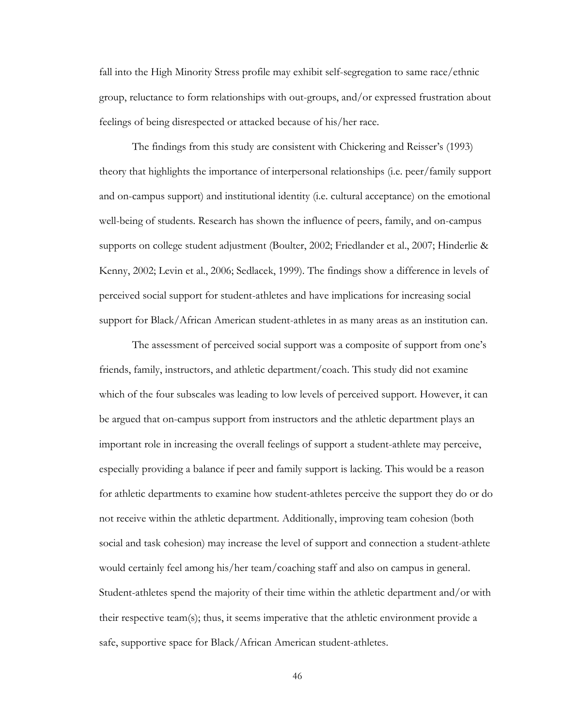fall into the High Minority Stress profile may exhibit self-segregation to same race/ethnic group, reluctance to form relationships with out-groups, and/or expressed frustration about feelings of being disrespected or attacked because of his/her race.

The findings from this study are consistent with Chickering and Reisser's (1993) theory that highlights the importance of interpersonal relationships (i.e. peer/family support and on-campus support) and institutional identity (i.e. cultural acceptance) on the emotional well-being of students. Research has shown the influence of peers, family, and on-campus supports on college student adjustment (Boulter, 2002; Friedlander et al., 2007; Hinderlie & Kenny, 2002; Levin et al., 2006; Sedlacek, 1999). The findings show a difference in levels of perceived social support for student-athletes and have implications for increasing social support for Black/African American student-athletes in as many areas as an institution can.

The assessment of perceived social support was a composite of support from one's friends, family, instructors, and athletic department/coach. This study did not examine which of the four subscales was leading to low levels of perceived support. However, it can be argued that on-campus support from instructors and the athletic department plays an important role in increasing the overall feelings of support a student-athlete may perceive, especially providing a balance if peer and family support is lacking. This would be a reason for athletic departments to examine how student-athletes perceive the support they do or do not receive within the athletic department. Additionally, improving team cohesion (both social and task cohesion) may increase the level of support and connection a student-athlete would certainly feel among his/her team/coaching staff and also on campus in general. Student-athletes spend the majority of their time within the athletic department and/or with their respective team(s); thus, it seems imperative that the athletic environment provide a safe, supportive space for Black/African American student-athletes.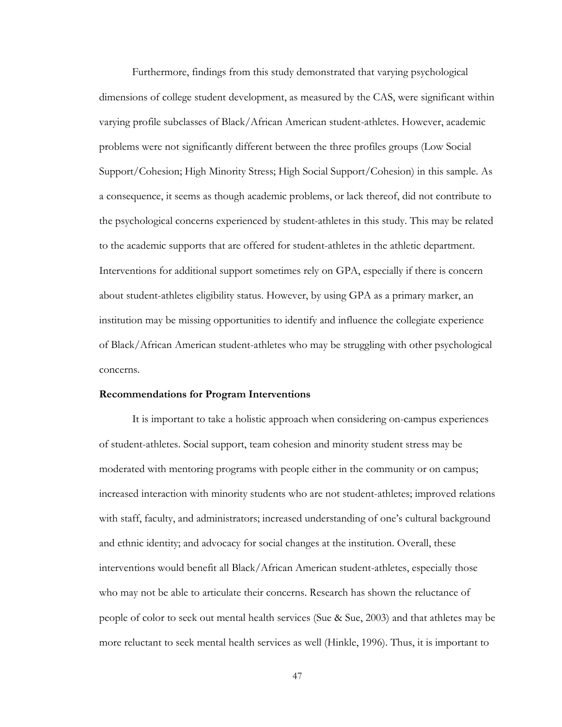Furthermore, findings from this study demonstrated that varying psychological dimensions of college student development, as measured by the CAS, were significant within varying profile subclasses of Black/African American student-athletes. However, academic problems were not significantly different between the three profiles groups (Low Social Support/Cohesion; High Minority Stress; High Social Support/Cohesion) in this sample. As a consequence, it seems as though academic problems, or lack thereof, did not contribute to the psychological concerns experienced by student-athletes in this study. This may be related to the academic supports that are offered for student-athletes in the athletic department. Interventions for additional support sometimes rely on GPA, especially if there is concern about student-athletes eligibility status. However, by using GPA as a primary marker, an institution may be missing opportunities to identify and influence the collegiate experience of Black/African American student-athletes who may be struggling with other psychological concerns.

#### **Recommendations for Program Interventions**

It is important to take a holistic approach when considering on-campus experiences of student-athletes. Social support, team cohesion and minority student stress may be moderated with mentoring programs with people either in the community or on campus; increased interaction with minority students who are not student-athletes; improved relations with staff, faculty, and administrators; increased understanding of one's cultural background and ethnic identity; and advocacy for social changes at the institution. Overall, these interventions would benefit all Black/African American student-athletes, especially those who may not be able to articulate their concerns. Research has shown the reluctance of people of color to seek out mental health services (Sue & Sue, 2003) and that athletes may be more reluctant to seek mental health services as well (Hinkle, 1996). Thus, it is important to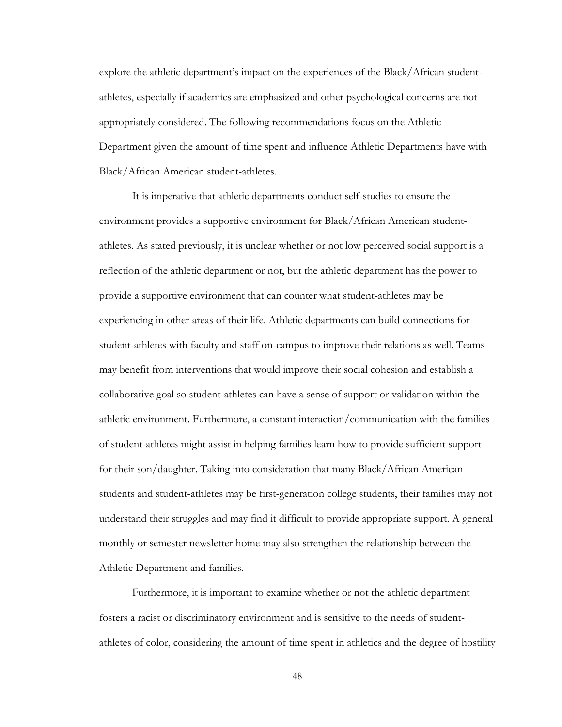explore the athletic department's impact on the experiences of the Black/African studentathletes, especially if academics are emphasized and other psychological concerns are not appropriately considered. The following recommendations focus on the Athletic Department given the amount of time spent and influence Athletic Departments have with Black/African American student-athletes.

It is imperative that athletic departments conduct self-studies to ensure the environment provides a supportive environment for Black/African American studentathletes. As stated previously, it is unclear whether or not low perceived social support is a reflection of the athletic department or not, but the athletic department has the power to provide a supportive environment that can counter what student-athletes may be experiencing in other areas of their life. Athletic departments can build connections for student-athletes with faculty and staff on-campus to improve their relations as well. Teams may benefit from interventions that would improve their social cohesion and establish a collaborative goal so student-athletes can have a sense of support or validation within the athletic environment. Furthermore, a constant interaction/communication with the families of student-athletes might assist in helping families learn how to provide sufficient support for their son/daughter. Taking into consideration that many Black/African American students and student-athletes may be first-generation college students, their families may not understand their struggles and may find it difficult to provide appropriate support. A general monthly or semester newsletter home may also strengthen the relationship between the Athletic Department and families.

Furthermore, it is important to examine whether or not the athletic department fosters a racist or discriminatory environment and is sensitive to the needs of studentathletes of color, considering the amount of time spent in athletics and the degree of hostility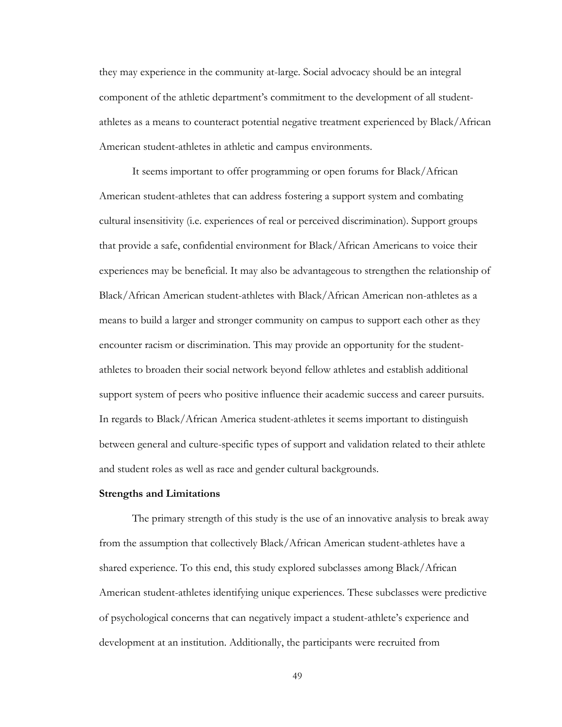they may experience in the community at-large. Social advocacy should be an integral component of the athletic department's commitment to the development of all studentathletes as a means to counteract potential negative treatment experienced by Black/African American student-athletes in athletic and campus environments.

It seems important to offer programming or open forums for Black/African American student-athletes that can address fostering a support system and combating cultural insensitivity (i.e. experiences of real or perceived discrimination). Support groups that provide a safe, confidential environment for Black/African Americans to voice their experiences may be beneficial. It may also be advantageous to strengthen the relationship of Black/African American student-athletes with Black/African American non-athletes as a means to build a larger and stronger community on campus to support each other as they encounter racism or discrimination. This may provide an opportunity for the studentathletes to broaden their social network beyond fellow athletes and establish additional support system of peers who positive influence their academic success and career pursuits. In regards to Black/African America student-athletes it seems important to distinguish between general and culture-specific types of support and validation related to their athlete and student roles as well as race and gender cultural backgrounds.

#### **Strengths and Limitations**

The primary strength of this study is the use of an innovative analysis to break away from the assumption that collectively Black/African American student-athletes have a shared experience. To this end, this study explored subclasses among Black/African American student-athletes identifying unique experiences. These subclasses were predictive of psychological concerns that can negatively impact a student-athlete's experience and development at an institution. Additionally, the participants were recruited from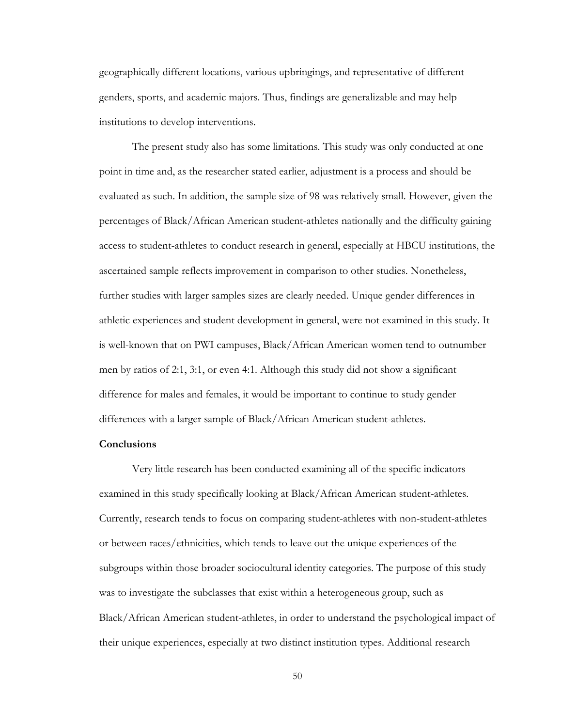geographically different locations, various upbringings, and representative of different genders, sports, and academic majors. Thus, findings are generalizable and may help institutions to develop interventions.

The present study also has some limitations. This study was only conducted at one point in time and, as the researcher stated earlier, adjustment is a process and should be evaluated as such. In addition, the sample size of 98 was relatively small. However, given the percentages of Black/African American student-athletes nationally and the difficulty gaining access to student-athletes to conduct research in general, especially at HBCU institutions, the ascertained sample reflects improvement in comparison to other studies. Nonetheless, further studies with larger samples sizes are clearly needed. Unique gender differences in athletic experiences and student development in general, were not examined in this study. It is well-known that on PWI campuses, Black/African American women tend to outnumber men by ratios of 2:1, 3:1, or even 4:1. Although this study did not show a significant difference for males and females, it would be important to continue to study gender differences with a larger sample of Black/African American student-athletes.

# **Conclusions**

Very little research has been conducted examining all of the specific indicators examined in this study specifically looking at Black/African American student-athletes. Currently, research tends to focus on comparing student-athletes with non-student-athletes or between races/ethnicities, which tends to leave out the unique experiences of the subgroups within those broader sociocultural identity categories. The purpose of this study was to investigate the subclasses that exist within a heterogeneous group, such as Black/African American student-athletes, in order to understand the psychological impact of their unique experiences, especially at two distinct institution types. Additional research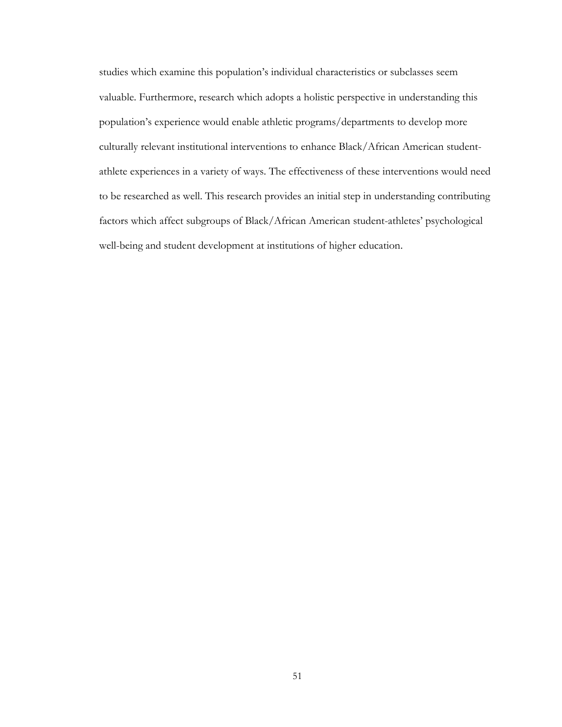studies which examine this population's individual characteristics or subclasses seem valuable. Furthermore, research which adopts a holistic perspective in understanding this population's experience would enable athletic programs/departments to develop more culturally relevant institutional interventions to enhance Black/African American studentathlete experiences in a variety of ways. The effectiveness of these interventions would need to be researched as well. This research provides an initial step in understanding contributing factors which affect subgroups of Black/African American student-athletes' psychological well-being and student development at institutions of higher education.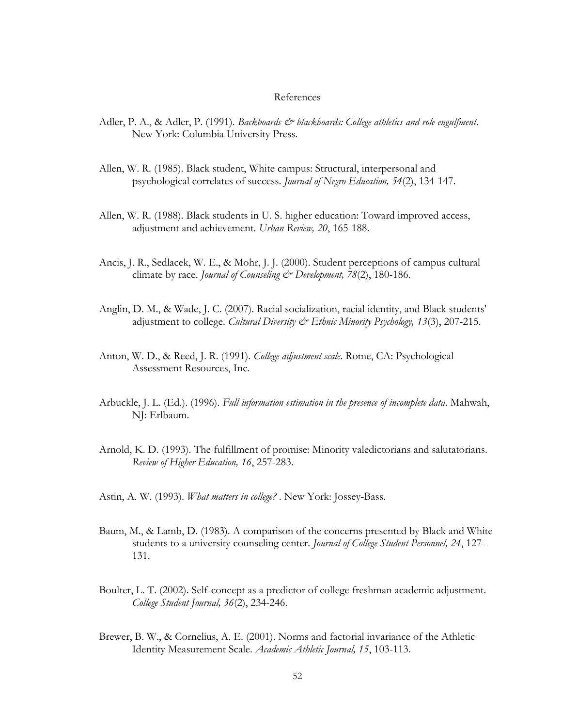#### References

- Adler, P. A., & Adler, P. (1991). *Backboards & blackboards: College athletics and role engulfment*. New York: Columbia University Press.
- Allen, W. R. (1985). Black student, White campus: Structural, interpersonal and psychological correlates of success. *Journal of Negro Education, 54*(2), 134-147.
- Allen, W. R. (1988). Black students in U. S. higher education: Toward improved access, adjustment and achievement. *Urban Review, 20*, 165-188.
- Ancis, J. R., Sedlacek, W. E., & Mohr, J. J. (2000). Student perceptions of campus cultural climate by race. *Journal of Counseling & Development, 78*(2), 180-186.
- Anglin, D. M., & Wade, J. C. (2007). Racial socialization, racial identity, and Black students' adjustment to college. *Cultural Diversity & Ethnic Minority Psychology, 13*(3), 207-215.
- Anton, W. D., & Reed, J. R. (1991). *College adjustment scale*. Rome, CA: Psychological Assessment Resources, Inc.
- Arbuckle, J. L. (Ed.). (1996). *Full information estimation in the presence of incomplete data*. Mahwah, NJ: Erlbaum.
- Arnold, K. D. (1993). The fulfillment of promise: Minority valedictorians and salutatorians. *Review of Higher Education, 16*, 257-283.
- Astin, A. W. (1993). *What matters in college?* . New York: Jossey-Bass.
- Baum, M., & Lamb, D. (1983). A comparison of the concerns presented by Black and White students to a university counseling center. *Journal of College Student Personnel, 24*, 127- 131.
- Boulter, L. T. (2002). Self-concept as a predictor of college freshman academic adjustment. *College Student Journal, 36*(2), 234-246.
- Brewer, B. W., & Cornelius, A. E. (2001). Norms and factorial invariance of the Athletic Identity Measurement Scale. *Academic Athletic Journal, 15*, 103-113.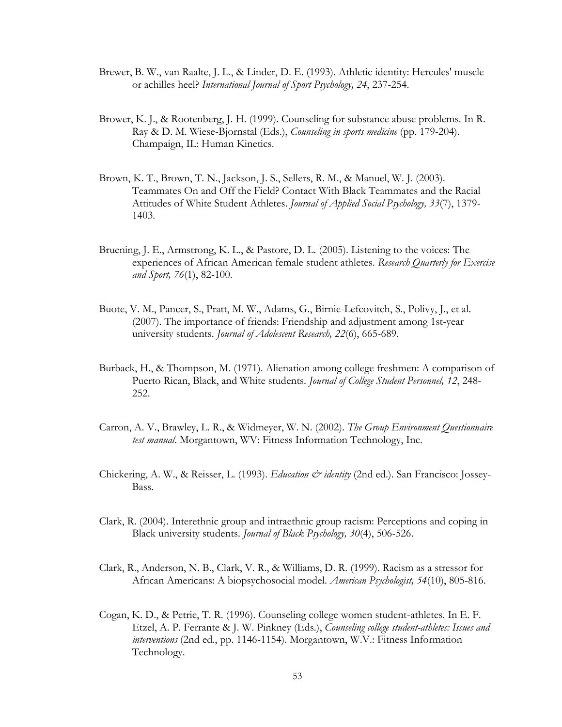- Brewer, B. W., van Raalte, J. L., & Linder, D. E. (1993). Athletic identity: Hercules' muscle or achilles heel? *International Journal of Sport Psychology, 24*, 237-254.
- Brower, K. J., & Rootenberg, J. H. (1999). Counseling for substance abuse problems. In R. Ray & D. M. Wiese-Bjornstal (Eds.), *Counseling in sports medicine* (pp. 179-204). Champaign, IL: Human Kinetics.
- Brown, K. T., Brown, T. N., Jackson, J. S., Sellers, R. M., & Manuel, W. J. (2003). Teammates On and Off the Field? Contact With Black Teammates and the Racial Attitudes of White Student Athletes. *Journal of Applied Social Psychology, 33*(7), 1379- 1403.
- Bruening, J. E., Armstrong, K. L., & Pastore, D. L. (2005). Listening to the voices: The experiences of African American female student athletes. *Research Quarterly for Exercise and Sport, 76*(1), 82-100.
- Buote, V. M., Pancer, S., Pratt, M. W., Adams, G., Birnie-Lefcovitch, S., Polivy, J., et al. (2007). The importance of friends: Friendship and adjustment among 1st-year university students. *Journal of Adolescent Research, 22*(6), 665-689.
- Burback, H., & Thompson, M. (1971). Alienation among college freshmen: A comparison of Puerto Rican, Black, and White students. *Journal of College Student Personnel, 12*, 248- 252.
- Carron, A. V., Brawley, L. R., & Widmeyer, W. N. (2002). *The Group Environment Questionnaire test manual*. Morgantown, WV: Fitness Information Technology, Inc.
- Chickering, A. W., & Reisser, L. (1993). *Education & identity* (2nd ed.). San Francisco: Jossey-Bass.
- Clark, R. (2004). Interethnic group and intraethnic group racism: Perceptions and coping in Black university students. *Journal of Black Psychology, 30*(4), 506-526.
- Clark, R., Anderson, N. B., Clark, V. R., & Williams, D. R. (1999). Racism as a stressor for African Americans: A biopsychosocial model. *American Psychologist, 54*(10), 805-816.
- Cogan, K. D., & Petrie, T. R. (1996). Counseling college women student-athletes. In E. F. Etzel, A. P. Ferrante & J. W. Pinkney (Eds.), *Counseling college student-athletes: Issues and interventions* (2nd ed., pp. 1146-1154). Morgantown, W.V.: Fitness Information Technology.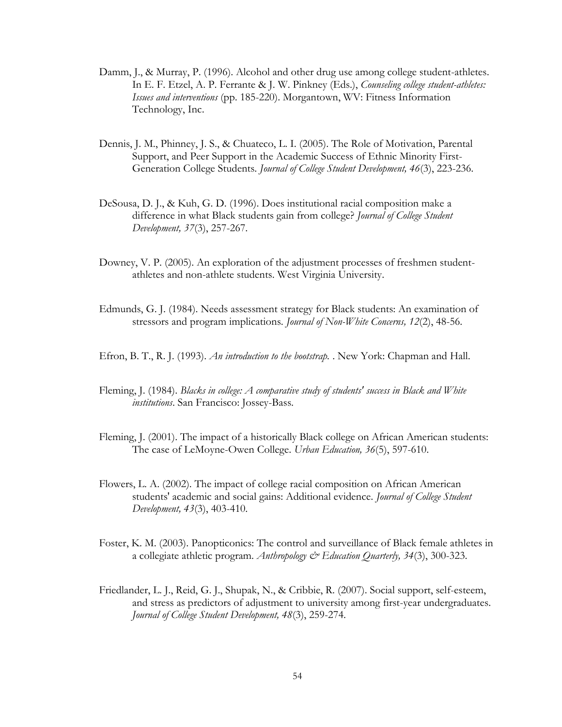- Damm, J., & Murray, P. (1996). Alcohol and other drug use among college student-athletes. In E. F. Etzel, A. P. Ferrante & J. W. Pinkney (Eds.), *Counseling college student-athletes: Issues and interventions* (pp. 185-220). Morgantown, WV: Fitness Information Technology, Inc.
- Dennis, J. M., Phinney, J. S., & Chuateco, L. I. (2005). The Role of Motivation, Parental Support, and Peer Support in the Academic Success of Ethnic Minority First-Generation College Students. *Journal of College Student Development, 46*(3), 223-236.
- DeSousa, D. J., & Kuh, G. D. (1996). Does institutional racial composition make a difference in what Black students gain from college? *Journal of College Student Development, 37*(3), 257-267.
- Downey, V. P. (2005). An exploration of the adjustment processes of freshmen studentathletes and non-athlete students. West Virginia University.
- Edmunds, G. J. (1984). Needs assessment strategy for Black students: An examination of stressors and program implications. *Journal of Non-White Concerns, 12*(2), 48-56.
- Efron, B. T., R. J. (1993). *An introduction to the bootstrap.* . New York: Chapman and Hall.
- Fleming, J. (1984). *Blacks in college: A comparative study of students' success in Black and White institutions*. San Francisco: Jossey-Bass.
- Fleming, J. (2001). The impact of a historically Black college on African American students: The case of LeMoyne-Owen College. *Urban Education, 36*(5), 597-610.
- Flowers, L. A. (2002). The impact of college racial composition on African American students' academic and social gains: Additional evidence. *Journal of College Student Development, 43*(3), 403-410.
- Foster, K. M. (2003). Panopticonics: The control and surveillance of Black female athletes in a collegiate athletic program. *Anthropology & Education Quarterly, 34*(3), 300-323.
- Friedlander, L. J., Reid, G. J., Shupak, N., & Cribbie, R. (2007). Social support, self-esteem, and stress as predictors of adjustment to university among first-year undergraduates. *Journal of College Student Development, 48*(3), 259-274.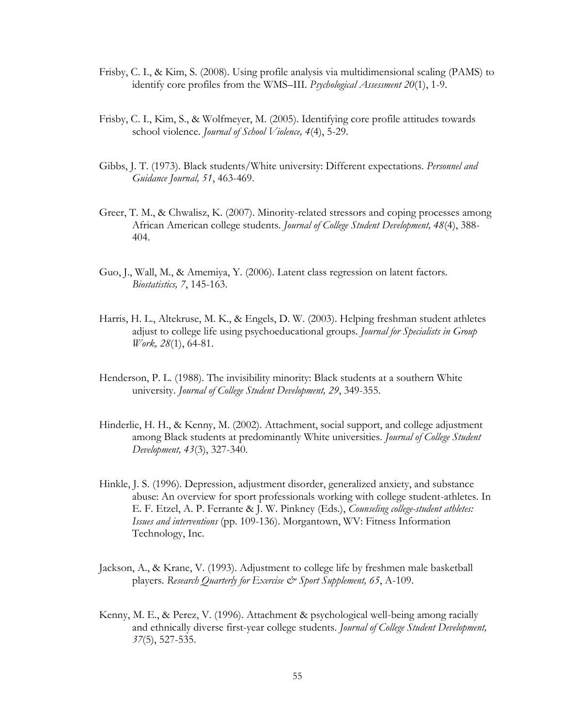- Frisby, C. I., & Kim, S. (2008). Using profile analysis via multidimensional scaling (PAMS) to identify core profiles from the WMS–III. *Psychological Assessment 20*(1), 1-9.
- Frisby, C. I., Kim, S., & Wolfmeyer, M. (2005). Identifying core profile attitudes towards school violence. *Journal of School Violence, 4*(4), 5-29.
- Gibbs, J. T. (1973). Black students/White university: Different expectations. *Personnel and Guidance Journal, 51*, 463-469.
- Greer, T. M., & Chwalisz, K. (2007). Minority-related stressors and coping processes among African American college students. *Journal of College Student Development, 48*(4), 388- 404.
- Guo, J., Wall, M., & Amemiya, Y. (2006). Latent class regression on latent factors. *Biostatistics, 7*, 145-163.
- Harris, H. L., Altekruse, M. K., & Engels, D. W. (2003). Helping freshman student athletes adjust to college life using psychoeducational groups. *Journal for Specialists in Group Work, 28*(1), 64-81.
- Henderson, P. L. (1988). The invisibility minority: Black students at a southern White university. *Journal of College Student Development, 29*, 349-355.
- Hinderlie, H. H., & Kenny, M. (2002). Attachment, social support, and college adjustment among Black students at predominantly White universities. *Journal of College Student Development, 43*(3), 327-340.
- Hinkle, J. S. (1996). Depression, adjustment disorder, generalized anxiety, and substance abuse: An overview for sport professionals working with college student-athletes. In E. F. Etzel, A. P. Ferrante & J. W. Pinkney (Eds.), *Counseling college-student athletes: Issues and interventions* (pp. 109-136). Morgantown, WV: Fitness Information Technology, Inc.
- Jackson, A., & Krane, V. (1993). Adjustment to college life by freshmen male basketball players. *Research Quarterly for Exercise*  $\mathcal{Q}$  *Sport Supplement, 65, A-109.*
- Kenny, M. E., & Perez, V. (1996). Attachment & psychological well-being among racially and ethnically diverse first-year college students. *Journal of College Student Development, 37*(5), 527-535.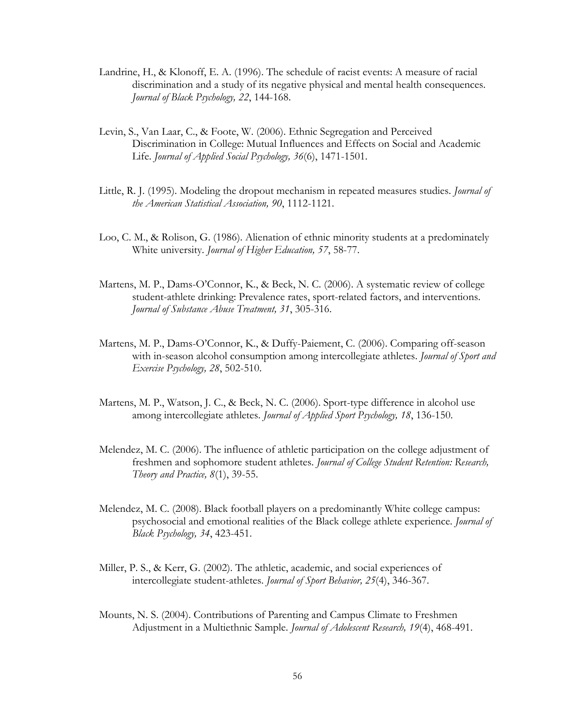- Landrine, H., & Klonoff, E. A. (1996). The schedule of racist events: A measure of racial discrimination and a study of its negative physical and mental health consequences. *Journal of Black Psychology, 22*, 144-168.
- Levin, S., Van Laar, C., & Foote, W. (2006). Ethnic Segregation and Perceived Discrimination in College: Mutual Influences and Effects on Social and Academic Life. *Journal of Applied Social Psychology, 36*(6), 1471-1501.
- Little, R. J. (1995). Modeling the dropout mechanism in repeated measures studies. *Journal of the American Statistical Association, 90*, 1112-1121.
- Loo, C. M., & Rolison, G. (1986). Alienation of ethnic minority students at a predominately White university. *Journal of Higher Education, 57*, 58-77.
- Martens, M. P., Dams-O'Connor, K., & Beck, N. C. (2006). A systematic review of college student-athlete drinking: Prevalence rates, sport-related factors, and interventions. *Journal of Substance Abuse Treatment, 31*, 305-316.
- Martens, M. P., Dams-O'Connor, K., & Duffy-Paiement, C. (2006). Comparing off-season with in-season alcohol consumption among intercollegiate athletes. *Journal of Sport and Exercise Psychology, 28*, 502-510.
- Martens, M. P., Watson, J. C., & Beck, N. C. (2006). Sport-type difference in alcohol use among intercollegiate athletes. *Journal of Applied Sport Psychology, 18*, 136-150.
- Melendez, M. C. (2006). The influence of athletic participation on the college adjustment of freshmen and sophomore student athletes. *Journal of College Student Retention: Research, Theory and Practice, 8*(1), 39-55.
- Melendez, M. C. (2008). Black football players on a predominantly White college campus: psychosocial and emotional realities of the Black college athlete experience. *Journal of Black Psychology, 34*, 423-451.
- Miller, P. S., & Kerr, G. (2002). The athletic, academic, and social experiences of intercollegiate student-athletes. *Journal of Sport Behavior, 25*(4), 346-367.
- Mounts, N. S. (2004). Contributions of Parenting and Campus Climate to Freshmen Adjustment in a Multiethnic Sample. *Journal of Adolescent Research, 19*(4), 468-491.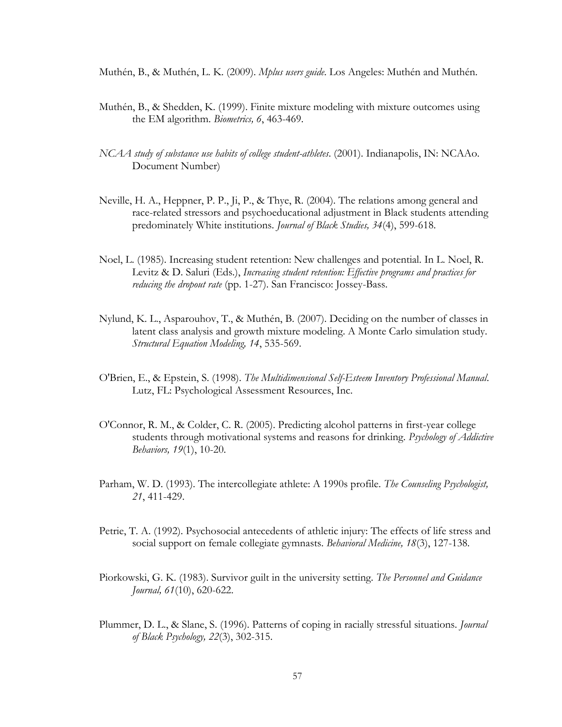- Muthén, B., & Muthén, L. K. (2009). *Mplus users guide*. Los Angeles: Muthén and Muthén.
- Muthén, B., & Shedden, K. (1999). Finite mixture modeling with mixture outcomes using the EM algorithm. *Biometrics, 6*, 463-469.
- *NCAA study of substance use habits of college student-athletes*. (2001). Indianapolis, IN: NCAAo. Document Number)
- Neville, H. A., Heppner, P. P., Ji, P., & Thye, R. (2004). The relations among general and race-related stressors and psychoeducational adjustment in Black students attending predominately White institutions. *Journal of Black Studies, 34*(4), 599-618.
- Noel, L. (1985). Increasing student retention: New challenges and potential. In L. Noel, R. Levitz & D. Saluri (Eds.), *Increasing student retention: Effective programs and practices for reducing the dropout rate* (pp. 1-27). San Francisco: Jossey-Bass.
- Nylund, K. L., Asparouhov, T., & Muthén, B. (2007). Deciding on the number of classes in latent class analysis and growth mixture modeling. A Monte Carlo simulation study. *Structural Equation Modeling, 14*, 535-569.
- O'Brien, E., & Epstein, S. (1998). *The Multidimensional Self-Esteem Inventory Professional Manual*. Lutz, FL: Psychological Assessment Resources, Inc.
- O'Connor, R. M., & Colder, C. R. (2005). Predicting alcohol patterns in first-year college students through motivational systems and reasons for drinking. *Psychology of Addictive Behaviors, 19*(1), 10-20.
- Parham, W. D. (1993). The intercollegiate athlete: A 1990s profile. *The Counseling Psychologist, 21*, 411-429.
- Petrie, T. A. (1992). Psychosocial antecedents of athletic injury: The effects of life stress and social support on female collegiate gymnasts. *Behavioral Medicine, 18*(3), 127-138.
- Piorkowski, G. K. (1983). Survivor guilt in the university setting. *The Personnel and Guidance Journal, 61*(10), 620-622.
- Plummer, D. L., & Slane, S. (1996). Patterns of coping in racially stressful situations. *Journal of Black Psychology, 22*(3), 302-315.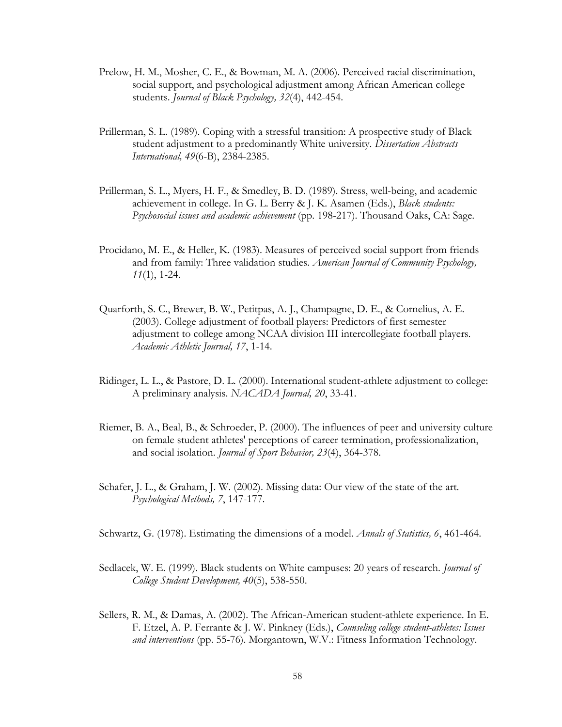- Prelow, H. M., Mosher, C. E., & Bowman, M. A. (2006). Perceived racial discrimination, social support, and psychological adjustment among African American college students. *Journal of Black Psychology, 32*(4), 442-454.
- Prillerman, S. L. (1989). Coping with a stressful transition: A prospective study of Black student adjustment to a predominantly White university. *Dissertation Abstracts International, 49*(6-B), 2384-2385.
- Prillerman, S. L., Myers, H. F., & Smedley, B. D. (1989). Stress, well-being, and academic achievement in college. In G. L. Berry & J. K. Asamen (Eds.), *Black students: Psychosocial issues and academic achievement* (pp. 198-217). Thousand Oaks, CA: Sage.
- Procidano, M. E., & Heller, K. (1983). Measures of perceived social support from friends and from family: Three validation studies. *American Journal of Community Psychology, 11*(1), 1-24.
- Quarforth, S. C., Brewer, B. W., Petitpas, A. J., Champagne, D. E., & Cornelius, A. E. (2003). College adjustment of football players: Predictors of first semester adjustment to college among NCAA division III intercollegiate football players. *Academic Athletic Journal, 17*, 1-14.
- Ridinger, L. L., & Pastore, D. L. (2000). International student-athlete adjustment to college: A preliminary analysis. *NACADA Journal, 20*, 33-41.
- Riemer, B. A., Beal, B., & Schroeder, P. (2000). The influences of peer and university culture on female student athletes' perceptions of career termination, professionalization, and social isolation. *Journal of Sport Behavior, 23*(4), 364-378.
- Schafer, J. L., & Graham, J. W. (2002). Missing data: Our view of the state of the art. *Psychological Methods, 7*, 147-177.

Schwartz, G. (1978). Estimating the dimensions of a model. *Annals of Statistics, 6*, 461-464.

- Sedlacek, W. E. (1999). Black students on White campuses: 20 years of research. *Journal of College Student Development, 40*(5), 538-550.
- Sellers, R. M., & Damas, A. (2002). The African-American student-athlete experience. In E. F. Etzel, A. P. Ferrante & J. W. Pinkney (Eds.), *Counseling college student-athletes: Issues and interventions* (pp. 55-76). Morgantown, W.V.: Fitness Information Technology.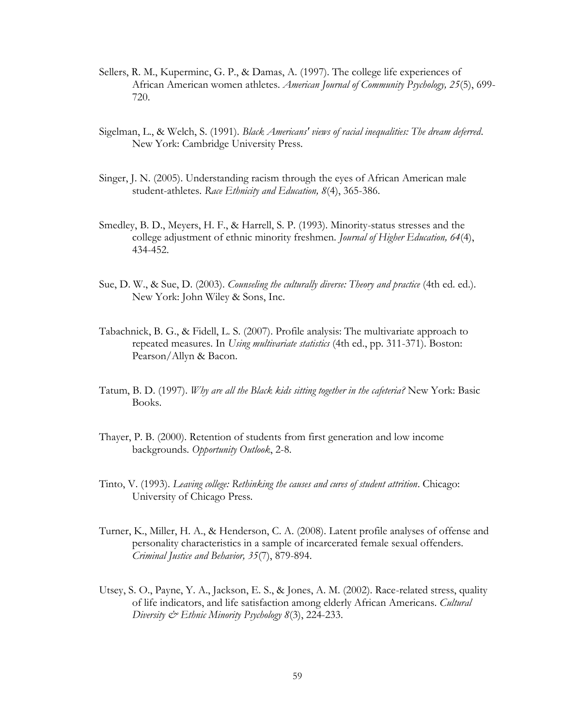- Sellers, R. M., Kuperminc, G. P., & Damas, A. (1997). The college life experiences of African American women athletes. *American Journal of Community Psychology, 25*(5), 699- 720.
- Sigelman, L., & Welch, S. (1991). *Black Americans' views of racial inequalities: The dream deferred*. New York: Cambridge University Press.
- Singer, J. N. (2005). Understanding racism through the eyes of African American male student-athletes. *Race Ethnicity and Education, 8*(4), 365-386.
- Smedley, B. D., Meyers, H. F., & Harrell, S. P. (1993). Minority-status stresses and the college adjustment of ethnic minority freshmen. *Journal of Higher Education, 64*(4), 434-452.
- Sue, D. W., & Sue, D. (2003). *Counseling the culturally diverse: Theory and practice* (4th ed. ed.). New York: John Wiley & Sons, Inc.
- Tabachnick, B. G., & Fidell, L. S. (2007). Profile analysis: The multivariate approach to repeated measures. In *Using multivariate statistics* (4th ed., pp. 311-371). Boston: Pearson/Allyn & Bacon.
- Tatum, B. D. (1997). *Why are all the Black kids sitting together in the cafeteria?* New York: Basic Books.
- Thayer, P. B. (2000). Retention of students from first generation and low income backgrounds. *Opportunity Outlook*, 2-8.
- Tinto, V. (1993). *Leaving college: Rethinking the causes and cures of student attrition*. Chicago: University of Chicago Press.
- Turner, K., Miller, H. A., & Henderson, C. A. (2008). Latent profile analyses of offense and personality characteristics in a sample of incarcerated female sexual offenders. *Criminal Justice and Behavior, 35*(7), 879-894.
- Utsey, S. O., Payne, Y. A., Jackson, E. S., & Jones, A. M. (2002). Race-related stress, quality of life indicators, and life satisfaction among elderly African Americans. *Cultural Diversity & Ethnic Minority Psychology 8*(3), 224-233.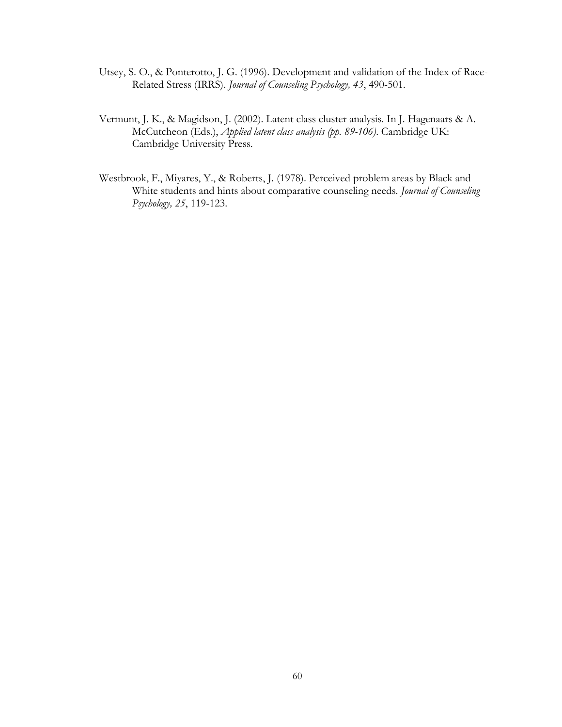- Utsey, S. O., & Ponterotto, J. G. (1996). Development and validation of the Index of Race-Related Stress (IRRS). *Journal of Counseling Psychology, 43*, 490-501.
- Vermunt, J. K., & Magidson, J. (2002). Latent class cluster analysis. In J. Hagenaars & A. McCutcheon (Eds.), *Applied latent class analysis (pp. 89-106)*. Cambridge UK: Cambridge University Press.
- Westbrook, F., Miyares, Y., & Roberts, J. (1978). Perceived problem areas by Black and White students and hints about comparative counseling needs. *Journal of Counseling Psychology, 25*, 119-123.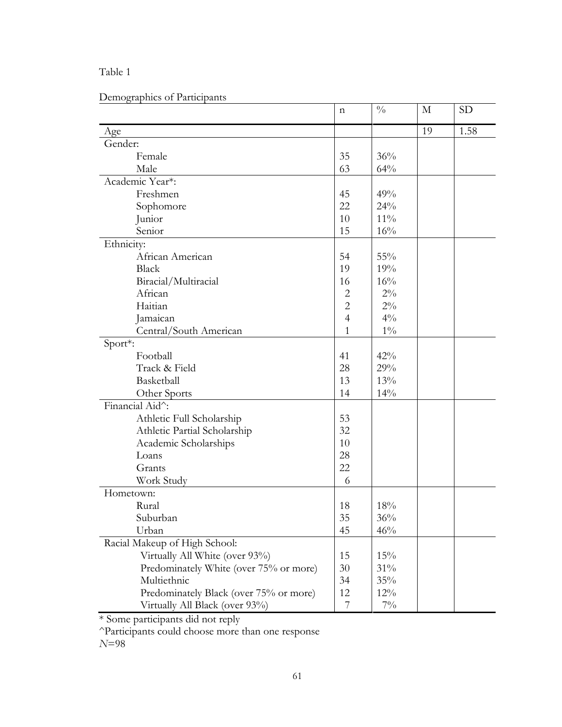# Table 1

# Demographics of Participants

|                                        | n              | $\frac{0}{0}$ | M  | <b>SD</b> |
|----------------------------------------|----------------|---------------|----|-----------|
| Age                                    |                |               | 19 | 1.58      |
| Gender:                                |                |               |    |           |
| Female                                 | 35             | 36%           |    |           |
| Male                                   | 63             | 64%           |    |           |
| Academic Year*:                        |                |               |    |           |
| Freshmen                               | 45             | 49%           |    |           |
| Sophomore                              | 22             | 24%           |    |           |
| Junior                                 | 10             | $11\%$        |    |           |
| Senior                                 | 15             | $16\%$        |    |           |
| Ethnicity:                             |                |               |    |           |
| African American                       | 54             | 55%           |    |           |
| <b>Black</b>                           | 19             | 19%           |    |           |
| Biracial/Multiracial                   | 16             | 16%           |    |           |
| African                                | $\overline{2}$ | $2\%$         |    |           |
| Haitian                                | $\overline{2}$ | $2\%$         |    |           |
| Jamaican                               | $\overline{4}$ | $4\%$         |    |           |
| Central/South American                 | 1              | $1\%$         |    |           |
| Sport*:                                |                |               |    |           |
| Football                               | 41             | 42%           |    |           |
| Track & Field                          | 28             | 29%           |    |           |
| Basketball                             | 13             | 13%           |    |           |
| Other Sports                           | 14             | 14%           |    |           |
| Financial Aid^:                        |                |               |    |           |
| Athletic Full Scholarship              | 53             |               |    |           |
| Athletic Partial Scholarship           | 32             |               |    |           |
| Academic Scholarships                  | 10             |               |    |           |
| Loans                                  | 28             |               |    |           |
| Grants                                 | 22             |               |    |           |
| Work Study                             | 6              |               |    |           |
| Hometown:                              |                |               |    |           |
| Rural                                  | 18             | 18%           |    |           |
| Suburban                               | 35             | $36\%$        |    |           |
| Urban                                  | 45             | 46%           |    |           |
| Racial Makeup of High School:          |                |               |    |           |
| Virtually All White (over 93%)         | 15             | 15%           |    |           |
| Predominately White (over 75% or more) | 30             | 31%           |    |           |
| Multiethnic                            | 34             | 35%           |    |           |
| Predominately Black (over 75% or more) | 12             | $12\%$        |    |           |
| Virtually All Black (over 93%)         | 7              | $7\%$         |    |           |

\* Some participants did not reply

^Participants could choose more than one response

*N*=98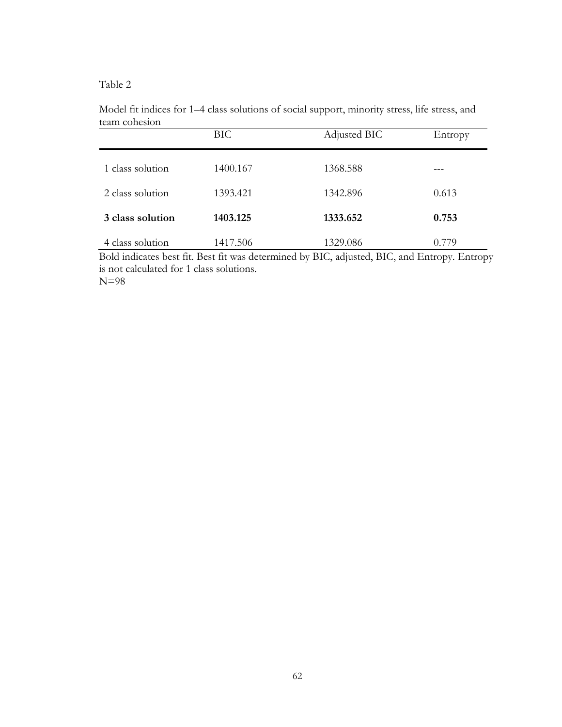# Table 2

|                  | BIC      | Adjusted BIC | Entropy |
|------------------|----------|--------------|---------|
| 1 class solution | 1400.167 | 1368.588     |         |
| 2 class solution | 1393.421 | 1342.896     | 0.613   |
| 3 class solution | 1403.125 | 1333.652     | 0.753   |
| 4 class solution | 1417.506 | 1329.086     | 0.779   |

Model fit indices for 1–4 class solutions of social support, minority stress, life stress, and team cohesion

Bold indicates best fit. Best fit was determined by BIC, adjusted, BIC, and Entropy. Entropy is not calculated for 1 class solutions. N=98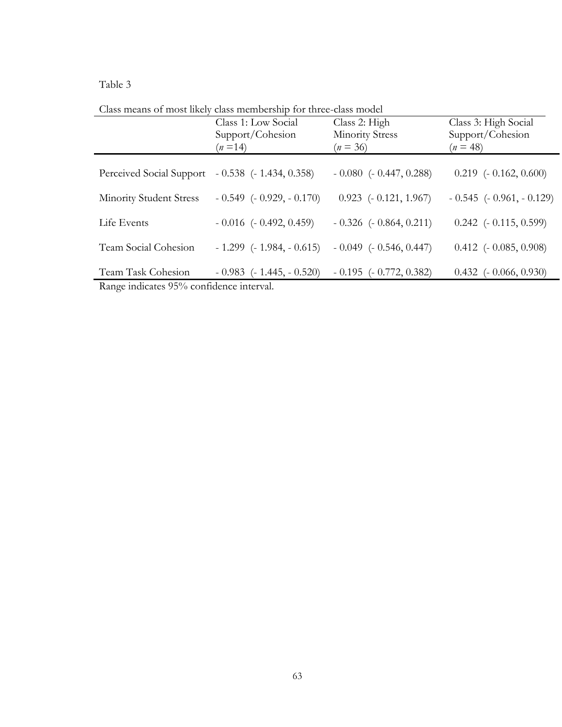# Table 3

Class means of most likely class membership for three-class model

|                                                                | Class 1: Low Social<br>Support/Cohesion<br>$(n=14)$ | Class 2: High<br><b>Minority Stress</b><br>$(n = 36)$ | Class 3: High Social<br>Support/Cohesion<br>$(n = 48)$ |
|----------------------------------------------------------------|-----------------------------------------------------|-------------------------------------------------------|--------------------------------------------------------|
| Perceived Social Support                                       | $-0.538$ ( $-1.434, 0.358$ )                        | $-0.080$ $(-0.447, 0.288)$                            | $0.219$ ( $-0.162, 0.600$ )                            |
| Minority Student Stress                                        | $-0.549$ $(-0.929, -0.170)$                         | $0.923$ ( $-0.121, 1.967$ )                           | $-0.545$ ( $-0.961$ , $-0.129$ )                       |
| Life Events                                                    | $-0.016$ ( $-0.492, 0.459$ )                        | $-0.326$ $(-0.864, 0.211)$                            | $0.242$ ( $-0.115, 0.599$ )                            |
| Team Social Cohesion                                           | $-1.299$ ( $-1.984$ , $-0.615$ )                    | $-0.049$ ( $-0.546, 0.447$ )                          | $0.412$ ( $-0.085, 0.908$ )                            |
| Team Task Cohesion<br>Range indicates 95% confidence interval. | $-0.983$ ( $-1.445, -0.520$ )                       | $-0.195$ ( $-0.772, 0.382$ )                          | $0.432$ ( $-0.066, 0.930$ )                            |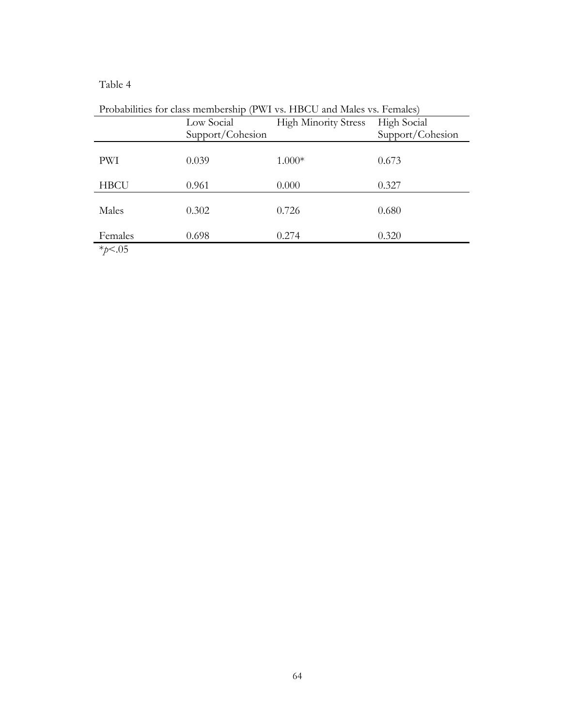# Table 4

| T TODADINIUS TOT CIASS HICHIDCISHIP (1 WT VS. TIDCO AND MARS VS. PCHIARS) |                  |                             |                    |  |  |  |
|---------------------------------------------------------------------------|------------------|-----------------------------|--------------------|--|--|--|
|                                                                           | Low Social       | <b>High Minority Stress</b> | <b>High Social</b> |  |  |  |
|                                                                           | Support/Cohesion |                             | Support/Cohesion   |  |  |  |
| PWI                                                                       | 0.039            | $1.000*$                    | 0.673              |  |  |  |
| <b>HBCU</b>                                                               | 0.961            | 0.000                       | 0.327              |  |  |  |
| Males                                                                     | 0.302            | 0.726                       | 0.680              |  |  |  |
| Females                                                                   | 0.698            | 0.274                       | 0.320              |  |  |  |
| $*p < .05$                                                                |                  |                             |                    |  |  |  |

Probabilities for class membership (PWI vs. HBCU and Males vs. Females)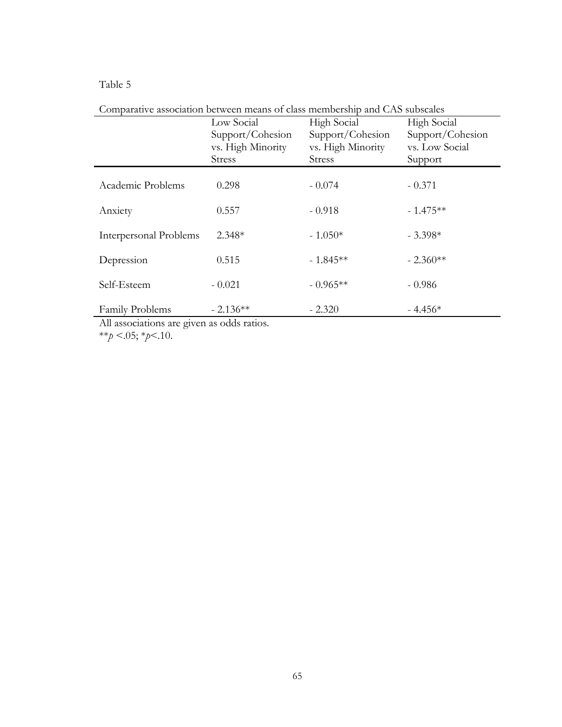# Table 5

| Comparative association between means of class includership and C/To subsearcs |                   |                   |                    |  |  |  |
|--------------------------------------------------------------------------------|-------------------|-------------------|--------------------|--|--|--|
|                                                                                | Low Social        | High Social       | <b>High Social</b> |  |  |  |
|                                                                                | Support/Cohesion  | Support/Cohesion  | Support/Cohesion   |  |  |  |
|                                                                                | vs. High Minority | vs. High Minority | vs. Low Social     |  |  |  |
|                                                                                | <b>Stress</b>     | <b>Stress</b>     | Support            |  |  |  |
|                                                                                |                   |                   |                    |  |  |  |
| Academic Problems                                                              | 0.298             | $-0.074$          | $-0.371$           |  |  |  |
|                                                                                |                   |                   |                    |  |  |  |
| Anxiety                                                                        | 0.557             | $-0.918$          | $-1.475**$         |  |  |  |
|                                                                                |                   |                   |                    |  |  |  |
| Interpersonal Problems                                                         | $2.348*$          | $-1.050*$         | $-3.398*$          |  |  |  |
|                                                                                |                   |                   |                    |  |  |  |
| Depression                                                                     | 0.515             | $-1.845**$        | $-2.360**$         |  |  |  |
|                                                                                |                   |                   |                    |  |  |  |
| Self-Esteem                                                                    | $-0.021$          | $-0.965**$        | $-0.986$           |  |  |  |
|                                                                                |                   |                   |                    |  |  |  |
| Family Problems                                                                | $-2.136**$        | $-2.320$          | $-4.456*$          |  |  |  |
|                                                                                |                   |                   |                    |  |  |  |

Comparative association between means of class membership and CAS subscales

All associations are given as odds ratios.

\*\**p* <.05; \**p*<.10.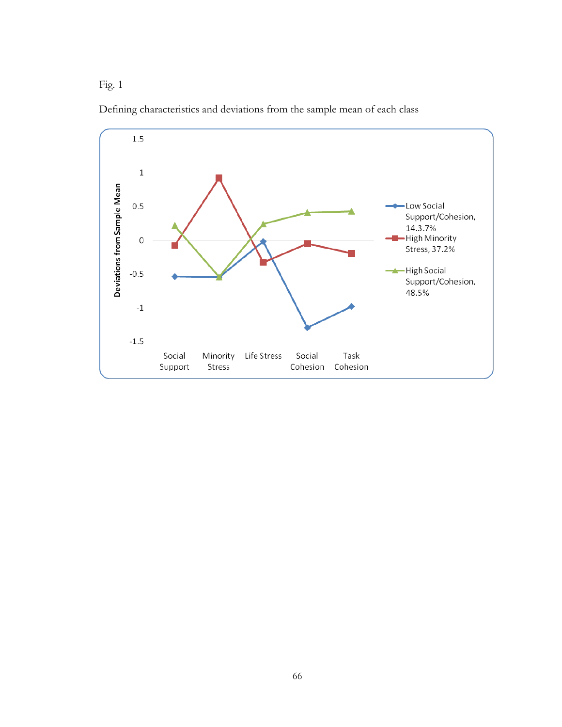Fig. 1



Defining characteristics and deviations from the sample mean of each class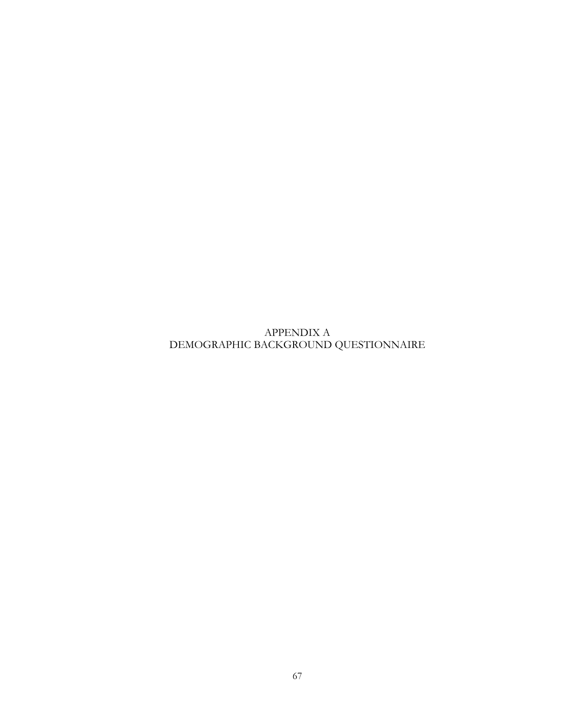APPENDIX A DEMOGRAPHIC BACKGROUND QUESTIONNAIRE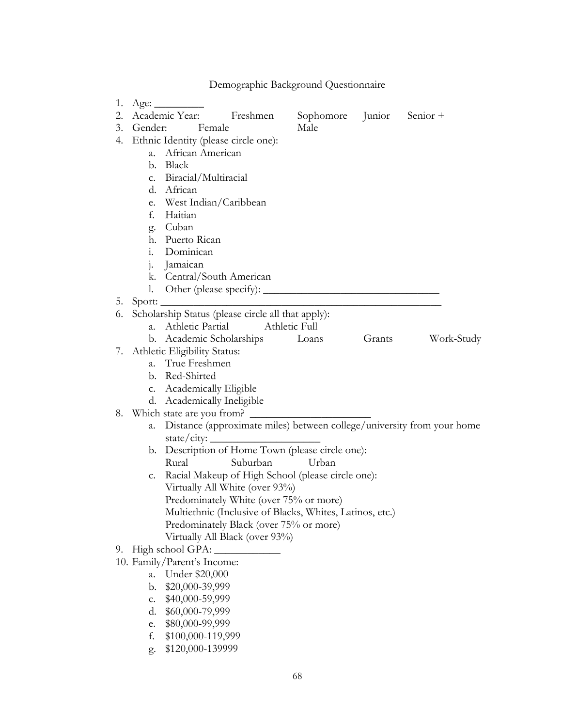|    |             |                                                                        | Demographic Background Questionnaire |        |            |
|----|-------------|------------------------------------------------------------------------|--------------------------------------|--------|------------|
| 1. |             | Age:                                                                   |                                      |        |            |
| 2. |             | Academic Year:<br>Freshmen                                             | Sophomore Junior Senior +            |        |            |
| 3. | Gender:     | <b>Female</b>                                                          | Male                                 |        |            |
| 4. |             | Ethnic Identity (please circle one):                                   |                                      |        |            |
|    |             | a. African American                                                    |                                      |        |            |
|    |             | b. Black                                                               |                                      |        |            |
|    |             | c. Biracial/Multiracial                                                |                                      |        |            |
|    |             | d. African                                                             |                                      |        |            |
|    |             | e. West Indian/Caribbean                                               |                                      |        |            |
|    |             | f. Haitian                                                             |                                      |        |            |
|    |             | g. Cuban                                                               |                                      |        |            |
|    |             | h. Puerto Rican                                                        |                                      |        |            |
|    |             | i. Dominican                                                           |                                      |        |            |
|    |             | j. Jamaican                                                            |                                      |        |            |
|    | 1.          | k. Central/South American                                              |                                      |        |            |
| 5. |             |                                                                        |                                      |        |            |
| 6. |             | Scholarship Status (please circle all that apply):                     |                                      |        |            |
|    | $a_{\cdot}$ | Athletic Partial                                                       | Athletic Full                        |        |            |
|    |             | b. Academic Scholarships Loans                                         |                                      | Grants | Work-Study |
|    |             | 7. Athletic Eligibility Status:                                        |                                      |        |            |
|    | $a_{\cdot}$ | True Freshmen                                                          |                                      |        |            |
|    |             | b. Red-Shirted                                                         |                                      |        |            |
|    |             | c. Academically Eligible                                               |                                      |        |            |
|    |             | d. Academically Ineligible                                             |                                      |        |            |
|    |             | 8. Which state are you from?                                           |                                      |        |            |
|    | a.          | Distance (approximate miles) between college/university from your home |                                      |        |            |
|    |             | state/city:                                                            |                                      |        |            |
|    |             | b. Description of Home Town (please circle one):                       |                                      |        |            |
|    |             | Rural<br>Suburban                                                      | Urban                                |        |            |
|    |             | c. Racial Makeup of High School (please circle one):                   |                                      |        |            |
|    |             | Virtually All White (over 93%)                                         |                                      |        |            |
|    |             | Predominately White (over 75% or more)                                 |                                      |        |            |
|    |             | Multiethnic (Inclusive of Blacks, Whites, Latinos, etc.)               |                                      |        |            |
|    |             | Predominately Black (over 75% or more)                                 |                                      |        |            |
|    |             | Virtually All Black (over 93%)<br>High school GPA:                     |                                      |        |            |
| 9. |             | 10. Family/Parent's Income:                                            |                                      |        |            |
|    | a.          | Under \$20,000                                                         |                                      |        |            |
|    | b.          | \$20,000-39,999                                                        |                                      |        |            |
|    | c.          | \$40,000-59,999                                                        |                                      |        |            |
|    | d.          | \$60,000-79,999                                                        |                                      |        |            |
|    | e.          | \$80,000-99,999                                                        |                                      |        |            |
|    | f.          | \$100,000-119,999                                                      |                                      |        |            |
|    | g.          | \$120,000-139999                                                       |                                      |        |            |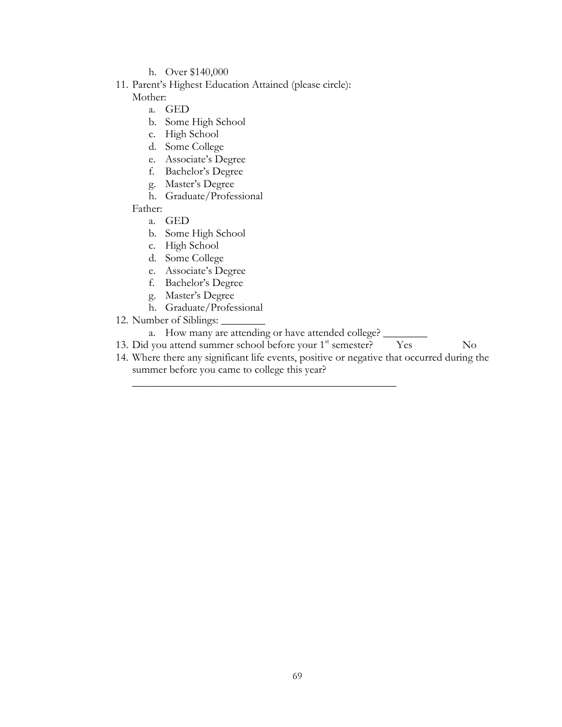- h. Over \$140,000
- 11. Parent's Highest Education Attained (please circle): Mother:
	- a. GED
	- b. Some High School
	- c. High School
	- d. Some College
	- e. Associate's Degree
	- f. Bachelor's Degree
	- g. Master's Degree
	- h. Graduate/Professional
	- Father:
		- a. GED
		- b. Some High School
		- c. High School
		- d. Some College
		- e. Associate's Degree
		- f. Bachelor's Degree
		- g. Master's Degree
		- h. Graduate/Professional
- 12. Number of Siblings:

a. How many are attending or have attended college? \_

\_\_\_\_\_\_\_\_\_\_\_\_\_\_\_\_\_\_\_\_\_\_\_\_\_\_\_\_\_\_\_\_\_\_\_\_\_\_\_\_\_\_\_\_\_\_\_\_

- 13. Did you attend summer school before your 1<sup>st</sup> semester? Yes No
- 14. Where there any significant life events, positive or negative that occurred during the summer before you came to college this year?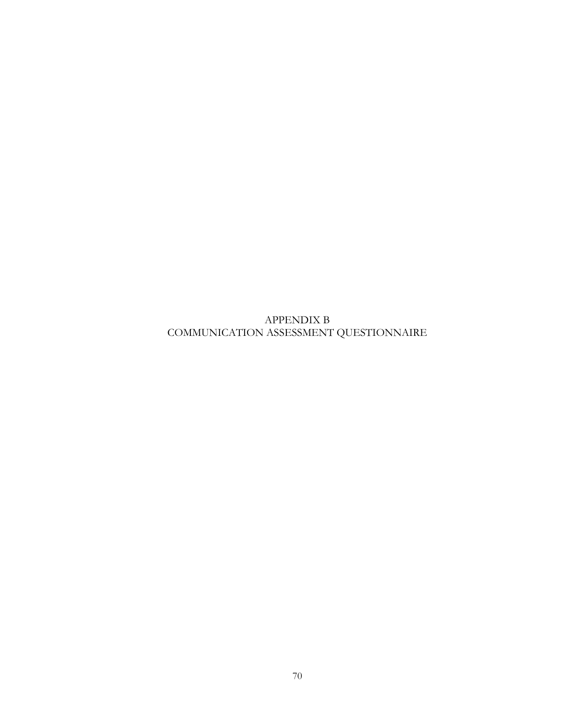APPENDIX B COMMUNICATION ASSESSMENT QUESTIONNAIRE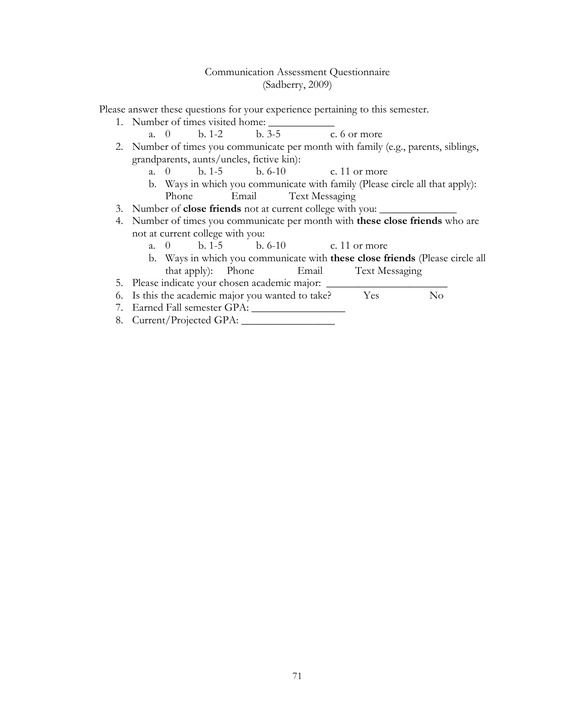## Communication Assessment Questionnaire (Sadberry, 2009)

Please answer these questions for your experience pertaining to this semester.

- 1. Number of times visited home:
	- a. 0 b. 1-2 b. 3-5 c. 6 or more
- 2. Number of times you communicate per month with family (e.g., parents, siblings, grandparents, aunts/uncles, fictive kin):
	- a. 0 b. 1-5 b. 6-10 c. 11 or more
	- b. Ways in which you communicate with family (Please circle all that apply): Phone Email Text Messaging
- 3. Number of **close friends** not at current college with you:
- 4. Number of times you communicate per month with **these close friends** who are not at current college with you:
	- a. 0 b. 1-5 b. 6-10 c. 11 or more
	- b. Ways in which you communicate with **these close friends** (Please circle all that apply): Phone Email Text Messaging
- 5. Please indicate your chosen academic major:
- 6. Is this the academic major you wanted to take? Yes No
- 7. Earned Fall semester GPA: \_\_\_\_\_\_\_\_\_\_\_\_\_\_\_\_\_
- 8. Current/Projected GPA: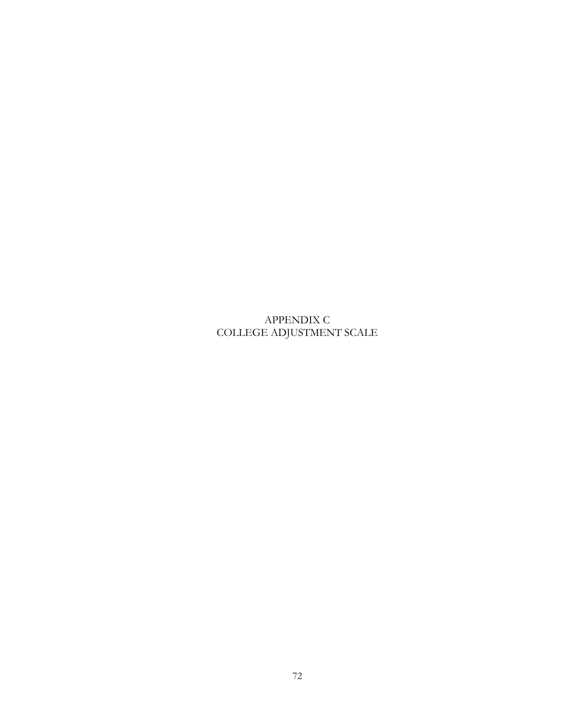APPENDIX C COLLEGE ADJUSTMENT SCALE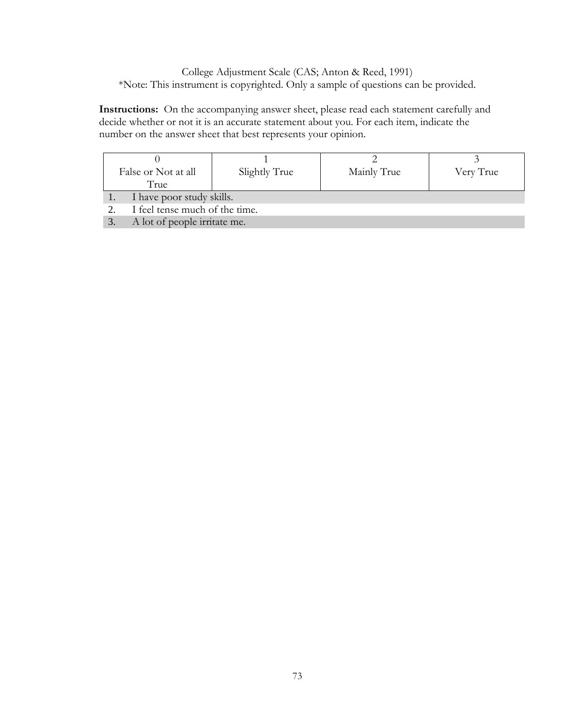College Adjustment Scale (CAS; Anton & Reed, 1991) \*Note: This instrument is copyrighted. Only a sample of questions can be provided.

**Instructions:** On the accompanying answer sheet, please read each statement carefully and decide whether or not it is an accurate statement about you. For each item, indicate the number on the answer sheet that best represents your opinion.

| False or Not at all<br>True |                                | Slightly True | Mainly True | Very True |  |  |
|-----------------------------|--------------------------------|---------------|-------------|-----------|--|--|
|                             | I have poor study skills.      |               |             |           |  |  |
|                             | I feel tense much of the time. |               |             |           |  |  |
|                             | A lot of people irritate me.   |               |             |           |  |  |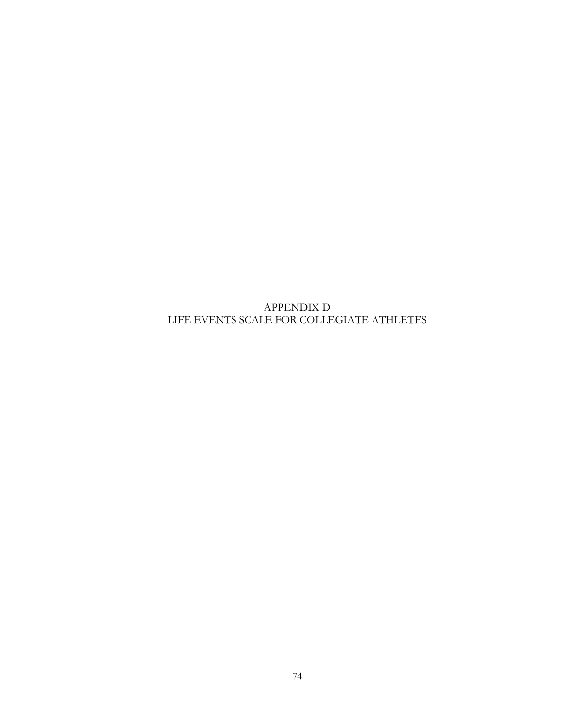APPENDIX D LIFE EVENTS SCALE FOR COLLEGIATE ATHLETES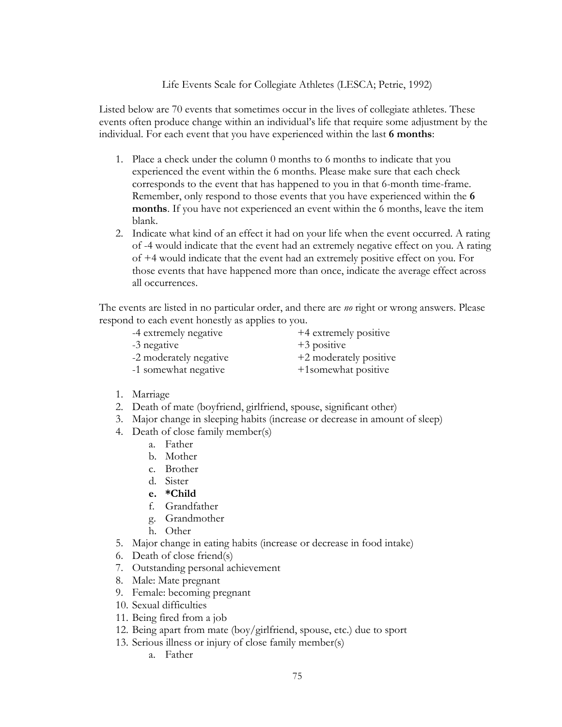## Life Events Scale for Collegiate Athletes (LESCA; Petrie, 1992)

Listed below are 70 events that sometimes occur in the lives of collegiate athletes. These events often produce change within an individual's life that require some adjustment by the individual. For each event that you have experienced within the last **6 months**:

- 1. Place a check under the column 0 months to 6 months to indicate that you experienced the event within the 6 months. Please make sure that each check corresponds to the event that has happened to you in that 6-month time-frame. Remember, only respond to those events that you have experienced within the **6 months**. If you have not experienced an event within the 6 months, leave the item blank.
- 2. Indicate what kind of an effect it had on your life when the event occurred. A rating of -4 would indicate that the event had an extremely negative effect on you. A rating of +4 would indicate that the event had an extremely positive effect on you. For those events that have happened more than once, indicate the average effect across all occurrences.

The events are listed in no particular order, and there are *no* right or wrong answers. Please respond to each event honestly as applies to you.

-4 extremely negative  $+4$  extremely positive -3 negative  $+3$  positive

-2 moderately negative  $+2$  moderately positive

-1 somewhat negative  $+1$ somewhat positive

- 1. Marriage
- 2. Death of mate (boyfriend, girlfriend, spouse, significant other)
- 3. Major change in sleeping habits (increase or decrease in amount of sleep)
- 4. Death of close family member(s)
	- a. Father
	- b. Mother
	- c. Brother
	- d. Sister
	- **e. \*Child**
	- f. Grandfather
	- g. Grandmother
	- h. Other
- 5. Major change in eating habits (increase or decrease in food intake)
- 6. Death of close friend(s)
- 7. Outstanding personal achievement
- 8. Male: Mate pregnant
- 9. Female: becoming pregnant
- 10. Sexual difficulties
- 11. Being fired from a job
- 12. Being apart from mate (boy/girlfriend, spouse, etc.) due to sport
- 13. Serious illness or injury of close family member(s)
	- a. Father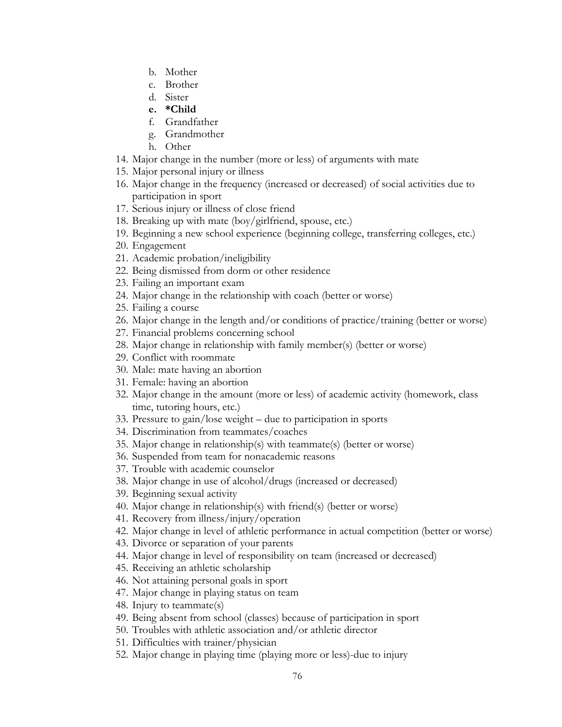- b. Mother
- c. Brother
- d. Sister
- **e. \*Child**
- f. Grandfather
- g. Grandmother
- h. Other
- 14. Major change in the number (more or less) of arguments with mate
- 15. Major personal injury or illness
- 16. Major change in the frequency (increased or decreased) of social activities due to participation in sport
- 17. Serious injury or illness of close friend
- 18. Breaking up with mate (boy/girlfriend, spouse, etc.)
- 19. Beginning a new school experience (beginning college, transferring colleges, etc.)
- 20. Engagement
- 21. Academic probation/ineligibility
- 22. Being dismissed from dorm or other residence
- 23. Failing an important exam
- 24. Major change in the relationship with coach (better or worse)
- 25. Failing a course
- 26. Major change in the length and/or conditions of practice/training (better or worse)
- 27. Financial problems concerning school
- 28. Major change in relationship with family member(s) (better or worse)
- 29. Conflict with roommate
- 30. Male: mate having an abortion
- 31. Female: having an abortion
- 32. Major change in the amount (more or less) of academic activity (homework, class time, tutoring hours, etc.)
- 33. Pressure to gain/lose weight due to participation in sports
- 34. Discrimination from teammates/coaches
- 35. Major change in relationship(s) with teammate(s) (better or worse)
- 36. Suspended from team for nonacademic reasons
- 37. Trouble with academic counselor
- 38. Major change in use of alcohol/drugs (increased or decreased)
- 39. Beginning sexual activity
- 40. Major change in relationship(s) with friend(s) (better or worse)
- 41. Recovery from illness/injury/operation
- 42. Major change in level of athletic performance in actual competition (better or worse)
- 43. Divorce or separation of your parents
- 44. Major change in level of responsibility on team (increased or decreased)
- 45. Receiving an athletic scholarship
- 46. Not attaining personal goals in sport
- 47. Major change in playing status on team
- 48. Injury to teammate(s)
- 49. Being absent from school (classes) because of participation in sport
- 50. Troubles with athletic association and/or athletic director
- 51. Difficulties with trainer/physician
- 52. Major change in playing time (playing more or less)-due to injury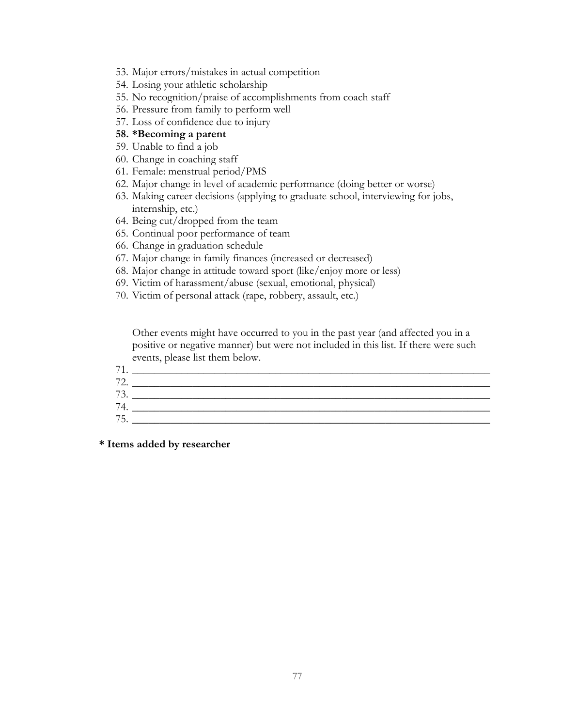- 53. Major errors/mistakes in actual competition
- 54. Losing your athletic scholarship
- 55. No recognition/praise of accomplishments from coach staff
- 56. Pressure from family to perform well
- 57. Loss of confidence due to injury

#### **58. \*Becoming a parent**

- 59. Unable to find a job
- 60. Change in coaching staff
- 61. Female: menstrual period/PMS
- 62. Major change in level of academic performance (doing better or worse)
- 63. Making career decisions (applying to graduate school, interviewing for jobs, internship, etc.)
- 64. Being cut/dropped from the team
- 65. Continual poor performance of team
- 66. Change in graduation schedule
- 67. Major change in family finances (increased or decreased)
- 68. Major change in attitude toward sport (like/enjoy more or less)
- 69. Victim of harassment/abuse (sexual, emotional, physical)
- 70. Victim of personal attack (rape, robbery, assault, etc.)

Other events might have occurred to you in the past year (and affected you in a positive or negative manner) but were not included in this list. If there were such events, please list them below.

| −                         |  |
|---------------------------|--|
| $\mathbf{H}$<br><u>L.</u> |  |
| 70<br>.                   |  |
| 7 <sub>A</sub>            |  |
| 7 <sup>1</sup><br>h<br>◡. |  |

**\* Items added by researcher**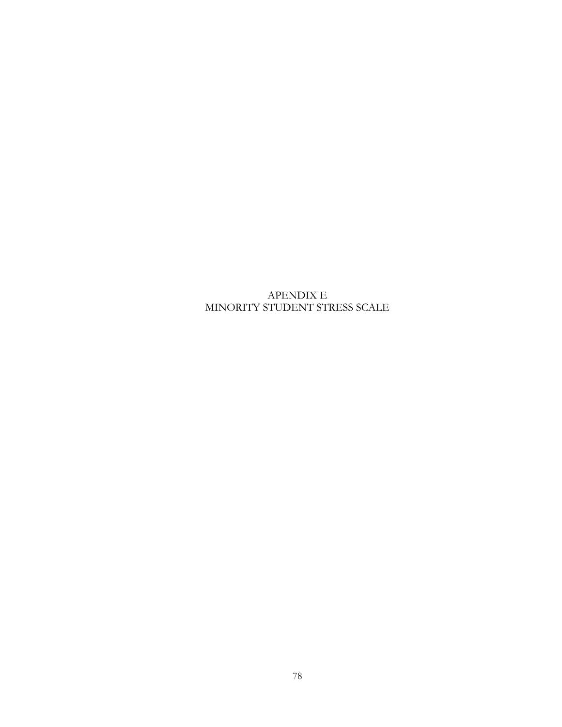# APENDIX E MINORITY STUDENT STRESS SCALE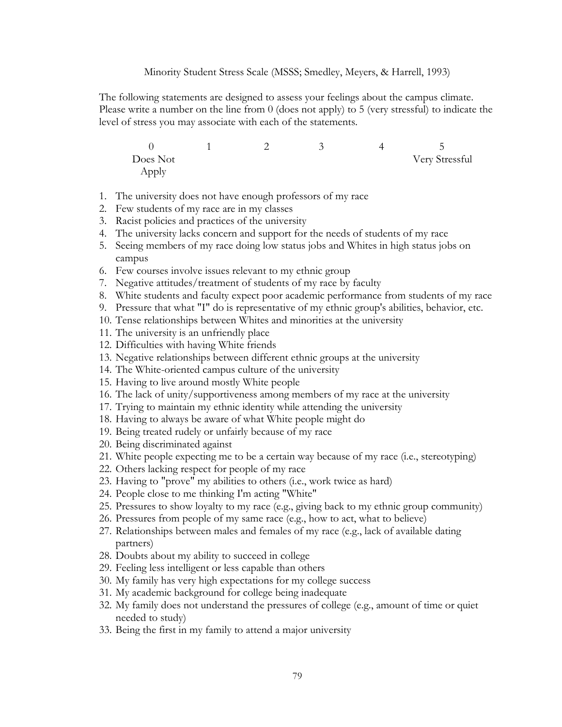Minority Student Stress Scale (MSSS; Smedley, Meyers, & Harrell, 1993)

The following statements are designed to assess your feelings about the campus climate. Please write a number on the line from 0 (does not apply) to 5 (very stressful) to indicate the level of stress you may associate with each of the statements.

0 1 2 3 4 5 Does Not Very Stressful Apply

- 1. The university does not have enough professors of my race
- 2. Few students of my race are in my classes
- 3. Racist policies and practices of the university
- 4. The university lacks concern and support for the needs of students of my race
- 5. Seeing members of my race doing low status jobs and Whites in high status jobs on campus
- 6. Few courses involve issues relevant to my ethnic group
- 7. Negative attitudes/treatment of students of my race by faculty
- 8. White students and faculty expect poor academic performance from students of my race
- 9. Pressure that what "I" do is representative of my ethnic group's abilities, behavior, etc.
- 10. Tense relationships between Whites and minorities at the university
- 11. The university is an unfriendly place
- 12. Difficulties with having White friends
- 13. Negative relationships between different ethnic groups at the university
- 14. The White-oriented campus culture of the university
- 15. Having to live around mostly White people
- 16. The lack of unity/supportiveness among members of my race at the university
- 17. Trying to maintain my ethnic identity while attending the university
- 18. Having to always be aware of what White people might do
- 19. Being treated rudely or unfairly because of my race
- 20. Being discriminated against
- 21. White people expecting me to be a certain way because of my race (i.e., stereotyping)
- 22. Others lacking respect for people of my race
- 23. Having to "prove" my abilities to others (i.e., work twice as hard)
- 24. People close to me thinking I'm acting "White"
- 25. Pressures to show loyalty to my race (e.g., giving back to my ethnic group community)
- 26. Pressures from people of my same race (e.g., how to act, what to believe)
- 27. Relationships between males and females of my race (e.g., lack of available dating partners)
- 28. Doubts about my ability to succeed in college
- 29. Feeling less intelligent or less capable than others
- 30. My family has very high expectations for my college success
- 31. My academic background for college being inadequate
- 32. My family does not understand the pressures of college (e.g., amount of time or quiet needed to study)
- 33. Being the first in my family to attend a major university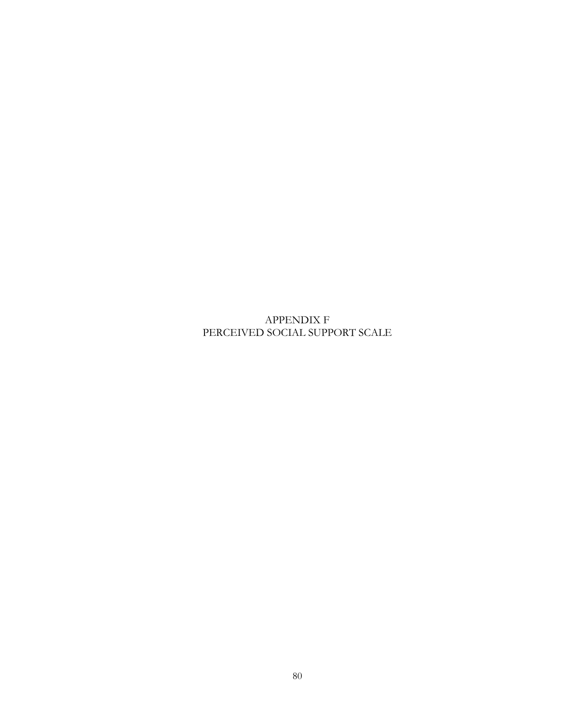APPENDIX F PERCEIVED SOCIAL SUPPORT SCALE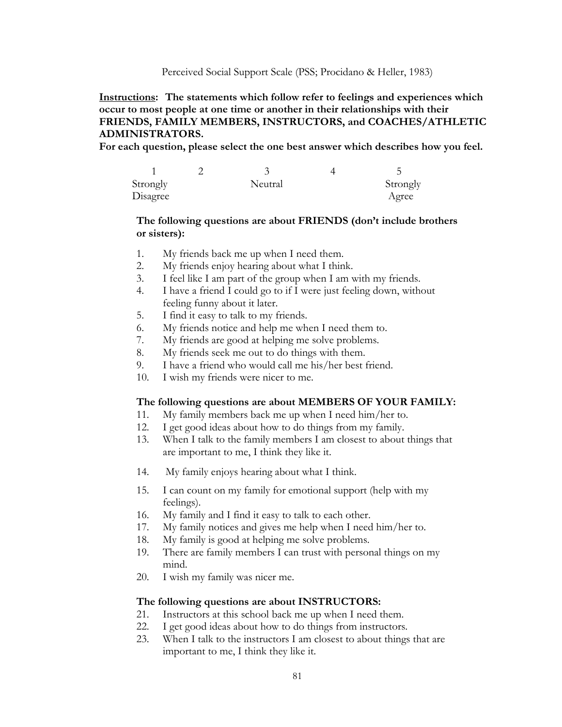Perceived Social Support Scale (PSS; Procidano & Heller, 1983)

## **Instructions: The statements which follow refer to feelings and experiences which occur to most people at one time or another in their relationships with their FRIENDS, FAMILY MEMBERS, INSTRUCTORS, and COACHES/ATHLETIC ADMINISTRATORS.**

**For each question, please select the one best answer which describes how you feel.**

| Strongly | Neutral | Strongly |
|----------|---------|----------|
| Disagree |         | Agree    |

## **The following questions are about FRIENDS (don't include brothers or sisters):**

- 1. My friends back me up when I need them.
- 2. My friends enjoy hearing about what I think.
- 3. I feel like I am part of the group when I am with my friends.
- 4. I have a friend I could go to if I were just feeling down, without feeling funny about it later.
- 5. I find it easy to talk to my friends.
- 6. My friends notice and help me when I need them to.
- 7. My friends are good at helping me solve problems.
- 8. My friends seek me out to do things with them.
- 9. I have a friend who would call me his/her best friend.
- 10. I wish my friends were nicer to me.

### **The following questions are about MEMBERS OF YOUR FAMILY:**

- 11. My family members back me up when I need him/her to.
- 12. I get good ideas about how to do things from my family.
- 13. When I talk to the family members I am closest to about things that are important to me, I think they like it.
- 14. My family enjoys hearing about what I think.
- 15. I can count on my family for emotional support (help with my feelings).
- 16. My family and I find it easy to talk to each other.
- 17. My family notices and gives me help when I need him/her to.
- 18. My family is good at helping me solve problems.
- 19. There are family members I can trust with personal things on my mind.
- 20. I wish my family was nicer me.

### **The following questions are about INSTRUCTORS:**

- 21. Instructors at this school back me up when I need them.
- 22. I get good ideas about how to do things from instructors.
- 23. When I talk to the instructors I am closest to about things that are important to me, I think they like it.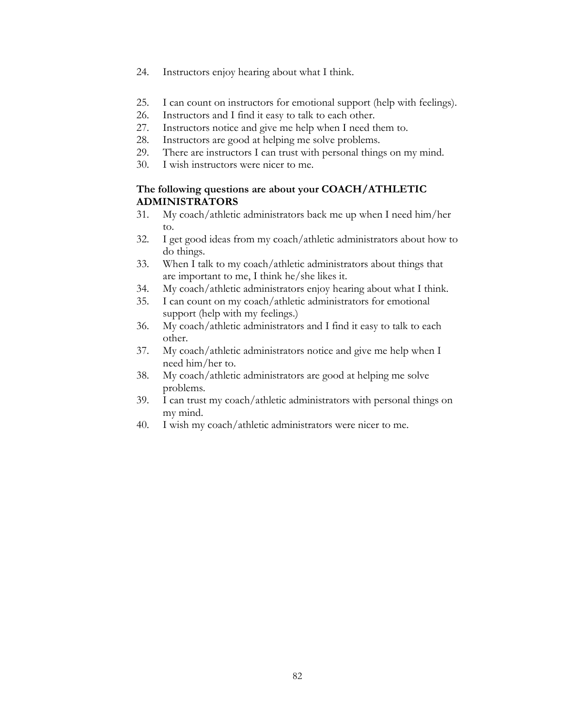- 24. Instructors enjoy hearing about what I think.
- 25. I can count on instructors for emotional support (help with feelings).
- 26. Instructors and I find it easy to talk to each other.
- 27. Instructors notice and give me help when I need them to.
- 28. Instructors are good at helping me solve problems.
- 29. There are instructors I can trust with personal things on my mind.
- 30. I wish instructors were nicer to me.

## **The following questions are about your COACH/ATHLETIC ADMINISTRATORS**

- 31. My coach/athletic administrators back me up when I need him/her to.
- 32. I get good ideas from my coach/athletic administrators about how to do things.
- 33. When I talk to my coach/athletic administrators about things that are important to me, I think he/she likes it.
- 34. My coach/athletic administrators enjoy hearing about what I think.
- 35. I can count on my coach/athletic administrators for emotional support (help with my feelings.)
- 36. My coach/athletic administrators and I find it easy to talk to each other.
- 37. My coach/athletic administrators notice and give me help when I need him/her to.
- 38. My coach/athletic administrators are good at helping me solve problems.
- 39. I can trust my coach/athletic administrators with personal things on my mind.
- 40. I wish my coach/athletic administrators were nicer to me.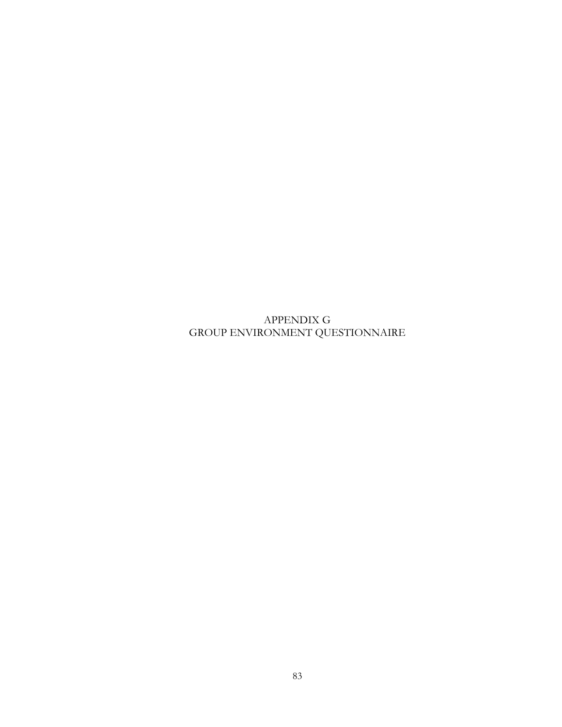APPENDIX G GROUP ENVIRONMENT QUESTIONNAIRE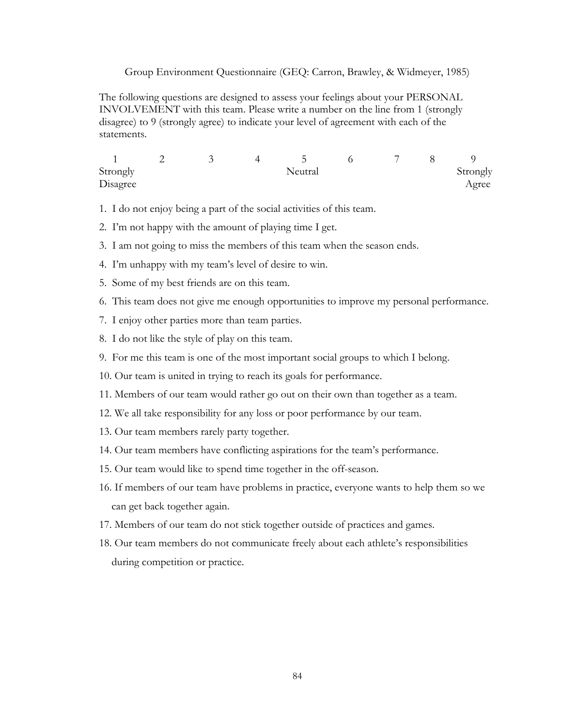Group Environment Questionnaire (GEQ: Carron, Brawley, & Widmeyer, 1985)

The following questions are designed to assess your feelings about your PERSONAL INVOLVEMENT with this team. Please write a number on the line from 1 (strongly disagree) to 9 (strongly agree) to indicate your level of agreement with each of the statements.

|          |  |         | − |          |
|----------|--|---------|---|----------|
| Strongly |  | Neutral |   | Strongly |
| Disagree |  |         |   | Agree    |

- 1. I do not enjoy being a part of the social activities of this team.
- 2. I'm not happy with the amount of playing time I get.
- 3. I am not going to miss the members of this team when the season ends.
- 4. I'm unhappy with my team's level of desire to win.
- 5. Some of my best friends are on this team.
- 6. This team does not give me enough opportunities to improve my personal performance.
- 7. I enjoy other parties more than team parties.
- 8. I do not like the style of play on this team.
- 9. For me this team is one of the most important social groups to which I belong.
- 10. Our team is united in trying to reach its goals for performance.
- 11. Members of our team would rather go out on their own than together as a team.
- 12. We all take responsibility for any loss or poor performance by our team.
- 13. Our team members rarely party together.
- 14. Our team members have conflicting aspirations for the team's performance.
- 15. Our team would like to spend time together in the off-season.
- 16. If members of our team have problems in practice, everyone wants to help them so we can get back together again.
- 17. Members of our team do not stick together outside of practices and games.
- 18. Our team members do not communicate freely about each athlete's responsibilities during competition or practice.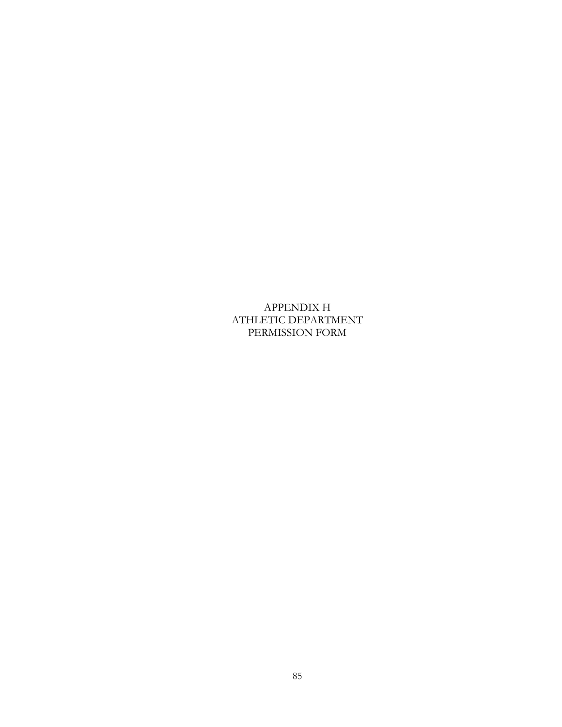APPENDIX H ATHLETIC DEPARTMENT PERMISSION FORM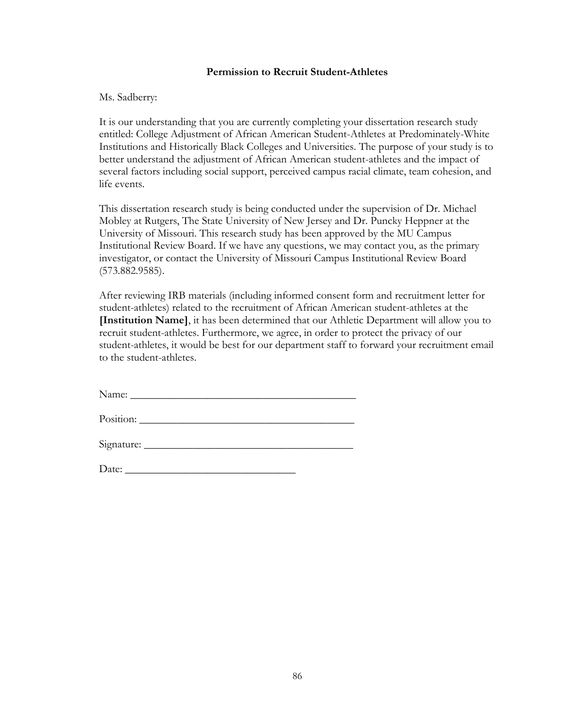#### **Permission to Recruit Student-Athletes**

#### Ms. Sadberry:

It is our understanding that you are currently completing your dissertation research study entitled: College Adjustment of African American Student-Athletes at Predominately-White Institutions and Historically Black Colleges and Universities. The purpose of your study is to better understand the adjustment of African American student-athletes and the impact of several factors including social support, perceived campus racial climate, team cohesion, and life events.

This dissertation research study is being conducted under the supervision of Dr. Michael Mobley at Rutgers, The State University of New Jersey and Dr. Puncky Heppner at the University of Missouri. This research study has been approved by the MU Campus Institutional Review Board. If we have any questions, we may contact you, as the primary investigator, or contact the University of Missouri Campus Institutional Review Board (573.882.9585).

After reviewing IRB materials (including informed consent form and recruitment letter for student-athletes) related to the recruitment of African American student-athletes at the **[Institution Name]**, it has been determined that our Athletic Department will allow you to recruit student-athletes. Furthermore, we agree, in order to protect the privacy of our student-athletes, it would be best for our department staff to forward your recruitment email to the student-athletes.

Name:

Position: \_\_\_\_\_\_\_\_\_\_\_\_\_\_\_\_\_\_\_\_\_\_\_\_\_\_\_\_\_\_\_\_\_\_\_\_\_\_\_

Signature: \_\_\_\_\_\_\_\_\_\_\_\_\_\_\_\_\_\_\_\_\_\_\_\_\_\_\_\_\_\_\_\_\_\_\_\_\_\_

Date: \_\_\_\_\_\_\_\_\_\_\_\_\_\_\_\_\_\_\_\_\_\_\_\_\_\_\_\_\_\_\_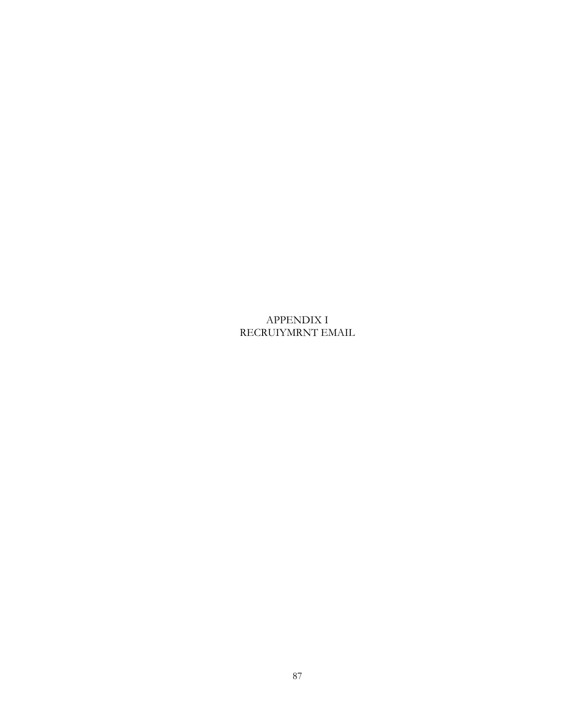APPENDIX I RECRUIYMRNT EMAIL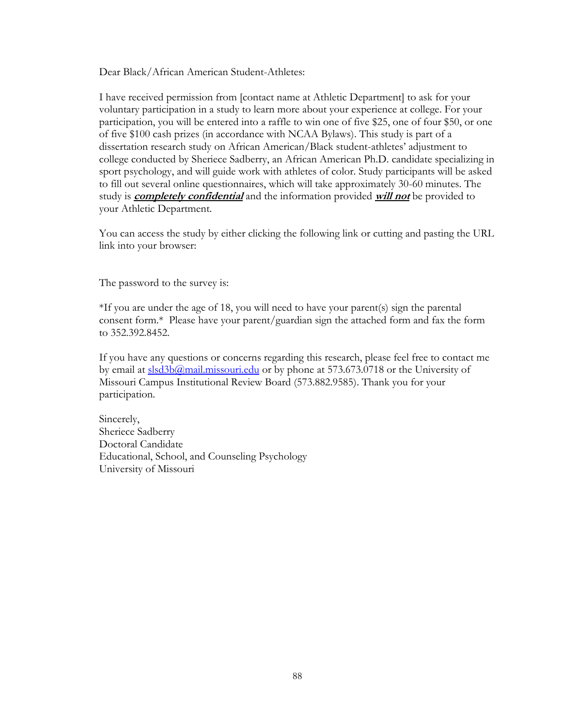Dear Black/African American Student-Athletes:

I have received permission from [contact name at Athletic Department] to ask for your voluntary participation in a study to learn more about your experience at college. For your participation, you will be entered into a raffle to win one of five \$25, one of four \$50, or one of five \$100 cash prizes (in accordance with NCAA Bylaws). This study is part of a dissertation research study on African American/Black student-athletes' adjustment to college conducted by Sheriece Sadberry, an African American Ph.D. candidate specializing in sport psychology, and will guide work with athletes of color. Study participants will be asked to fill out several online questionnaires, which will take approximately 30-60 minutes. The study is **completely confidential** and the information provided **will not** be provided to your Athletic Department.

You can access the study by either clicking the following link or cutting and pasting the URL link into your browser:

The password to the survey is:

\*If you are under the age of 18, you will need to have your parent(s) sign the parental consent form.\* Please have your parent/guardian sign the attached form and fax the form to 352.392.8452.

If you have any questions or concerns regarding this research, please feel free to contact me by email at [slsd3b@mail.missouri.edu](mailto:slsd3b@mail.missouri.edu) or by phone at 573.673.0718 or the University of Missouri Campus Institutional Review Board (573.882.9585). Thank you for your participation.

Sincerely, Sheriece Sadberry Doctoral Candidate Educational, School, and Counseling Psychology University of Missouri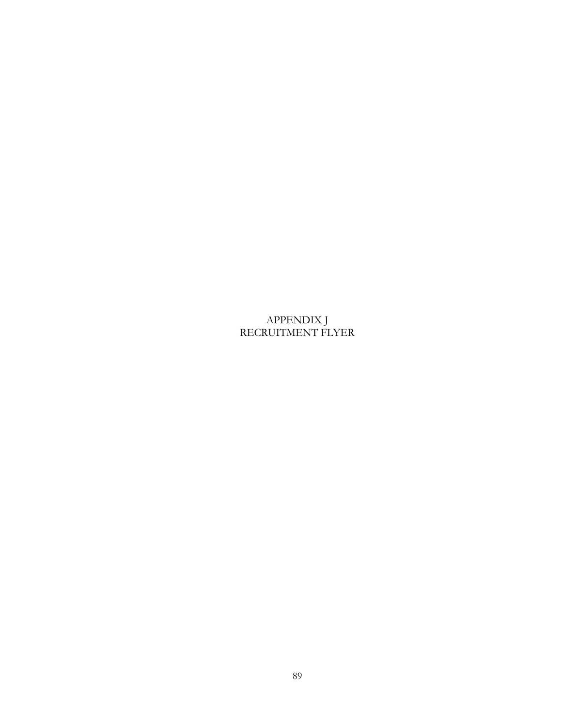APPENDIX J RECRUITMENT FLYER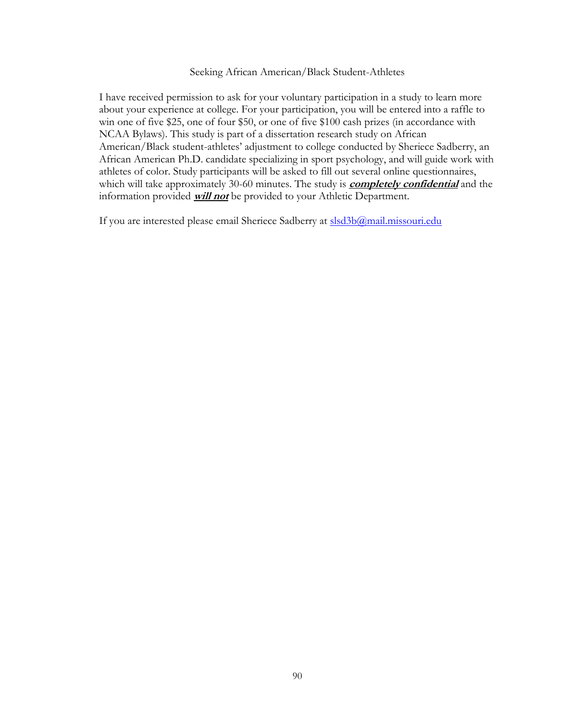#### Seeking African American/Black Student-Athletes

I have received permission to ask for your voluntary participation in a study to learn more about your experience at college. For your participation, you will be entered into a raffle to win one of five \$25, one of four \$50, or one of five \$100 cash prizes (in accordance with NCAA Bylaws). This study is part of a dissertation research study on African American/Black student-athletes' adjustment to college conducted by Sheriece Sadberry, an African American Ph.D. candidate specializing in sport psychology, and will guide work with athletes of color. Study participants will be asked to fill out several online questionnaires, which will take approximately 30-60 minutes. The study is **completely confidential** and the information provided **will not** be provided to your Athletic Department.

If you are interested please email Sheriece Sadberry at [slsd3b@mail.missouri.edu](mailto:slsd3b@mail.missouri.edu)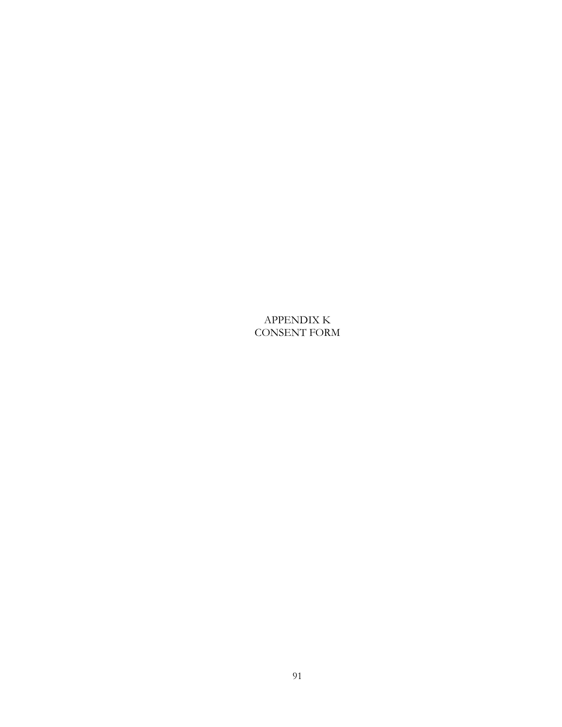APPENDIX K CONSENT FORM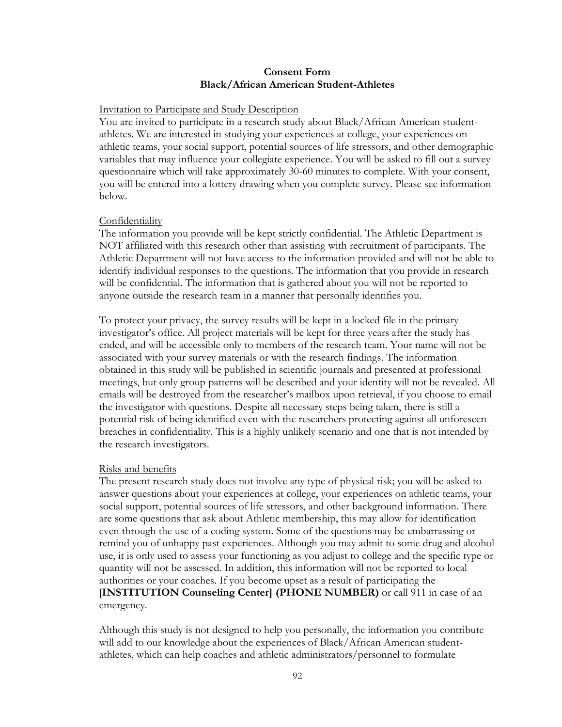### **Consent Form Black/African American Student-Athletes**

#### Invitation to Participate and Study Description

You are invited to participate in a research study about Black/African American studentathletes. We are interested in studying your experiences at college, your experiences on athletic teams, your social support, potential sources of life stressors, and other demographic variables that may influence your collegiate experience. You will be asked to fill out a survey questionnaire which will take approximately 30-60 minutes to complete. With your consent, you will be entered into a lottery drawing when you complete survey. Please see information below.

### Confidentiality

The information you provide will be kept strictly confidential. The Athletic Department is NOT affiliated with this research other than assisting with recruitment of participants. The Athletic Department will not have access to the information provided and will not be able to identify individual responses to the questions. The information that you provide in research will be confidential. The information that is gathered about you will not be reported to anyone outside the research team in a manner that personally identifies you.

To protect your privacy, the survey results will be kept in a locked file in the primary investigator's office. All project materials will be kept for three years after the study has ended, and will be accessible only to members of the research team. Your name will not be associated with your survey materials or with the research findings. The information obtained in this study will be published in scientific journals and presented at professional meetings, but only group patterns will be described and your identity will not be revealed. All emails will be destroyed from the researcher's mailbox upon retrieval, if you choose to email the investigator with questions. Despite all necessary steps being taken, there is still a potential risk of being identified even with the researchers protecting against all unforeseen breaches in confidentiality. This is a highly unlikely scenario and one that is not intended by the research investigators.

## Risks and benefits

The present research study does not involve any type of physical risk; you will be asked to answer questions about your experiences at college, your experiences on athletic teams, your social support, potential sources of life stressors, and other background information. There are some questions that ask about Athletic membership, this may allow for identification even through the use of a coding system. Some of the questions may be embarrassing or remind you of unhappy past experiences. Although you may admit to some drug and alcohol use, it is only used to assess your functioning as you adjust to college and the specific type or quantity will not be assessed. In addition, this information will not be reported to local authorities or your coaches. If you become upset as a result of participating the [**INSTITUTION Counseling Center] (PHONE NUMBER)** or call 911 in case of an emergency.

Although this study is not designed to help you personally, the information you contribute will add to our knowledge about the experiences of Black/African American studentathletes, which can help coaches and athletic administrators/personnel to formulate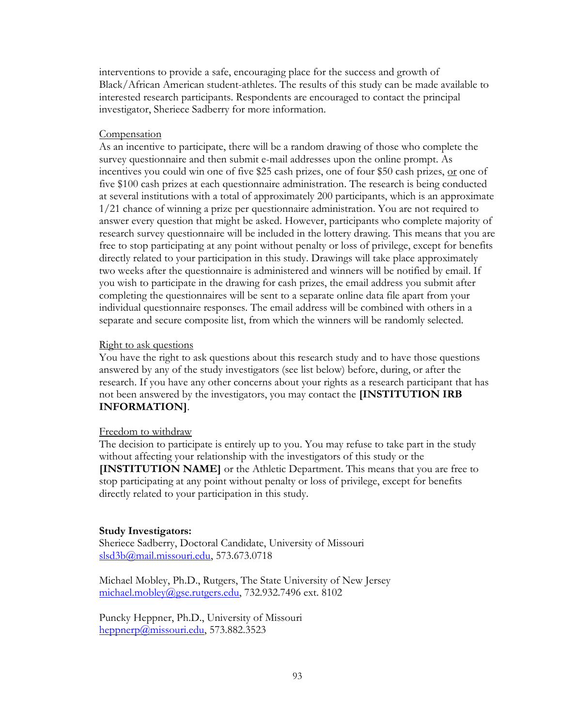interventions to provide a safe, encouraging place for the success and growth of Black/African American student-athletes. The results of this study can be made available to interested research participants. Respondents are encouraged to contact the principal investigator, Sheriece Sadberry for more information.

#### **Compensation**

As an incentive to participate, there will be a random drawing of those who complete the survey questionnaire and then submit e-mail addresses upon the online prompt. As incentives you could win one of five \$25 cash prizes, one of four \$50 cash prizes, <u>or</u> one of five \$100 cash prizes at each questionnaire administration. The research is being conducted at several institutions with a total of approximately 200 participants, which is an approximate 1/21 chance of winning a prize per questionnaire administration. You are not required to answer every question that might be asked. However, participants who complete majority of research survey questionnaire will be included in the lottery drawing. This means that you are free to stop participating at any point without penalty or loss of privilege, except for benefits directly related to your participation in this study. Drawings will take place approximately two weeks after the questionnaire is administered and winners will be notified by email. If you wish to participate in the drawing for cash prizes, the email address you submit after completing the questionnaires will be sent to a separate online data file apart from your individual questionnaire responses. The email address will be combined with others in a separate and secure composite list, from which the winners will be randomly selected.

#### Right to ask questions

You have the right to ask questions about this research study and to have those questions answered by any of the study investigators (see list below) before, during, or after the research. If you have any other concerns about your rights as a research participant that has not been answered by the investigators, you may contact the **[INSTITUTION IRB INFORMATION]**.

#### Freedom to withdraw

The decision to participate is entirely up to you. You may refuse to take part in the study without affecting your relationship with the investigators of this study or the **[INSTITUTION NAME]** or the Athletic Department. This means that you are free to stop participating at any point without penalty or loss of privilege, except for benefits directly related to your participation in this study.

#### **Study Investigators:**

Sheriece Sadberry, Doctoral Candidate, University of Missouri [slsd3b@mail.missouri.edu,](mailto:slsd3b@mail.missouri.edu) 573.673.0718

Michael Mobley, Ph.D., Rutgers, The State University of New Jersey [michael.mobley@gse.rutgers.edu,](mailto:michael.mobley@gse.rutgers.edu) 732.932.7496 ext. 8102

Puncky Heppner, Ph.D., University of Missouri [heppnerp@missouri.edu,](mailto:heppnerp@missouri.edu) 573.882.3523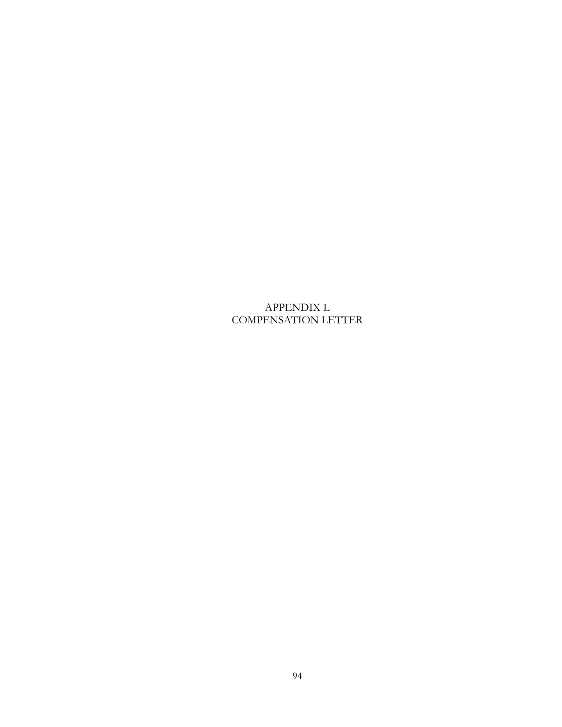APPENDIX L COMPENSATION LETTER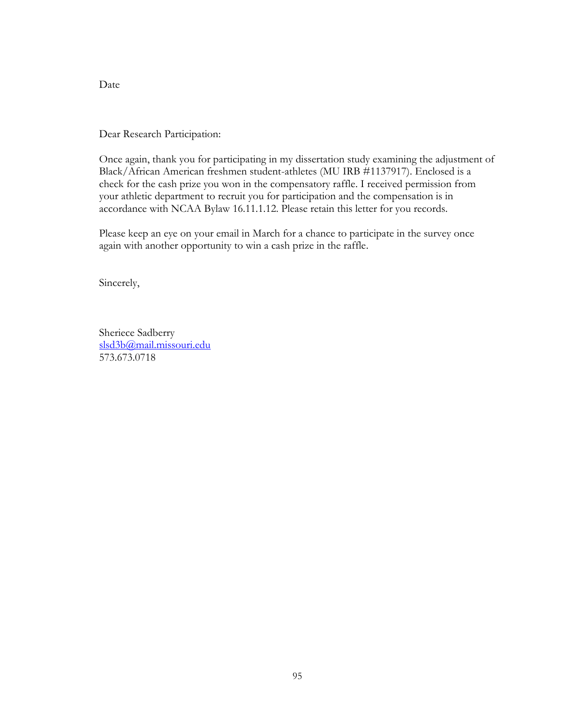Date

Dear Research Participation:

Once again, thank you for participating in my dissertation study examining the adjustment of Black/African American freshmen student-athletes (MU IRB #1137917). Enclosed is a check for the cash prize you won in the compensatory raffle. I received permission from your athletic department to recruit you for participation and the compensation is in accordance with NCAA Bylaw 16.11.1.12. Please retain this letter for you records.

Please keep an eye on your email in March for a chance to participate in the survey once again with another opportunity to win a cash prize in the raffle.

Sincerely,

Sheriece Sadberry [slsd3b@mail.missouri.edu](mailto:slsd3b@mail.missouri.edu) 573.673.0718